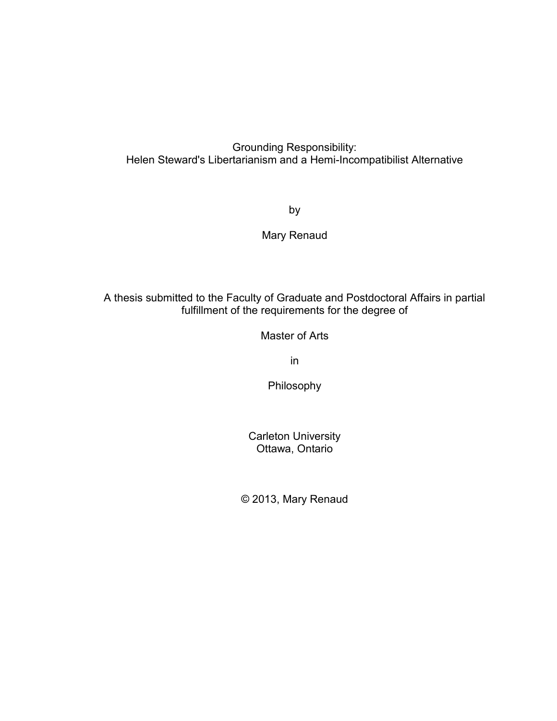Grounding Responsibility: Helen Steward's Libertarianism and a Hemi-Incompatibilist Alternative

by

Mary Renaud

A thesis submitted to the Faculty of Graduate and Postdoctoral Affairs in partial fulfillment of the requirements for the degree of

Master of Arts

in

Philosophy

Carleton University Ottawa, Ontario

© 2013, Mary Renaud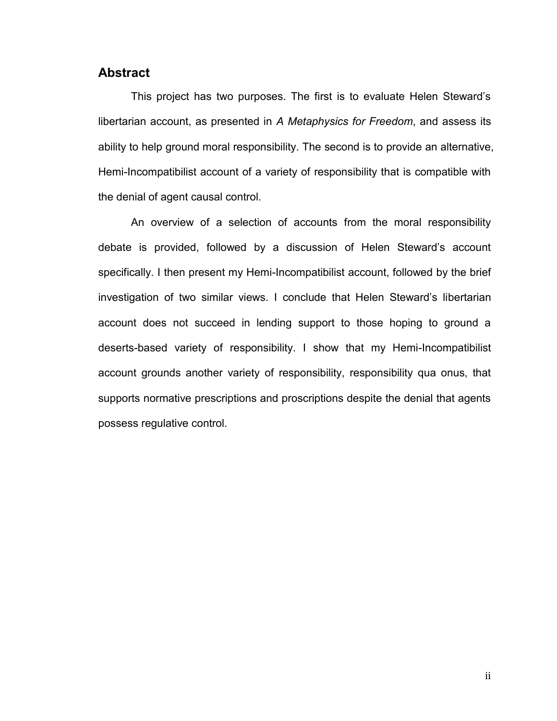# **Abstract**

This project has two purposes. The first is to evaluate Helen Steward's libertarian account, as presented in *A Metaphysics for Freedom*, and assess its ability to help ground moral responsibility. The second is to provide an alternative, Hemi-Incompatibilist account of a variety of responsibility that is compatible with the denial of agent causal control.

An overview of a selection of accounts from the moral responsibility debate is provided, followed by a discussion of Helen Steward's account specifically. I then present my Hemi-Incompatibilist account, followed by the brief investigation of two similar views. I conclude that Helen Steward's libertarian account does not succeed in lending support to those hoping to ground a deserts-based variety of responsibility. I show that my Hemi-Incompatibilist account grounds another variety of responsibility, responsibility qua onus, that supports normative prescriptions and proscriptions despite the denial that agents possess regulative control.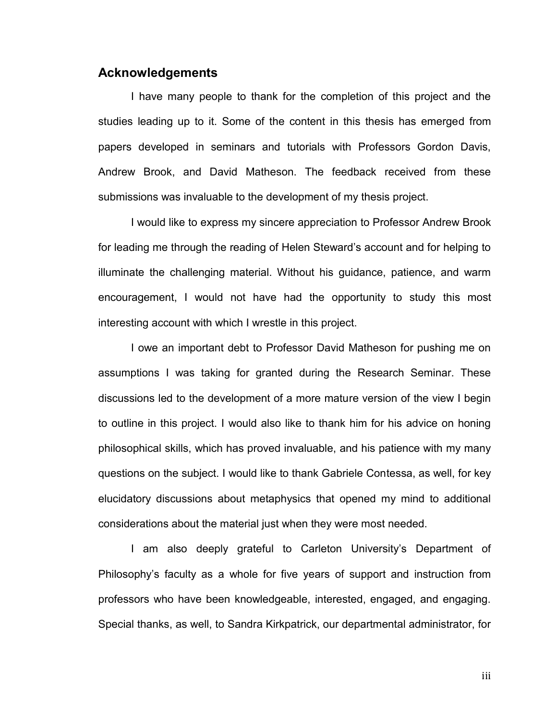# **Acknowledgements**

I have many people to thank for the completion of this project and the studies leading up to it. Some of the content in this thesis has emerged from papers developed in seminars and tutorials with Professors Gordon Davis, Andrew Brook, and David Matheson. The feedback received from these submissions was invaluable to the development of my thesis project.

I would like to express my sincere appreciation to Professor Andrew Brook for leading me through the reading of Helen Steward's account and for helping to illuminate the challenging material. Without his guidance, patience, and warm encouragement, I would not have had the opportunity to study this most interesting account with which I wrestle in this project.

I owe an important debt to Professor David Matheson for pushing me on assumptions I was taking for granted during the Research Seminar. These discussions led to the development of a more mature version of the view I begin to outline in this project. I would also like to thank him for his advice on honing philosophical skills, which has proved invaluable, and his patience with my many questions on the subject. I would like to thank Gabriele Contessa, as well, for key elucidatory discussions about metaphysics that opened my mind to additional considerations about the material just when they were most needed.

I am also deeply grateful to Carleton University's Department of Philosophy's faculty as a whole for five years of support and instruction from professors who have been knowledgeable, interested, engaged, and engaging. Special thanks, as well, to Sandra Kirkpatrick, our departmental administrator, for

iii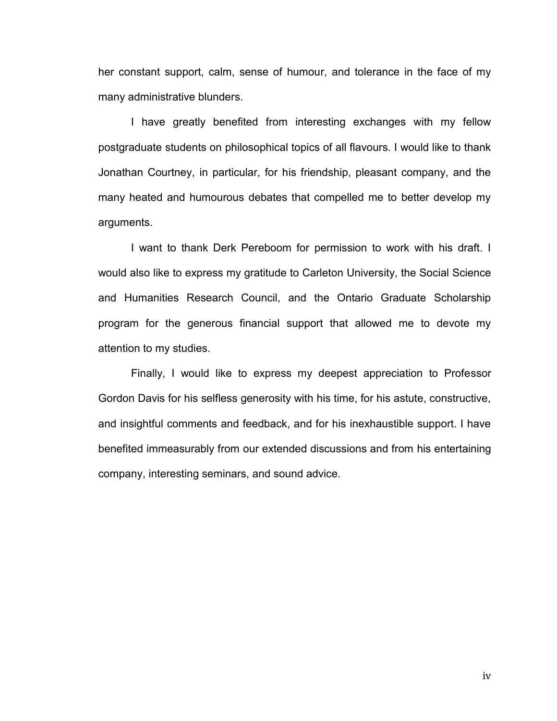her constant support, calm, sense of humour, and tolerance in the face of my many administrative blunders.

I have greatly benefited from interesting exchanges with my fellow postgraduate students on philosophical topics of all flavours. I would like to thank Jonathan Courtney, in particular, for his friendship, pleasant company, and the many heated and humourous debates that compelled me to better develop my arguments.

I want to thank Derk Pereboom for permission to work with his draft. I would also like to express my gratitude to Carleton University, the Social Science and Humanities Research Council, and the Ontario Graduate Scholarship program for the generous financial support that allowed me to devote my attention to my studies.

Finally, I would like to express my deepest appreciation to Professor Gordon Davis for his selfless generosity with his time, for his astute, constructive, and insightful comments and feedback, and for his inexhaustible support. I have benefited immeasurably from our extended discussions and from his entertaining company, interesting seminars, and sound advice.

iv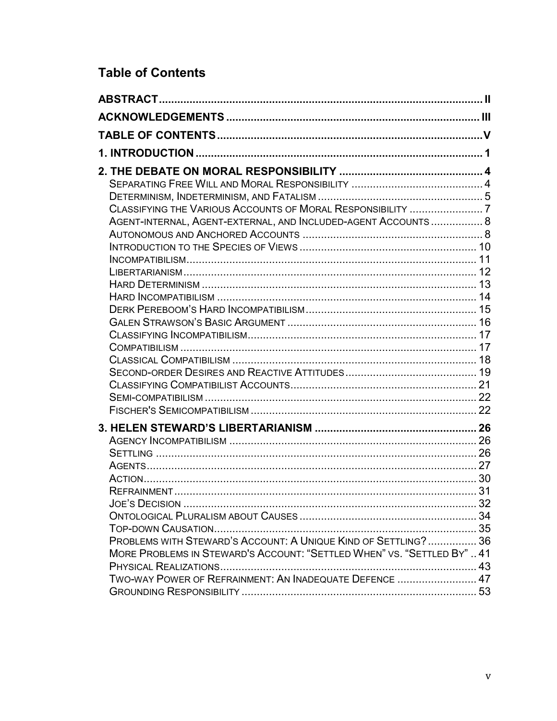# **Table of Contents**

| AGENT-INTERNAL, AGENT-EXTERNAL, AND INCLUDED-AGENT ACCOUNTS 8          |  |
|------------------------------------------------------------------------|--|
|                                                                        |  |
|                                                                        |  |
|                                                                        |  |
|                                                                        |  |
|                                                                        |  |
|                                                                        |  |
|                                                                        |  |
|                                                                        |  |
|                                                                        |  |
|                                                                        |  |
|                                                                        |  |
|                                                                        |  |
|                                                                        |  |
|                                                                        |  |
|                                                                        |  |
|                                                                        |  |
|                                                                        |  |
|                                                                        |  |
|                                                                        |  |
|                                                                        |  |
|                                                                        |  |
|                                                                        |  |
|                                                                        |  |
|                                                                        |  |
| PROBLEMS WITH STEWARD'S ACCOUNT: A UNIQUE KIND OF SETTLING? 36         |  |
| MORE PROBLEMS IN STEWARD'S ACCOUNT: "SETTLED WHEN" VS. "SETTLED BY" 41 |  |
|                                                                        |  |
| TWO-WAY POWER OF REFRAINMENT: AN INADEQUATE DEFENCE  47                |  |
|                                                                        |  |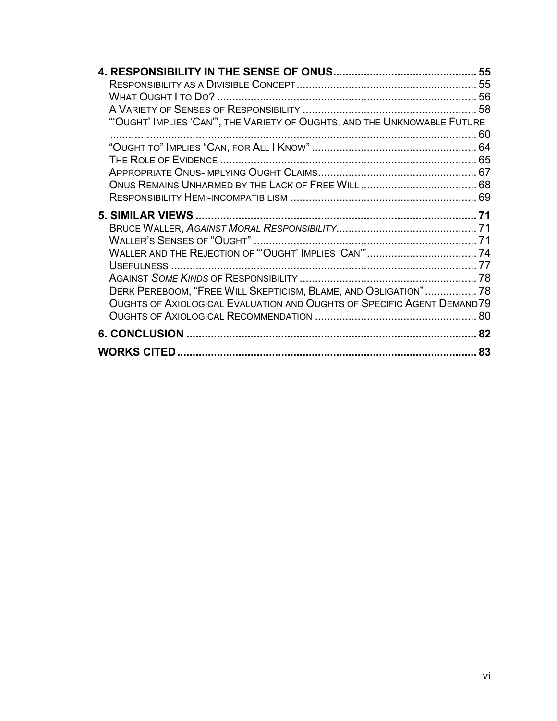| "OUGHT' IMPLIES 'CAN'", THE VARIETY OF OUGHTS, AND THE UNKNOWABLE FUTURE |  |
|--------------------------------------------------------------------------|--|
|                                                                          |  |
|                                                                          |  |
|                                                                          |  |
|                                                                          |  |
|                                                                          |  |
|                                                                          |  |
|                                                                          |  |
|                                                                          |  |
|                                                                          |  |
|                                                                          |  |
|                                                                          |  |
| DERK PEREBOOM, "FREE WILL SKEPTICISM, BLAME, AND OBLIGATION" 78          |  |
| OUGHTS OF AXIOLOGICAL EVALUATION AND OUGHTS OF SPECIFIC AGENT DEMAND 79  |  |
|                                                                          |  |
|                                                                          |  |
|                                                                          |  |
|                                                                          |  |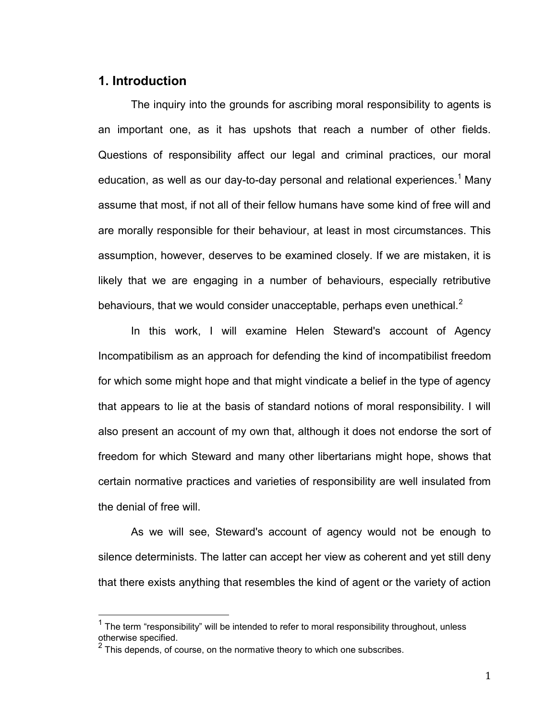# **1. Introduction**

l

The inquiry into the grounds for ascribing moral responsibility to agents is an important one, as it has upshots that reach a number of other fields. Questions of responsibility affect our legal and criminal practices, our moral education, as well as our day-to-day personal and relational experiences.<sup>1</sup> Many assume that most, if not all of their fellow humans have some kind of free will and are morally responsible for their behaviour, at least in most circumstances. This assumption, however, deserves to be examined closely. If we are mistaken, it is likely that we are engaging in a number of behaviours, especially retributive behaviours, that we would consider unacceptable, perhaps even unethical. $2^2$ 

In this work, I will examine Helen Steward's account of Agency Incompatibilism as an approach for defending the kind of incompatibilist freedom for which some might hope and that might vindicate a belief in the type of agency that appears to lie at the basis of standard notions of moral responsibility. I will also present an account of my own that, although it does not endorse the sort of freedom for which Steward and many other libertarians might hope, shows that certain normative practices and varieties of responsibility are well insulated from the denial of free will.

As we will see, Steward's account of agency would not be enough to silence determinists. The latter can accept her view as coherent and yet still deny that there exists anything that resembles the kind of agent or the variety of action

 $1$  The term "responsibility" will be intended to refer to moral responsibility throughout, unless otherwise specified.

 $2$  This depends, of course, on the normative theory to which one subscribes.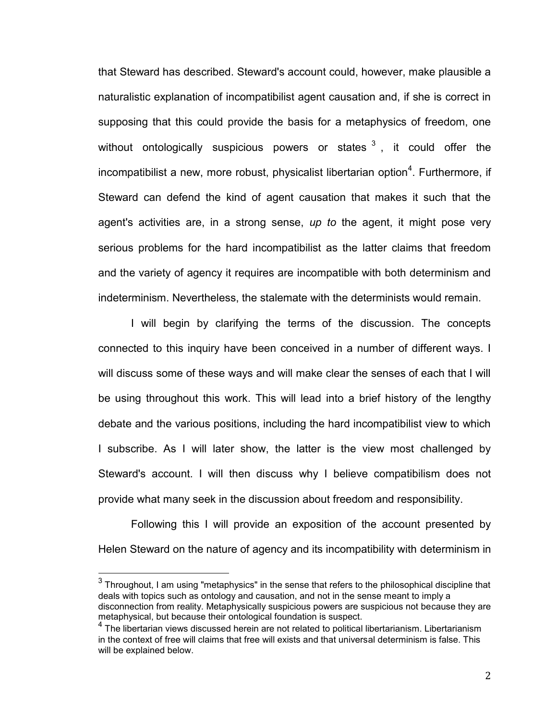that Steward has described. Steward's account could, however, make plausible a naturalistic explanation of incompatibilist agent causation and, if she is correct in supposing that this could provide the basis for a metaphysics of freedom, one without ontologically suspicious powers or states  $3$ , it could offer the incompatibilist a new, more robust, physicalist libertarian option<sup>4</sup>. Furthermore, if Steward can defend the kind of agent causation that makes it such that the agent's activities are, in a strong sense, *up to* the agent, it might pose very serious problems for the hard incompatibilist as the latter claims that freedom and the variety of agency it requires are incompatible with both determinism and indeterminism. Nevertheless, the stalemate with the determinists would remain.

I will begin by clarifying the terms of the discussion. The concepts connected to this inquiry have been conceived in a number of different ways. I will discuss some of these ways and will make clear the senses of each that I will be using throughout this work. This will lead into a brief history of the lengthy debate and the various positions, including the hard incompatibilist view to which I subscribe. As I will later show, the latter is the view most challenged by Steward's account. I will then discuss why I believe compatibilism does not provide what many seek in the discussion about freedom and responsibility.

Following this I will provide an exposition of the account presented by Helen Steward on the nature of agency and its incompatibility with determinism in

 $\overline{a}$ 

 $^3$  Throughout, I am using "metaphysics" in the sense that refers to the philosophical discipline that deals with topics such as ontology and causation, and not in the sense meant to imply a disconnection from reality. Metaphysically suspicious powers are suspicious not because they are metaphysical, but because their ontological foundation is suspect.

<sup>&</sup>lt;sup>4</sup> The libertarian views discussed herein are not related to political libertarianism. Libertarianism in the context of free will claims that free will exists and that universal determinism is false. This will be explained below.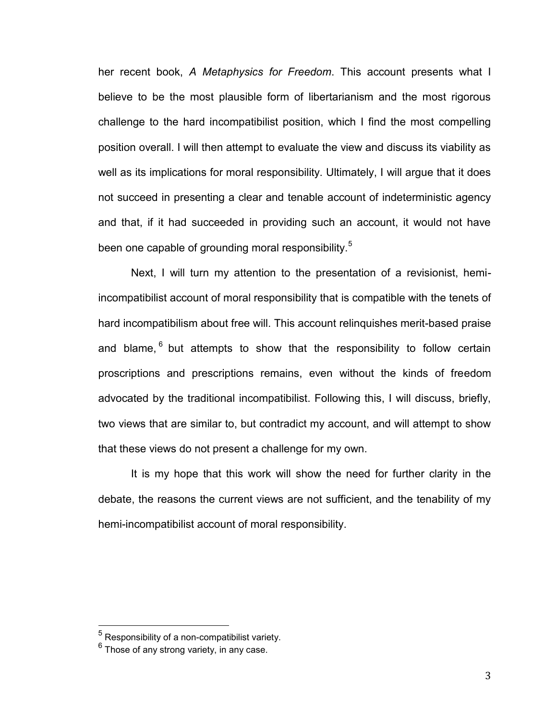her recent book, *A Metaphysics for Freedom*. This account presents what I believe to be the most plausible form of libertarianism and the most rigorous challenge to the hard incompatibilist position, which I find the most compelling position overall. I will then attempt to evaluate the view and discuss its viability as well as its implications for moral responsibility. Ultimately, I will argue that it does not succeed in presenting a clear and tenable account of indeterministic agency and that, if it had succeeded in providing such an account, it would not have been one capable of grounding moral responsibility.<sup>5</sup>

Next, I will turn my attention to the presentation of a revisionist, hemiincompatibilist account of moral responsibility that is compatible with the tenets of hard incompatibilism about free will. This account relinquishes merit-based praise and blame,  $^6$  but attempts to show that the responsibility to follow certain proscriptions and prescriptions remains, even without the kinds of freedom advocated by the traditional incompatibilist. Following this, I will discuss, briefly, two views that are similar to, but contradict my account, and will attempt to show that these views do not present a challenge for my own.

It is my hope that this work will show the need for further clarity in the debate, the reasons the current views are not sufficient, and the tenability of my hemi-incompatibilist account of moral responsibility.

 $\overline{a}$ 

 $^5$  Responsibility of a non-compatibilist variety.

 $^6$  Those of any strong variety, in any case.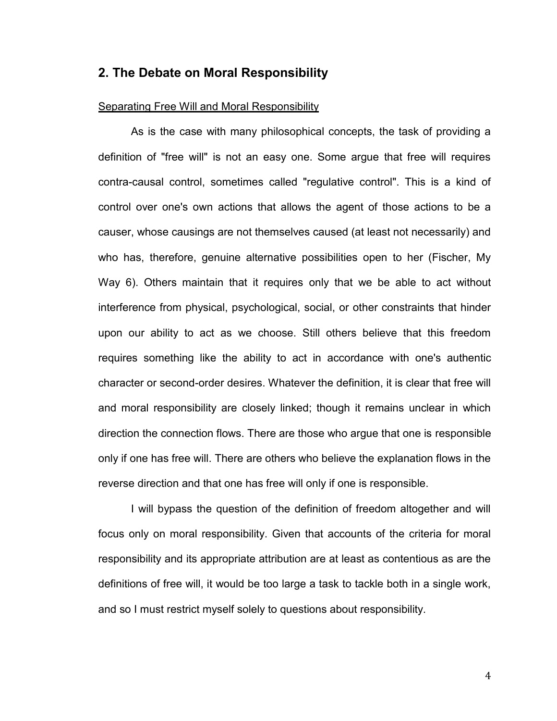# **2. The Debate on Moral Responsibility**

## Separating Free Will and Moral Responsibility

As is the case with many philosophical concepts, the task of providing a definition of "free will" is not an easy one. Some argue that free will requires contra-causal control, sometimes called "regulative control". This is a kind of control over one's own actions that allows the agent of those actions to be a causer, whose causings are not themselves caused (at least not necessarily) and who has, therefore, genuine alternative possibilities open to her (Fischer, My Way 6). Others maintain that it requires only that we be able to act without interference from physical, psychological, social, or other constraints that hinder upon our ability to act as we choose. Still others believe that this freedom requires something like the ability to act in accordance with one's authentic character or second-order desires. Whatever the definition, it is clear that free will and moral responsibility are closely linked; though it remains unclear in which direction the connection flows. There are those who argue that one is responsible only if one has free will. There are others who believe the explanation flows in the reverse direction and that one has free will only if one is responsible.

I will bypass the question of the definition of freedom altogether and will focus only on moral responsibility. Given that accounts of the criteria for moral responsibility and its appropriate attribution are at least as contentious as are the definitions of free will, it would be too large a task to tackle both in a single work, and so I must restrict myself solely to questions about responsibility.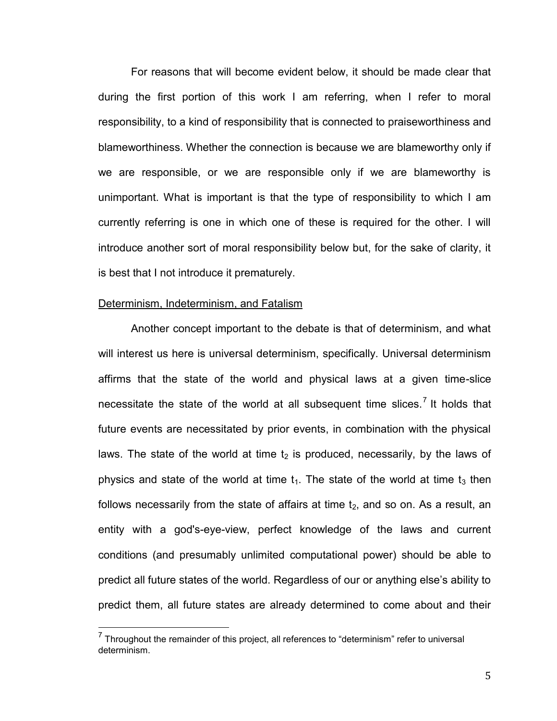For reasons that will become evident below, it should be made clear that during the first portion of this work I am referring, when I refer to moral responsibility, to a kind of responsibility that is connected to praiseworthiness and blameworthiness. Whether the connection is because we are blameworthy only if we are responsible, or we are responsible only if we are blameworthy is unimportant. What is important is that the type of responsibility to which I am currently referring is one in which one of these is required for the other. I will introduce another sort of moral responsibility below but, for the sake of clarity, it is best that I not introduce it prematurely.

#### Determinism, Indeterminism, and Fatalism

l

Another concept important to the debate is that of determinism, and what will interest us here is universal determinism, specifically. Universal determinism affirms that the state of the world and physical laws at a given time-slice necessitate the state of the world at all subsequent time slices.<sup>7</sup> It holds that future events are necessitated by prior events, in combination with the physical laws. The state of the world at time  $t_2$  is produced, necessarily, by the laws of physics and state of the world at time  $t_1$ . The state of the world at time  $t_3$  then follows necessarily from the state of affairs at time  $t<sub>2</sub>$ , and so on. As a result, an entity with a god's-eye-view, perfect knowledge of the laws and current conditions (and presumably unlimited computational power) should be able to predict all future states of the world. Regardless of our or anything else's ability to predict them, all future states are already determined to come about and their

 $<sup>7</sup>$  Throughout the remainder of this project, all references to "determinism" refer to universal</sup> determinism.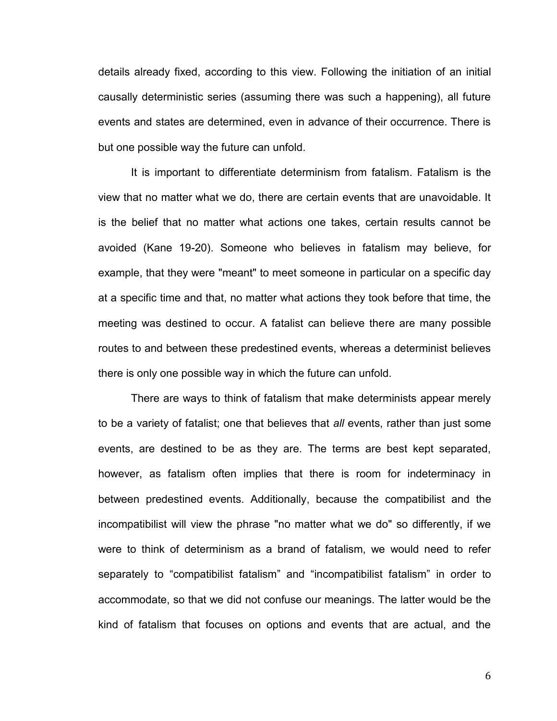details already fixed, according to this view. Following the initiation of an initial causally deterministic series (assuming there was such a happening), all future events and states are determined, even in advance of their occurrence. There is but one possible way the future can unfold.

It is important to differentiate determinism from fatalism. Fatalism is the view that no matter what we do, there are certain events that are unavoidable. It is the belief that no matter what actions one takes, certain results cannot be avoided (Kane 19-20). Someone who believes in fatalism may believe, for example, that they were "meant" to meet someone in particular on a specific day at a specific time and that, no matter what actions they took before that time, the meeting was destined to occur. A fatalist can believe there are many possible routes to and between these predestined events, whereas a determinist believes there is only one possible way in which the future can unfold.

There are ways to think of fatalism that make determinists appear merely to be a variety of fatalist; one that believes that *all* events, rather than just some events, are destined to be as they are. The terms are best kept separated, however, as fatalism often implies that there is room for indeterminacy in between predestined events. Additionally, because the compatibilist and the incompatibilist will view the phrase "no matter what we do" so differently, if we were to think of determinism as a brand of fatalism, we would need to refer separately to "compatibilist fatalism" and "incompatibilist fatalism" in order to accommodate, so that we did not confuse our meanings. The latter would be the kind of fatalism that focuses on options and events that are actual, and the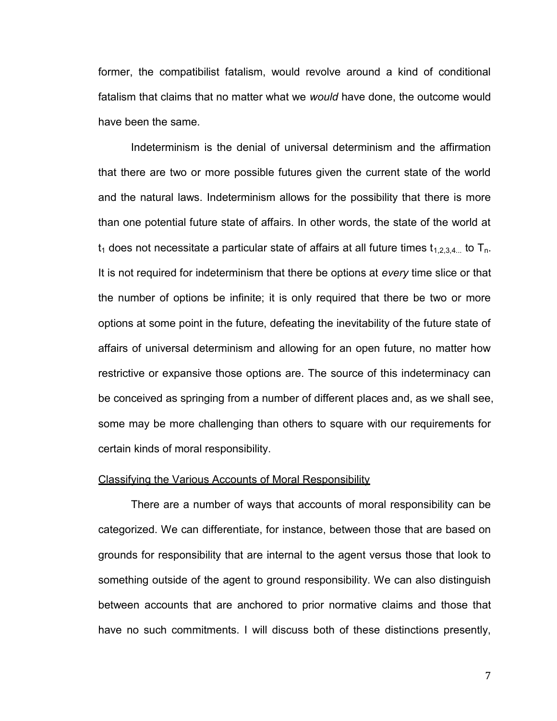former, the compatibilist fatalism, would revolve around a kind of conditional fatalism that claims that no matter what we *would* have done, the outcome would have been the same.

Indeterminism is the denial of universal determinism and the affirmation that there are two or more possible futures given the current state of the world and the natural laws. Indeterminism allows for the possibility that there is more than one potential future state of affairs. In other words, the state of the world at  $t_1$  does not necessitate a particular state of affairs at all future times  $t_{1,2,3,4}$  to  $T_n$ . It is not required for indeterminism that there be options at *every* time slice or that the number of options be infinite; it is only required that there be two or more options at some point in the future, defeating the inevitability of the future state of affairs of universal determinism and allowing for an open future, no matter how restrictive or expansive those options are. The source of this indeterminacy can be conceived as springing from a number of different places and, as we shall see, some may be more challenging than others to square with our requirements for certain kinds of moral responsibility.

#### Classifying the Various Accounts of Moral Responsibility

There are a number of ways that accounts of moral responsibility can be categorized. We can differentiate, for instance, between those that are based on grounds for responsibility that are internal to the agent versus those that look to something outside of the agent to ground responsibility. We can also distinguish between accounts that are anchored to prior normative claims and those that have no such commitments. I will discuss both of these distinctions presently,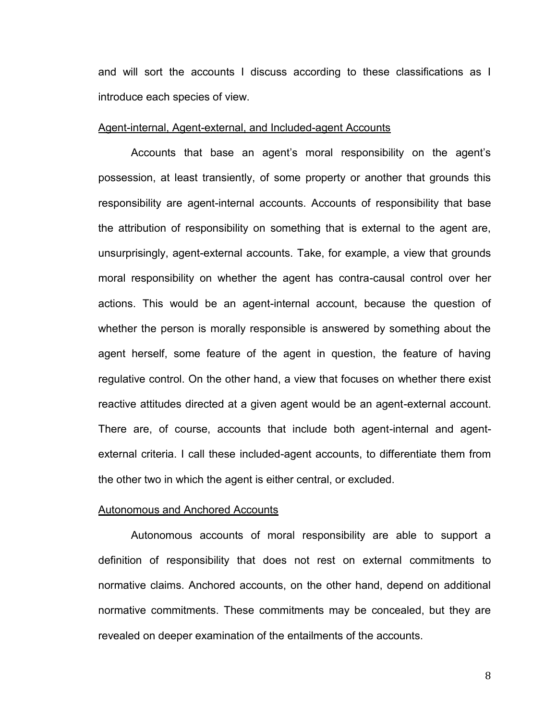and will sort the accounts I discuss according to these classifications as I introduce each species of view.

#### Agent-internal, Agent-external, and Included-agent Accounts

Accounts that base an agent's moral responsibility on the agent's possession, at least transiently, of some property or another that grounds this responsibility are agent-internal accounts. Accounts of responsibility that base the attribution of responsibility on something that is external to the agent are, unsurprisingly, agent-external accounts. Take, for example, a view that grounds moral responsibility on whether the agent has contra-causal control over her actions. This would be an agent-internal account, because the question of whether the person is morally responsible is answered by something about the agent herself, some feature of the agent in question, the feature of having regulative control. On the other hand, a view that focuses on whether there exist reactive attitudes directed at a given agent would be an agent-external account. There are, of course, accounts that include both agent-internal and agentexternal criteria. I call these included-agent accounts, to differentiate them from the other two in which the agent is either central, or excluded.

## Autonomous and Anchored Accounts

Autonomous accounts of moral responsibility are able to support a definition of responsibility that does not rest on external commitments to normative claims. Anchored accounts, on the other hand, depend on additional normative commitments. These commitments may be concealed, but they are revealed on deeper examination of the entailments of the accounts.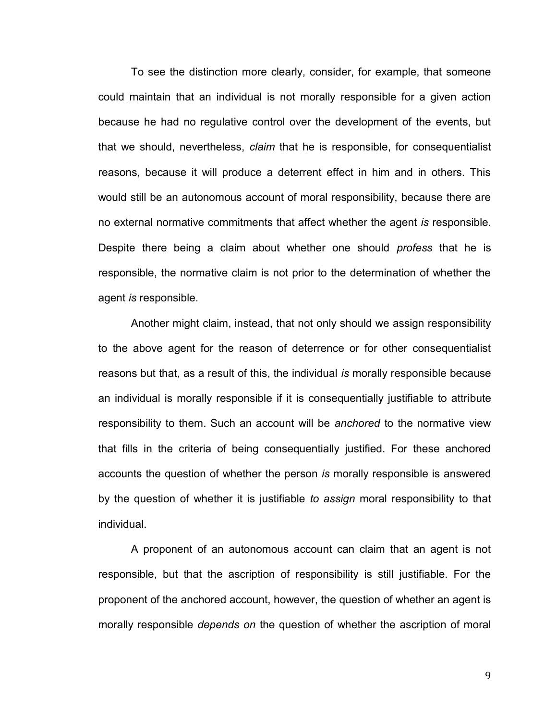To see the distinction more clearly, consider, for example, that someone could maintain that an individual is not morally responsible for a given action because he had no regulative control over the development of the events, but that we should, nevertheless, *claim* that he is responsible, for consequentialist reasons, because it will produce a deterrent effect in him and in others. This would still be an autonomous account of moral responsibility, because there are no external normative commitments that affect whether the agent *is* responsible. Despite there being a claim about whether one should *profess* that he is responsible, the normative claim is not prior to the determination of whether the agent *is* responsible.

Another might claim, instead, that not only should we assign responsibility to the above agent for the reason of deterrence or for other consequentialist reasons but that, as a result of this, the individual *is* morally responsible because an individual is morally responsible if it is consequentially justifiable to attribute responsibility to them. Such an account will be *anchored* to the normative view that fills in the criteria of being consequentially justified. For these anchored accounts the question of whether the person *is* morally responsible is answered by the question of whether it is justifiable *to assign* moral responsibility to that individual.

A proponent of an autonomous account can claim that an agent is not responsible, but that the ascription of responsibility is still justifiable. For the proponent of the anchored account, however, the question of whether an agent is morally responsible *depends on* the question of whether the ascription of moral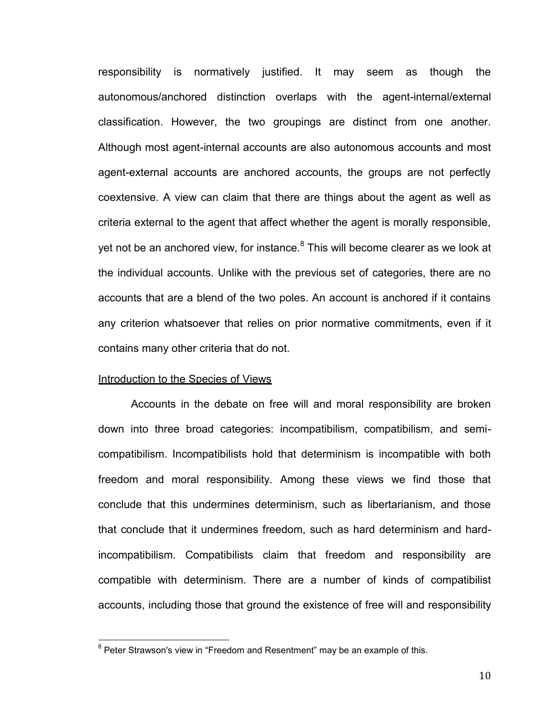responsibility is normatively justified. It may seem as though the autonomous/anchored distinction overlaps with the agent-internal/external classification. However, the two groupings are distinct from one another. Although most agent-internal accounts are also autonomous accounts and most agent-external accounts are anchored accounts, the groups are not perfectly coextensive. A view can claim that there are things about the agent as well as criteria external to the agent that affect whether the agent is morally responsible, yet not be an anchored view, for instance. ${}^{8}$  This will become clearer as we look at the individual accounts. Unlike with the previous set of categories, there are no accounts that are a blend of the two poles. An account is anchored if it contains any criterion whatsoever that relies on prior normative commitments, even if it contains many other criteria that do not.

#### Introduction to the Species of Views

 $\overline{\phantom{a}}$ 

Accounts in the debate on free will and moral responsibility are broken down into three broad categories: incompatibilism, compatibilism, and semicompatibilism. Incompatibilists hold that determinism is incompatible with both freedom and moral responsibility. Among these views we find those that conclude that this undermines determinism, such as libertarianism, and those that conclude that it undermines freedom, such as hard determinism and hardincompatibilism. Compatibilists claim that freedom and responsibility are compatible with determinism. There are a number of kinds of compatibilist accounts, including those that ground the existence of free will and responsibility

 $8$  Peter Strawson's view in "Freedom and Resentment" may be an example of this.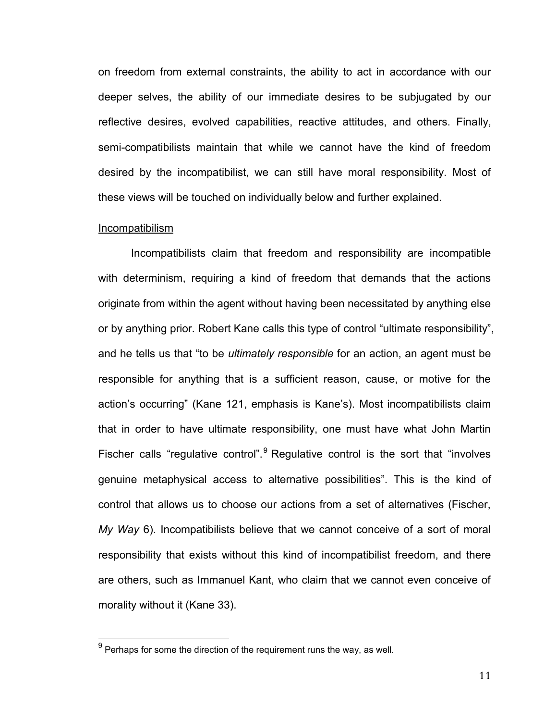on freedom from external constraints, the ability to act in accordance with our deeper selves, the ability of our immediate desires to be subjugated by our reflective desires, evolved capabilities, reactive attitudes, and others. Finally, semi-compatibilists maintain that while we cannot have the kind of freedom desired by the incompatibilist, we can still have moral responsibility. Most of these views will be touched on individually below and further explained.

#### Incompatibilism

Incompatibilists claim that freedom and responsibility are incompatible with determinism, requiring a kind of freedom that demands that the actions originate from within the agent without having been necessitated by anything else or by anything prior. Robert Kane calls this type of control "ultimate responsibility", and he tells us that "to be *ultimately responsible* for an action, an agent must be responsible for anything that is a sufficient reason, cause, or motive for the action's occurring" (Kane 121, emphasis is Kane's). Most incompatibilists claim that in order to have ultimate responsibility, one must have what John Martin Fischer calls "regulative control". $9$  Regulative control is the sort that "involves" genuine metaphysical access to alternative possibilities". This is the kind of control that allows us to choose our actions from a set of alternatives (Fischer, *My Way* 6). Incompatibilists believe that we cannot conceive of a sort of moral responsibility that exists without this kind of incompatibilist freedom, and there are others, such as Immanuel Kant, who claim that we cannot even conceive of morality without it (Kane 33).

 9 Perhaps for some the direction of the requirement runs the way, as well.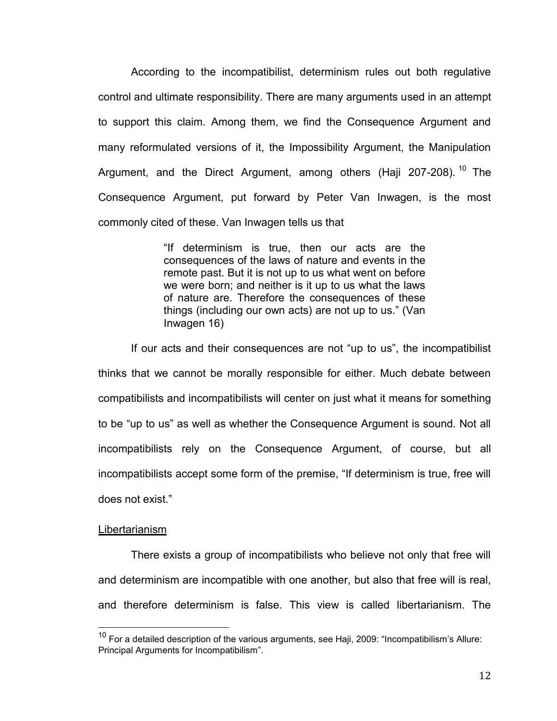According to the incompatibilist, determinism rules out both regulative control and ultimate responsibility. There are many arguments used in an attempt to support this claim. Among them, we find the Consequence Argument and many reformulated versions of it, the Impossibility Argument, the Manipulation Argument, and the Direct Argument, among others (Haji 207-208).<sup>10</sup> The Consequence Argument, put forward by Peter Van Inwagen, is the most commonly cited of these. Van Inwagen tells us that

> "If determinism is true, then our acts are the consequences of the laws of nature and events in the remote past. But it is not up to us what went on before we were born; and neither is it up to us what the laws of nature are. Therefore the consequences of these things (including our own acts) are not up to us." (Van Inwagen 16)

If our acts and their consequences are not "up to us", the incompatibilist thinks that we cannot be morally responsible for either. Much debate between compatibilists and incompatibilists will center on just what it means for something to be "up to us" as well as whether the Consequence Argument is sound. Not all incompatibilists rely on the Consequence Argument, of course, but all incompatibilists accept some form of the premise, "If determinism is true, free will does not exist."

## Libertarianism

l

There exists a group of incompatibilists who believe not only that free will and determinism are incompatible with one another, but also that free will is real, and therefore determinism is false. This view is called libertarianism. The

 $10$  For a detailed description of the various arguments, see Haji, 2009: "Incompatibilism's Allure: Principal Arguments for Incompatibilism".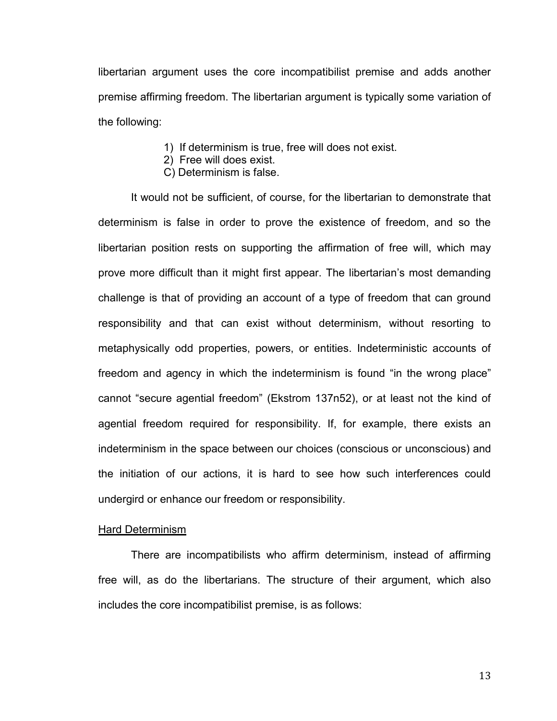libertarian argument uses the core incompatibilist premise and adds another premise affirming freedom. The libertarian argument is typically some variation of the following:

- 1) If determinism is true, free will does not exist.
- 2) Free will does exist.
- C) Determinism is false.

It would not be sufficient, of course, for the libertarian to demonstrate that determinism is false in order to prove the existence of freedom, and so the libertarian position rests on supporting the affirmation of free will, which may prove more difficult than it might first appear. The libertarian's most demanding challenge is that of providing an account of a type of freedom that can ground responsibility and that can exist without determinism, without resorting to metaphysically odd properties, powers, or entities. Indeterministic accounts of freedom and agency in which the indeterminism is found "in the wrong place" cannot "secure agential freedom" (Ekstrom 137n52), or at least not the kind of agential freedom required for responsibility. If, for example, there exists an indeterminism in the space between our choices (conscious or unconscious) and the initiation of our actions, it is hard to see how such interferences could undergird or enhance our freedom or responsibility.

#### Hard Determinism

There are incompatibilists who affirm determinism, instead of affirming free will, as do the libertarians. The structure of their argument, which also includes the core incompatibilist premise, is as follows: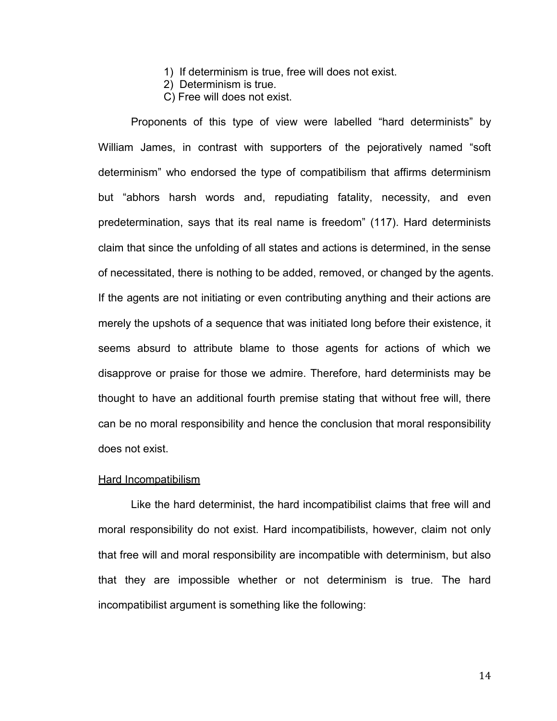- 1) If determinism is true, free will does not exist.
- 2) Determinism is true.
- C) Free will does not exist.

Proponents of this type of view were labelled "hard determinists" by William James, in contrast with supporters of the pejoratively named "soft determinism" who endorsed the type of compatibilism that affirms determinism but "abhors harsh words and, repudiating fatality, necessity, and even predetermination, says that its real name is freedom" (117). Hard determinists claim that since the unfolding of all states and actions is determined, in the sense of necessitated, there is nothing to be added, removed, or changed by the agents. If the agents are not initiating or even contributing anything and their actions are merely the upshots of a sequence that was initiated long before their existence, it seems absurd to attribute blame to those agents for actions of which we disapprove or praise for those we admire. Therefore, hard determinists may be thought to have an additional fourth premise stating that without free will, there can be no moral responsibility and hence the conclusion that moral responsibility does not exist.

#### Hard Incompatibilism

Like the hard determinist, the hard incompatibilist claims that free will and moral responsibility do not exist. Hard incompatibilists, however, claim not only that free will and moral responsibility are incompatible with determinism, but also that they are impossible whether or not determinism is true. The hard incompatibilist argument is something like the following: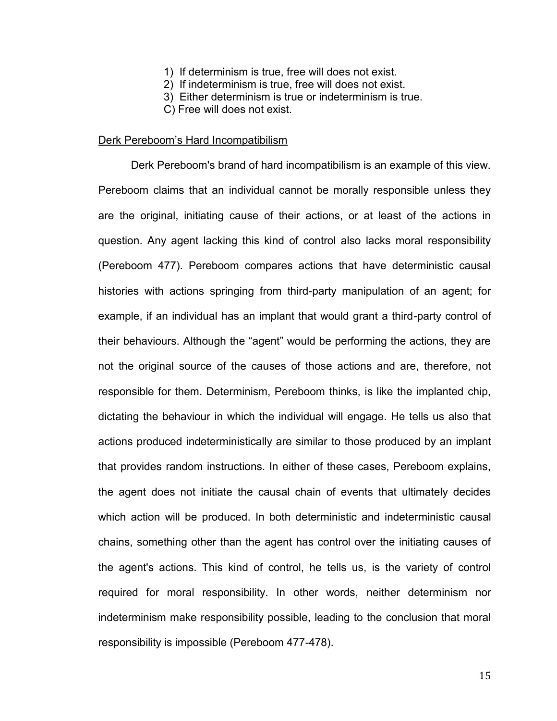- 1) If determinism is true, free will does not exist.
- 2) If indeterminism is true, free will does not exist.
- 3) Either determinism is true or indeterminism is true.
- C) Free will does not exist.

## Derk Pereboom's Hard Incompatibilism

Derk Pereboom's brand of hard incompatibilism is an example of this view. Pereboom claims that an individual cannot be morally responsible unless they are the original, initiating cause of their actions, or at least of the actions in question. Any agent lacking this kind of control also lacks moral responsibility (Pereboom 477). Pereboom compares actions that have deterministic causal histories with actions springing from third-party manipulation of an agent; for example, if an individual has an implant that would grant a third-party control of their behaviours. Although the "agent" would be performing the actions, they are not the original source of the causes of those actions and are, therefore, not responsible for them. Determinism, Pereboom thinks, is like the implanted chip, dictating the behaviour in which the individual will engage. He tells us also that actions produced indeterministically are similar to those produced by an implant that provides random instructions. In either of these cases, Pereboom explains, the agent does not initiate the causal chain of events that ultimately decides which action will be produced. In both deterministic and indeterministic causal chains, something other than the agent has control over the initiating causes of the agent's actions. This kind of control, he tells us, is the variety of control required for moral responsibility. In other words, neither determinism nor indeterminism make responsibility possible, leading to the conclusion that moral responsibility is impossible (Pereboom 477-478).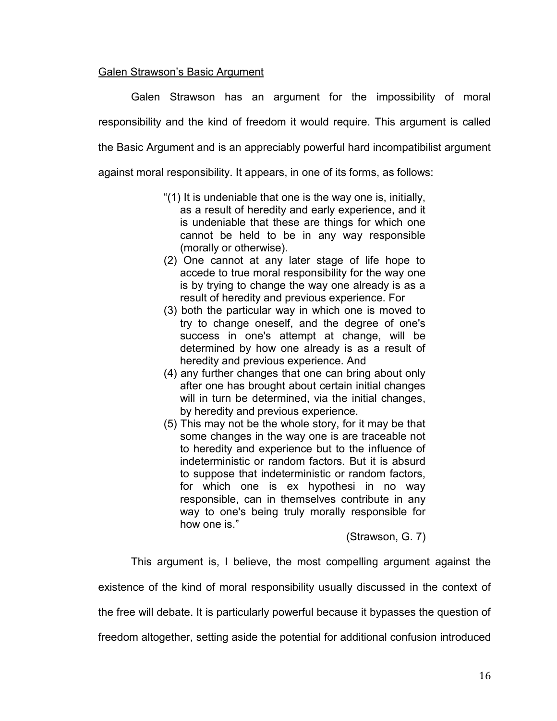# Galen Strawson's Basic Argument

Galen Strawson has an argument for the impossibility of moral responsibility and the kind of freedom it would require. This argument is called the Basic Argument and is an appreciably powerful hard incompatibilist argument against moral responsibility. It appears, in one of its forms, as follows:

- "(1) It is undeniable that one is the way one is, initially, as a result of heredity and early experience, and it is undeniable that these are things for which one cannot be held to be in any way responsible (morally or otherwise).
- (2) One cannot at any later stage of life hope to accede to true moral responsibility for the way one is by trying to change the way one already is as a result of heredity and previous experience. For
- (3) both the particular way in which one is moved to try to change oneself, and the degree of one's success in one's attempt at change, will be determined by how one already is as a result of heredity and previous experience. And
- (4) any further changes that one can bring about only after one has brought about certain initial changes will in turn be determined, via the initial changes, by heredity and previous experience.
- (5) This may not be the whole story, for it may be that some changes in the way one is are traceable not to heredity and experience but to the influence of indeterministic or random factors. But it is absurd to suppose that indeterministic or random factors, for which one is ex hypothesi in no way responsible, can in themselves contribute in any way to one's being truly morally responsible for how one is."

(Strawson, G. 7)

This argument is, I believe, the most compelling argument against the

existence of the kind of moral responsibility usually discussed in the context of

the free will debate. It is particularly powerful because it bypasses the question of

freedom altogether, setting aside the potential for additional confusion introduced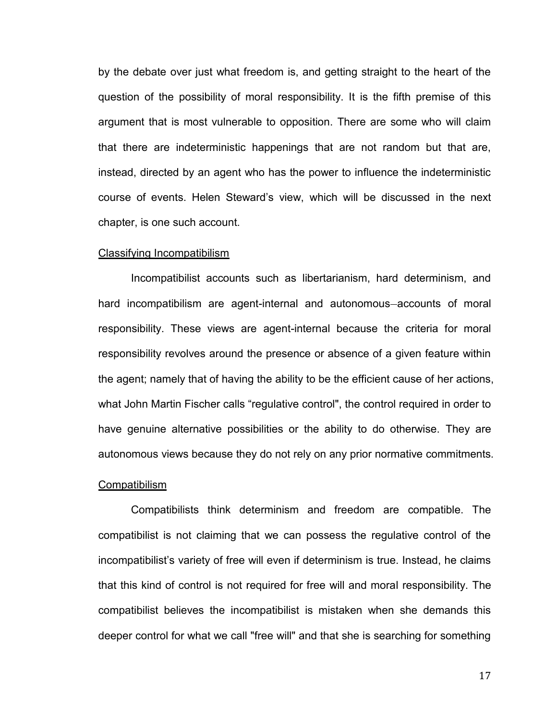by the debate over just what freedom is, and getting straight to the heart of the question of the possibility of moral responsibility. It is the fifth premise of this argument that is most vulnerable to opposition. There are some who will claim that there are indeterministic happenings that are not random but that are, instead, directed by an agent who has the power to influence the indeterministic course of events. Helen Steward's view, which will be discussed in the next chapter, is one such account.

#### Classifying Incompatibilism

Incompatibilist accounts such as libertarianism, hard determinism, and hard incompatibilism are agent-internal and autonomous-accounts of moral responsibility. These views are agent-internal because the criteria for moral responsibility revolves around the presence or absence of a given feature within the agent; namely that of having the ability to be the efficient cause of her actions, what John Martin Fischer calls "regulative control", the control required in order to have genuine alternative possibilities or the ability to do otherwise. They are autonomous views because they do not rely on any prior normative commitments.

## **Compatibilism**

Compatibilists think determinism and freedom are compatible. The compatibilist is not claiming that we can possess the regulative control of the incompatibilist's variety of free will even if determinism is true. Instead, he claims that this kind of control is not required for free will and moral responsibility. The compatibilist believes the incompatibilist is mistaken when she demands this deeper control for what we call "free will" and that she is searching for something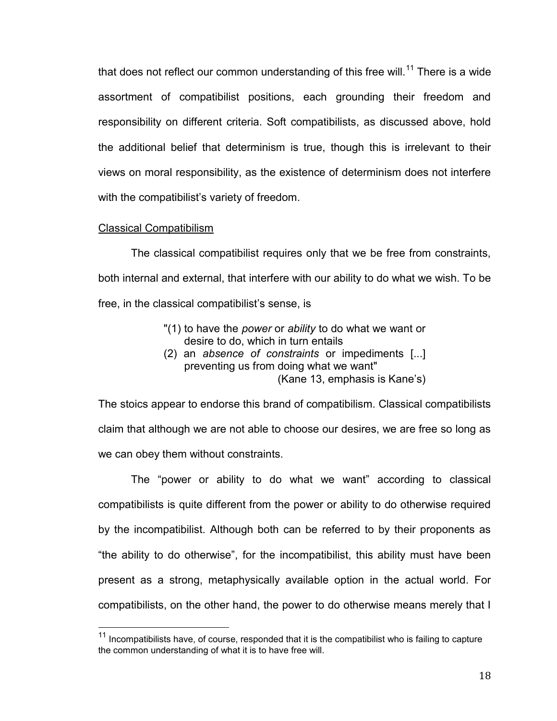that does not reflect our common understanding of this free will.<sup>11</sup> There is a wide assortment of compatibilist positions, each grounding their freedom and responsibility on different criteria. Soft compatibilists, as discussed above, hold the additional belief that determinism is true, though this is irrelevant to their views on moral responsibility, as the existence of determinism does not interfere with the compatibilist's variety of freedom.

## Classical Compatibilism

l

The classical compatibilist requires only that we be free from constraints, both internal and external, that interfere with our ability to do what we wish. To be free, in the classical compatibilist's sense, is

- "(1) to have the *power* or *ability* to do what we want or desire to do, which in turn entails
- (2) an *absence of constraints* or impediments [...] preventing us from doing what we want" (Kane 13, emphasis is Kane's)

The stoics appear to endorse this brand of compatibilism. Classical compatibilists claim that although we are not able to choose our desires, we are free so long as we can obey them without constraints.

The "power or ability to do what we want" according to classical compatibilists is quite different from the power or ability to do otherwise required by the incompatibilist. Although both can be referred to by their proponents as "the ability to do otherwise", for the incompatibilist, this ability must have been present as a strong, metaphysically available option in the actual world. For compatibilists, on the other hand, the power to do otherwise means merely that I

 $11$  Incompatibilists have, of course, responded that it is the compatibilist who is failing to capture the common understanding of what it is to have free will.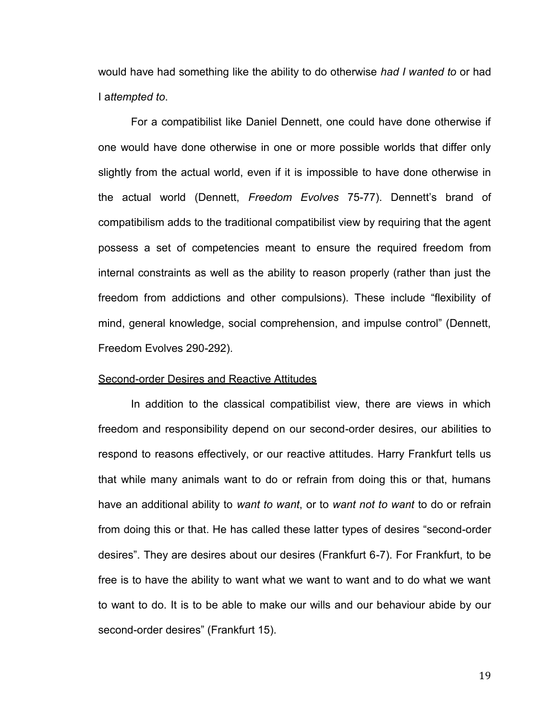would have had something like the ability to do otherwise *had I wanted to* or had I a*ttempted to*.

For a compatibilist like Daniel Dennett, one could have done otherwise if one would have done otherwise in one or more possible worlds that differ only slightly from the actual world, even if it is impossible to have done otherwise in the actual world (Dennett, *Freedom Evolves* 75-77). Dennett's brand of compatibilism adds to the traditional compatibilist view by requiring that the agent possess a set of competencies meant to ensure the required freedom from internal constraints as well as the ability to reason properly (rather than just the freedom from addictions and other compulsions). These include "flexibility of mind, general knowledge, social comprehension, and impulse control" (Dennett, Freedom Evolves 290-292).

#### Second-order Desires and Reactive Attitudes

In addition to the classical compatibilist view, there are views in which freedom and responsibility depend on our second-order desires, our abilities to respond to reasons effectively, or our reactive attitudes. Harry Frankfurt tells us that while many animals want to do or refrain from doing this or that, humans have an additional ability to *want to want*, or to *want not to want* to do or refrain from doing this or that. He has called these latter types of desires "second-order desires". They are desires about our desires (Frankfurt 6-7). For Frankfurt, to be free is to have the ability to want what we want to want and to do what we want to want to do. It is to be able to make our wills and our behaviour abide by our second-order desires" (Frankfurt 15).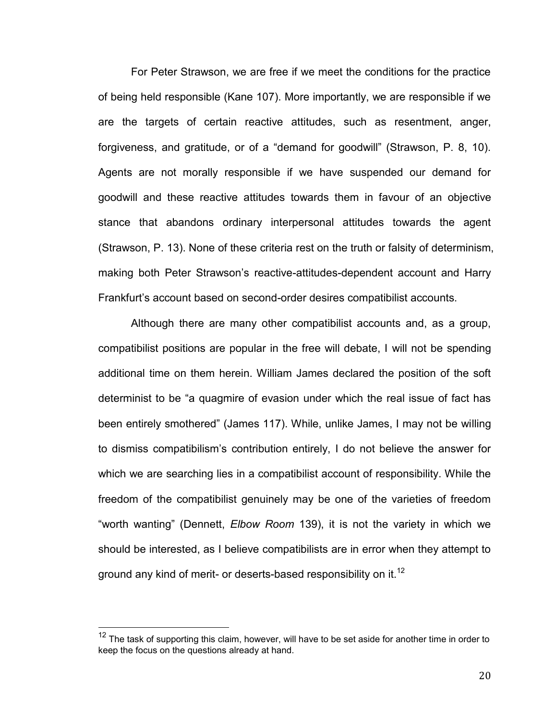For Peter Strawson, we are free if we meet the conditions for the practice of being held responsible (Kane 107). More importantly, we are responsible if we are the targets of certain reactive attitudes, such as resentment, anger, forgiveness, and gratitude, or of a "demand for goodwill" (Strawson, P. 8, 10). Agents are not morally responsible if we have suspended our demand for goodwill and these reactive attitudes towards them in favour of an objective stance that abandons ordinary interpersonal attitudes towards the agent (Strawson, P. 13). None of these criteria rest on the truth or falsity of determinism, making both Peter Strawson's reactive-attitudes-dependent account and Harry Frankfurt's account based on second-order desires compatibilist accounts.

Although there are many other compatibilist accounts and, as a group, compatibilist positions are popular in the free will debate, I will not be spending additional time on them herein. William James declared the position of the soft determinist to be "a quagmire of evasion under which the real issue of fact has been entirely smothered" (James 117). While, unlike James, I may not be willing to dismiss compatibilism's contribution entirely, I do not believe the answer for which we are searching lies in a compatibilist account of responsibility. While the freedom of the compatibilist genuinely may be one of the varieties of freedom "worth wanting" (Dennett, *Elbow Room* 139), it is not the variety in which we should be interested, as I believe compatibilists are in error when they attempt to ground any kind of merit- or deserts-based responsibility on it.<sup>12</sup>

l

 $12$  The task of supporting this claim, however, will have to be set aside for another time in order to keep the focus on the questions already at hand.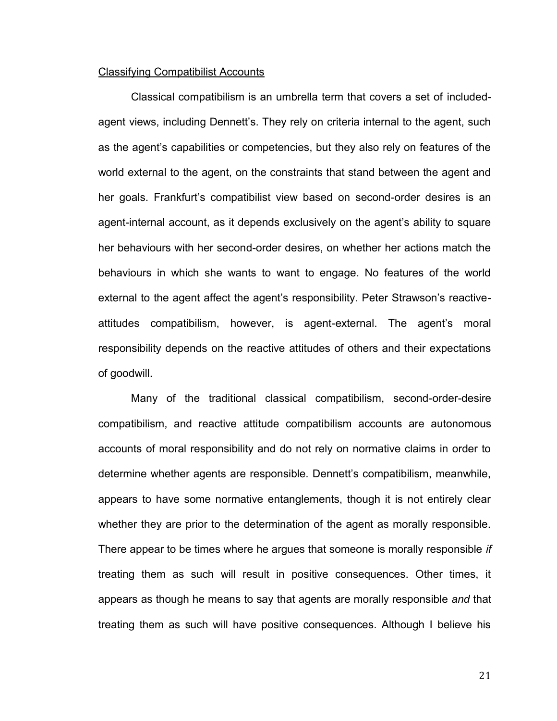## Classifying Compatibilist Accounts

Classical compatibilism is an umbrella term that covers a set of includedagent views, including Dennett's. They rely on criteria internal to the agent, such as the agent's capabilities or competencies, but they also rely on features of the world external to the agent, on the constraints that stand between the agent and her goals. Frankfurt's compatibilist view based on second-order desires is an agent-internal account, as it depends exclusively on the agent's ability to square her behaviours with her second-order desires, on whether her actions match the behaviours in which she wants to want to engage. No features of the world external to the agent affect the agent's responsibility. Peter Strawson's reactiveattitudes compatibilism, however, is agent-external. The agent's moral responsibility depends on the reactive attitudes of others and their expectations of goodwill.

Many of the traditional classical compatibilism, second-order-desire compatibilism, and reactive attitude compatibilism accounts are autonomous accounts of moral responsibility and do not rely on normative claims in order to determine whether agents are responsible. Dennett's compatibilism, meanwhile, appears to have some normative entanglements, though it is not entirely clear whether they are prior to the determination of the agent as morally responsible. There appear to be times where he argues that someone is morally responsible *if* treating them as such will result in positive consequences. Other times, it appears as though he means to say that agents are morally responsible *and* that treating them as such will have positive consequences. Although I believe his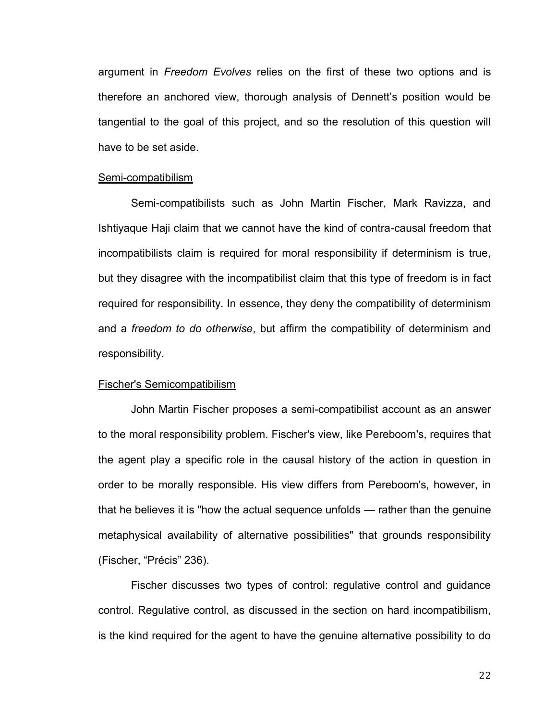argument in *Freedom Evolves* relies on the first of these two options and is therefore an anchored view, thorough analysis of Dennett's position would be tangential to the goal of this project, and so the resolution of this question will have to be set aside.

#### Semi-compatibilism

Semi-compatibilists such as John Martin Fischer, Mark Ravizza, and Ishtiyaque Haji claim that we cannot have the kind of contra-causal freedom that incompatibilists claim is required for moral responsibility if determinism is true, but they disagree with the incompatibilist claim that this type of freedom is in fact required for responsibility. In essence, they deny the compatibility of determinism and a *freedom to do otherwise*, but affirm the compatibility of determinism and responsibility.

#### Fischer's Semicompatibilism

John Martin Fischer proposes a semi-compatibilist account as an answer to the moral responsibility problem. Fischer's view, like Pereboom's, requires that the agent play a specific role in the causal history of the action in question in order to be morally responsible. His view differs from Pereboom's, however, in that he believes it is "how the actual sequence unfolds — rather than the genuine metaphysical availability of alternative possibilities" that grounds responsibility (Fischer, "Précis" 236).

Fischer discusses two types of control: regulative control and guidance control. Regulative control, as discussed in the section on hard incompatibilism, is the kind required for the agent to have the genuine alternative possibility to do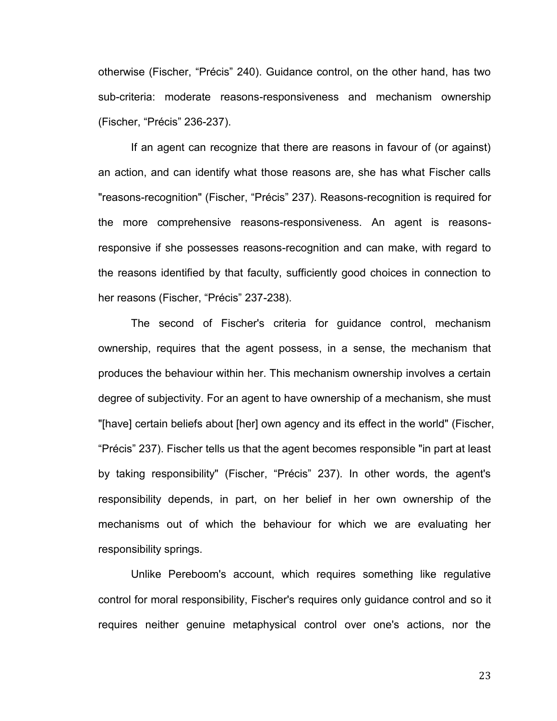otherwise (Fischer, "Précis" 240). Guidance control, on the other hand, has two sub-criteria: moderate reasons-responsiveness and mechanism ownership (Fischer, "Précis" 236-237).

If an agent can recognize that there are reasons in favour of (or against) an action, and can identify what those reasons are, she has what Fischer calls "reasons-recognition" (Fischer, "Précis" 237). Reasons-recognition is required for the more comprehensive reasons-responsiveness. An agent is reasonsresponsive if she possesses reasons-recognition and can make, with regard to the reasons identified by that faculty, sufficiently good choices in connection to her reasons (Fischer, "Précis" 237-238).

The second of Fischer's criteria for guidance control, mechanism ownership, requires that the agent possess, in a sense, the mechanism that produces the behaviour within her. This mechanism ownership involves a certain degree of subjectivity. For an agent to have ownership of a mechanism, she must "[have] certain beliefs about [her] own agency and its effect in the world" (Fischer, "Précis" 237). Fischer tells us that the agent becomes responsible "in part at least by taking responsibility" (Fischer, "Précis" 237). In other words, the agent's responsibility depends, in part, on her belief in her own ownership of the mechanisms out of which the behaviour for which we are evaluating her responsibility springs.

Unlike Pereboom's account, which requires something like regulative control for moral responsibility, Fischer's requires only guidance control and so it requires neither genuine metaphysical control over one's actions, nor the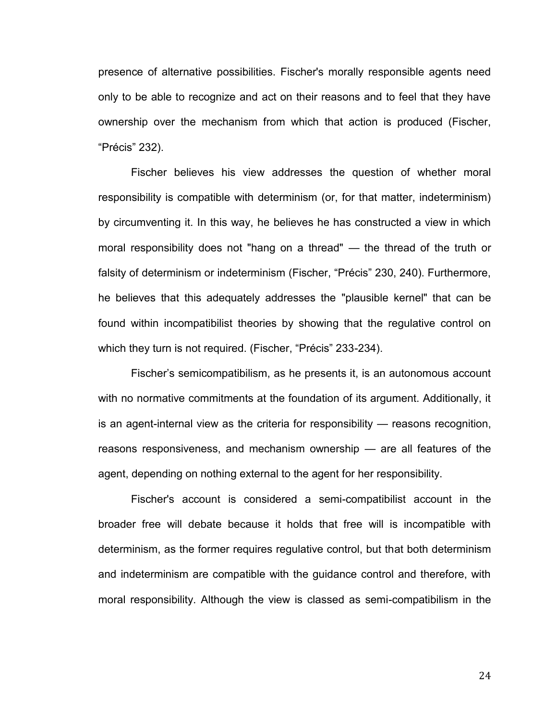presence of alternative possibilities. Fischer's morally responsible agents need only to be able to recognize and act on their reasons and to feel that they have ownership over the mechanism from which that action is produced (Fischer, "Précis" 232).

Fischer believes his view addresses the question of whether moral responsibility is compatible with determinism (or, for that matter, indeterminism) by circumventing it. In this way, he believes he has constructed a view in which moral responsibility does not "hang on a thread" — the thread of the truth or falsity of determinism or indeterminism (Fischer, "Précis" 230, 240). Furthermore, he believes that this adequately addresses the "plausible kernel" that can be found within incompatibilist theories by showing that the regulative control on which they turn is not required. (Fischer, "Précis" 233-234).

Fischer's semicompatibilism, as he presents it, is an autonomous account with no normative commitments at the foundation of its argument. Additionally, it is an agent-internal view as the criteria for responsibility — reasons recognition, reasons responsiveness, and mechanism ownership — are all features of the agent, depending on nothing external to the agent for her responsibility.

Fischer's account is considered a semi-compatibilist account in the broader free will debate because it holds that free will is incompatible with determinism, as the former requires regulative control, but that both determinism and indeterminism are compatible with the guidance control and therefore, with moral responsibility. Although the view is classed as semi-compatibilism in the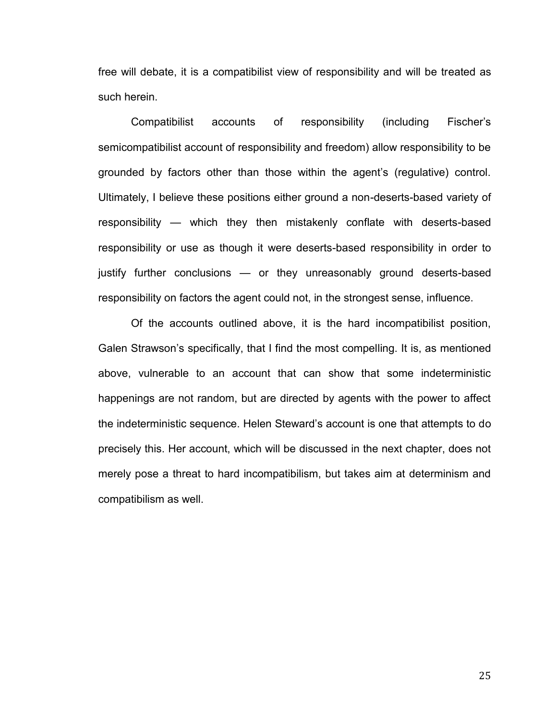free will debate, it is a compatibilist view of responsibility and will be treated as such herein.

Compatibilist accounts of responsibility (including Fischer's semicompatibilist account of responsibility and freedom) allow responsibility to be grounded by factors other than those within the agent's (regulative) control. Ultimately, I believe these positions either ground a non-deserts-based variety of responsibility — which they then mistakenly conflate with deserts-based responsibility or use as though it were deserts-based responsibility in order to justify further conclusions — or they unreasonably ground deserts-based responsibility on factors the agent could not, in the strongest sense, influence.

Of the accounts outlined above, it is the hard incompatibilist position, Galen Strawson's specifically, that I find the most compelling. It is, as mentioned above, vulnerable to an account that can show that some indeterministic happenings are not random, but are directed by agents with the power to affect the indeterministic sequence. Helen Steward's account is one that attempts to do precisely this. Her account, which will be discussed in the next chapter, does not merely pose a threat to hard incompatibilism, but takes aim at determinism and compatibilism as well.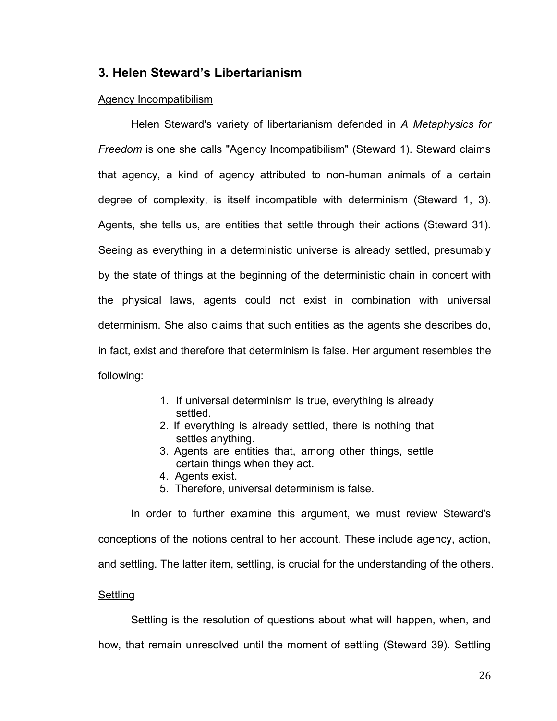# **3. Helen Steward's Libertarianism**

## Agency Incompatibilism

Helen Steward's variety of libertarianism defended in *A Metaphysics for Freedom* is one she calls "Agency Incompatibilism" (Steward 1). Steward claims that agency, a kind of agency attributed to non-human animals of a certain degree of complexity, is itself incompatible with determinism (Steward 1, 3). Agents, she tells us, are entities that settle through their actions (Steward 31). Seeing as everything in a deterministic universe is already settled, presumably by the state of things at the beginning of the deterministic chain in concert with the physical laws, agents could not exist in combination with universal determinism. She also claims that such entities as the agents she describes do, in fact, exist and therefore that determinism is false. Her argument resembles the following:

- 1. If universal determinism is true, everything is already settled.
- 2. If everything is already settled, there is nothing that settles anything.
- 3. Agents are entities that, among other things, settle certain things when they act.
- 4. Agents exist.
- 5. Therefore, universal determinism is false.

In order to further examine this argument, we must review Steward's conceptions of the notions central to her account. These include agency, action, and settling. The latter item, settling, is crucial for the understanding of the others.

## **Settling**

Settling is the resolution of questions about what will happen, when, and how, that remain unresolved until the moment of settling (Steward 39). Settling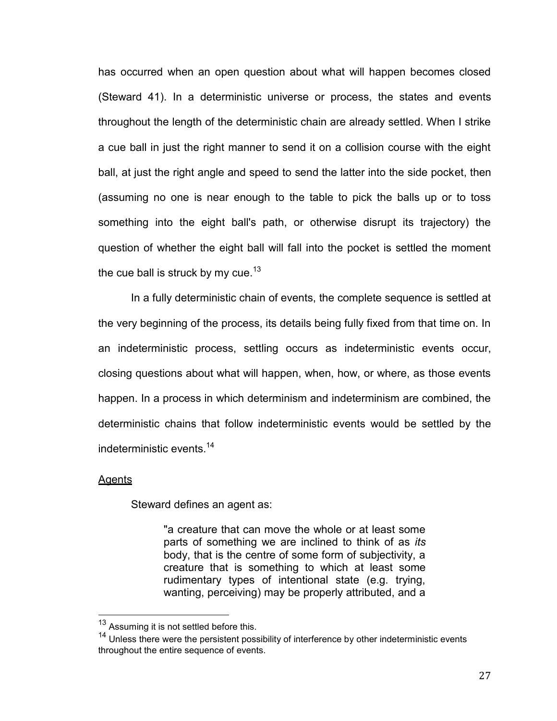has occurred when an open question about what will happen becomes closed (Steward 41). In a deterministic universe or process, the states and events throughout the length of the deterministic chain are already settled. When I strike a cue ball in just the right manner to send it on a collision course with the eight ball, at just the right angle and speed to send the latter into the side pocket, then (assuming no one is near enough to the table to pick the balls up or to toss something into the eight ball's path, or otherwise disrupt its trajectory) the question of whether the eight ball will fall into the pocket is settled the moment the cue ball is struck by my cue.<sup>13</sup>

In a fully deterministic chain of events, the complete sequence is settled at the very beginning of the process, its details being fully fixed from that time on. In an indeterministic process, settling occurs as indeterministic events occur, closing questions about what will happen, when, how, or where, as those events happen. In a process in which determinism and indeterminism are combined, the deterministic chains that follow indeterministic events would be settled by the indeterministic events.<sup>14</sup>

## Agents

l

Steward defines an agent as:

"a creature that can move the whole or at least some parts of something we are inclined to think of as *its* body, that is the centre of some form of subjectivity, a creature that is something to which at least some rudimentary types of intentional state (e.g. trying, wanting, perceiving) may be properly attributed, and a

 $13$  Assuming it is not settled before this.

<sup>&</sup>lt;sup>14</sup> Unless there were the persistent possibility of interference by other indeterministic events throughout the entire sequence of events.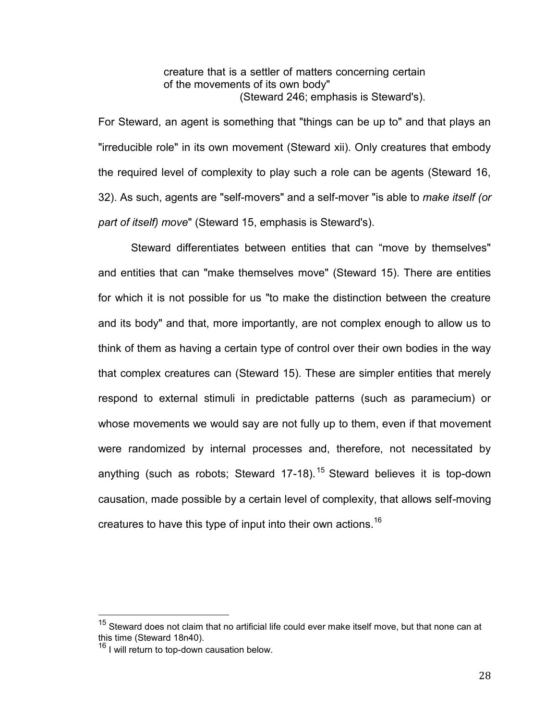creature that is a settler of matters concerning certain of the movements of its own body" (Steward 246; emphasis is Steward's).

For Steward, an agent is something that "things can be up to" and that plays an "irreducible role" in its own movement (Steward xii). Only creatures that embody the required level of complexity to play such a role can be agents (Steward 16, 32). As such, agents are "self-movers" and a self-mover "is able to *make itself (or part of itself) move*" (Steward 15, emphasis is Steward's).

Steward differentiates between entities that can "move by themselves" and entities that can "make themselves move" (Steward 15). There are entities for which it is not possible for us "to make the distinction between the creature and its body" and that, more importantly, are not complex enough to allow us to think of them as having a certain type of control over their own bodies in the way that complex creatures can (Steward 15). These are simpler entities that merely respond to external stimuli in predictable patterns (such as paramecium) or whose movements we would say are not fully up to them, even if that movement were randomized by internal processes and, therefore, not necessitated by anything (such as robots; Steward 17-18).<sup>15</sup> Steward believes it is top-down causation, made possible by a certain level of complexity, that allows self-moving creatures to have this type of input into their own actions.<sup>16</sup>

l

 $15$  Steward does not claim that no artificial life could ever make itself move, but that none can at this time (Steward 18n40).

<sup>&</sup>lt;sup>16</sup> I will return to top-down causation below.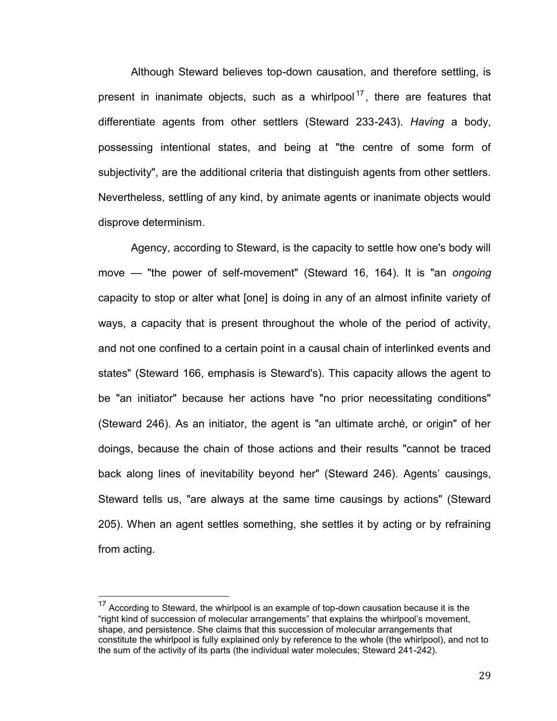Although Steward believes top-down causation, and therefore settling, is present in inanimate objects, such as a whirlpool<sup>17</sup>, there are features that differentiate agents from other settlers (Steward 233-243). *Having* a body, possessing intentional states, and being at "the centre of some form of subjectivity", are the additional criteria that distinguish agents from other settlers. Nevertheless, settling of any kind, by animate agents or inanimate objects would disprove determinism.

Agency, according to Steward, is the capacity to settle how one's body will move — "the power of self-movement" (Steward 16, 164). It is "an *ongoing* capacity to stop or alter what [one] is doing in any of an almost infinite variety of ways, a capacity that is present throughout the whole of the period of activity, and not one confined to a certain point in a causal chain of interlinked events and states" (Steward 166, emphasis is Steward's). This capacity allows the agent to be "an initiator" because her actions have "no prior necessitating conditions" (Steward 246). As an initiator, the agent is "an ultimate arché, or origin" of her doings, because the chain of those actions and their results "cannot be traced back along lines of inevitability beyond her" (Steward 246). Agents' causings, Steward tells us, "are always at the same time causings by actions" (Steward 205). When an agent settles something, she settles it by acting or by refraining from acting.

 $\overline{\phantom{a}}$ 

 $17$  According to Steward, the whirlpool is an example of top-down causation because it is the "right kind of succession of molecular arrangements" that explains the whirlpool's movement, shape, and persistence. She claims that this succession of molecular arrangements that constitute the whirlpool is fully explained only by reference to the whole (the whirlpool), and not to the sum of the activity of its parts (the individual water molecules; Steward 241-242).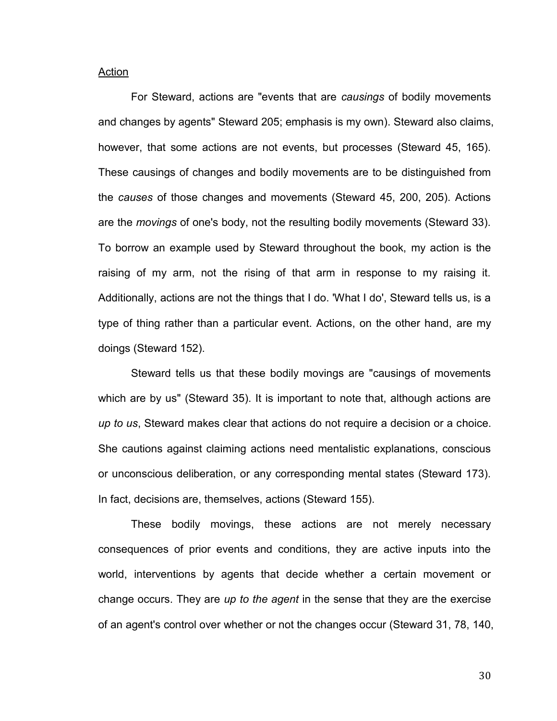## Action

For Steward, actions are "events that are *causings* of bodily movements and changes by agents" Steward 205; emphasis is my own). Steward also claims, however, that some actions are not events, but processes (Steward 45, 165). These causings of changes and bodily movements are to be distinguished from the *causes* of those changes and movements (Steward 45, 200, 205). Actions are the *movings* of one's body, not the resulting bodily movements (Steward 33). To borrow an example used by Steward throughout the book, my action is the raising of my arm, not the rising of that arm in response to my raising it. Additionally, actions are not the things that I do. 'What I do', Steward tells us, is a type of thing rather than a particular event. Actions, on the other hand, are my doings (Steward 152).

Steward tells us that these bodily movings are "causings of movements which are by us" (Steward 35). It is important to note that, although actions are *up to us*, Steward makes clear that actions do not require a decision or a choice. She cautions against claiming actions need mentalistic explanations, conscious or unconscious deliberation, or any corresponding mental states (Steward 173). In fact, decisions are, themselves, actions (Steward 155).

These bodily movings, these actions are not merely necessary consequences of prior events and conditions, they are active inputs into the world, interventions by agents that decide whether a certain movement or change occurs. They are *up to the agent* in the sense that they are the exercise of an agent's control over whether or not the changes occur (Steward 31, 78, 140,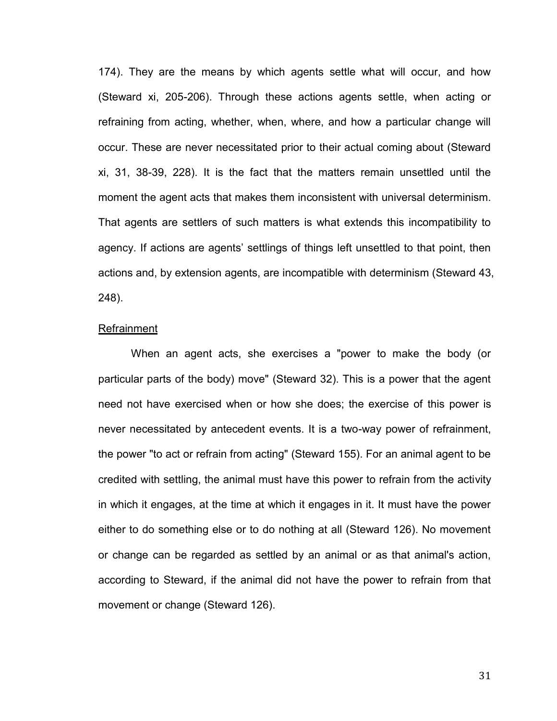174). They are the means by which agents settle what will occur, and how (Steward xi, 205-206). Through these actions agents settle, when acting or refraining from acting, whether, when, where, and how a particular change will occur. These are never necessitated prior to their actual coming about (Steward xi, 31, 38-39, 228). It is the fact that the matters remain unsettled until the moment the agent acts that makes them inconsistent with universal determinism. That agents are settlers of such matters is what extends this incompatibility to agency. If actions are agents' settlings of things left unsettled to that point, then actions and, by extension agents, are incompatible with determinism (Steward 43, 248).

#### Refrainment

When an agent acts, she exercises a "power to make the body (or particular parts of the body) move" (Steward 32). This is a power that the agent need not have exercised when or how she does; the exercise of this power is never necessitated by antecedent events. It is a two-way power of refrainment, the power "to act or refrain from acting" (Steward 155). For an animal agent to be credited with settling, the animal must have this power to refrain from the activity in which it engages, at the time at which it engages in it. It must have the power either to do something else or to do nothing at all (Steward 126). No movement or change can be regarded as settled by an animal or as that animal's action, according to Steward, if the animal did not have the power to refrain from that movement or change (Steward 126).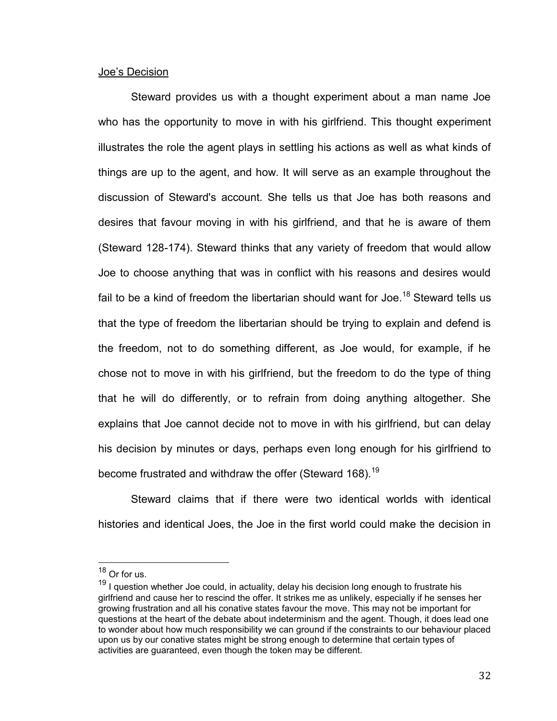## Joe's Decision

Steward provides us with a thought experiment about a man name Joe who has the opportunity to move in with his girlfriend. This thought experiment illustrates the role the agent plays in settling his actions as well as what kinds of things are up to the agent, and how. It will serve as an example throughout the discussion of Steward's account. She tells us that Joe has both reasons and desires that favour moving in with his girlfriend, and that he is aware of them (Steward 128-174). Steward thinks that any variety of freedom that would allow Joe to choose anything that was in conflict with his reasons and desires would fail to be a kind of freedom the libertarian should want for Joe.<sup>18</sup> Steward tells us that the type of freedom the libertarian should be trying to explain and defend is the freedom, not to do something different, as Joe would, for example, if he chose not to move in with his girlfriend, but the freedom to do the type of thing that he will do differently, or to refrain from doing anything altogether. She explains that Joe cannot decide not to move in with his girlfriend, but can delay his decision by minutes or days, perhaps even long enough for his girlfriend to become frustrated and withdraw the offer (Steward 168).<sup>19</sup>

Steward claims that if there were two identical worlds with identical histories and identical Joes, the Joe in the first world could make the decision in

 $\overline{a}$ 

 $18$  Or for us.

 $19$  I question whether Joe could, in actuality, delay his decision long enough to frustrate his girlfriend and cause her to rescind the offer. It strikes me as unlikely, especially if he senses her growing frustration and all his conative states favour the move. This may not be important for questions at the heart of the debate about indeterminism and the agent. Though, it does lead one to wonder about how much responsibility we can ground if the constraints to our behaviour placed upon us by our conative states might be strong enough to determine that certain types of activities are guaranteed, even though the token may be different.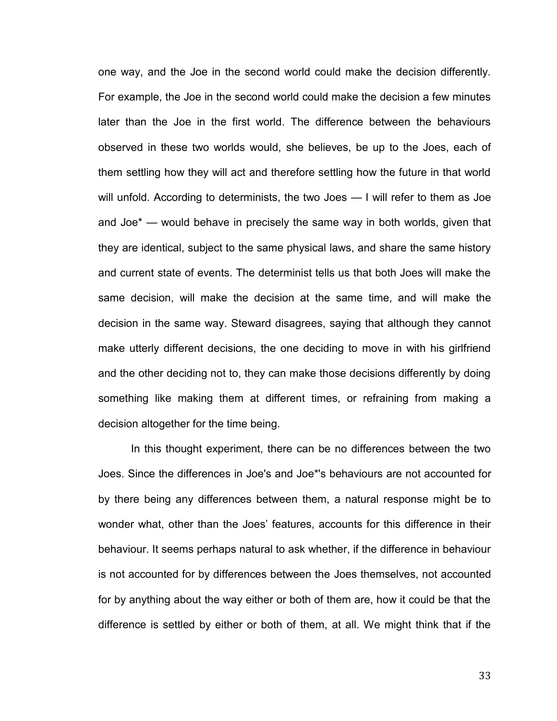one way, and the Joe in the second world could make the decision differently. For example, the Joe in the second world could make the decision a few minutes later than the Joe in the first world. The difference between the behaviours observed in these two worlds would, she believes, be up to the Joes, each of them settling how they will act and therefore settling how the future in that world will unfold. According to determinists, the two Joes — I will refer to them as Joe and Joe\* — would behave in precisely the same way in both worlds, given that they are identical, subject to the same physical laws, and share the same history and current state of events. The determinist tells us that both Joes will make the same decision, will make the decision at the same time, and will make the decision in the same way. Steward disagrees, saying that although they cannot make utterly different decisions, the one deciding to move in with his girlfriend and the other deciding not to, they can make those decisions differently by doing something like making them at different times, or refraining from making a decision altogether for the time being.

In this thought experiment, there can be no differences between the two Joes. Since the differences in Joe's and Joe\*'s behaviours are not accounted for by there being any differences between them, a natural response might be to wonder what, other than the Joes' features, accounts for this difference in their behaviour. It seems perhaps natural to ask whether, if the difference in behaviour is not accounted for by differences between the Joes themselves, not accounted for by anything about the way either or both of them are, how it could be that the difference is settled by either or both of them, at all. We might think that if the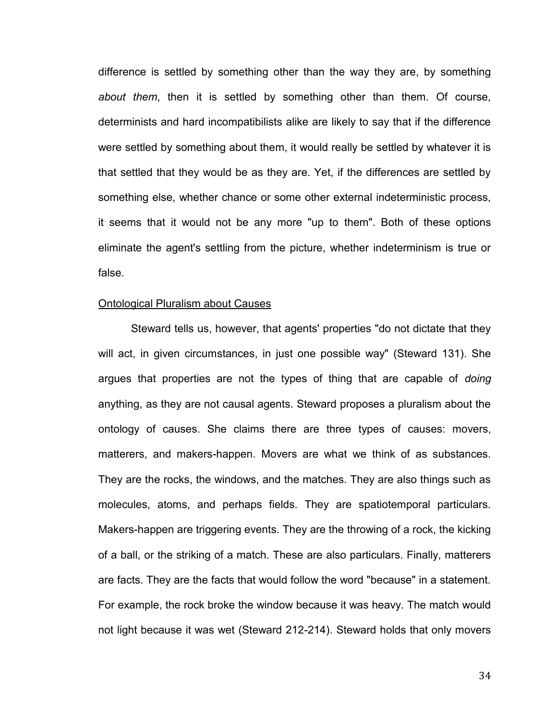difference is settled by something other than the way they are, by something *about them*, then it is settled by something other than them. Of course, determinists and hard incompatibilists alike are likely to say that if the difference were settled by something about them, it would really be settled by whatever it is that settled that they would be as they are. Yet, if the differences are settled by something else, whether chance or some other external indeterministic process, it seems that it would not be any more "up to them". Both of these options eliminate the agent's settling from the picture, whether indeterminism is true or false.

## Ontological Pluralism about Causes

Steward tells us, however, that agents' properties "do not dictate that they will act, in given circumstances, in just one possible way" (Steward 131). She argues that properties are not the types of thing that are capable of *doing* anything, as they are not causal agents. Steward proposes a pluralism about the ontology of causes. She claims there are three types of causes: movers, matterers, and makers-happen. Movers are what we think of as substances. They are the rocks, the windows, and the matches. They are also things such as molecules, atoms, and perhaps fields. They are spatiotemporal particulars. Makers-happen are triggering events. They are the throwing of a rock, the kicking of a ball, or the striking of a match. These are also particulars. Finally, matterers are facts. They are the facts that would follow the word "because" in a statement. For example, the rock broke the window because it was heavy. The match would not light because it was wet (Steward 212-214). Steward holds that only movers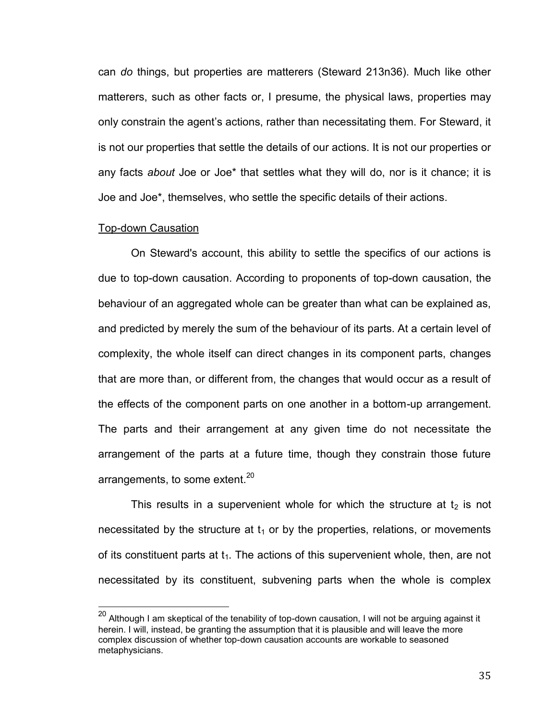can *do* things, but properties are matterers (Steward 213n36). Much like other matterers, such as other facts or, I presume, the physical laws, properties may only constrain the agent's actions, rather than necessitating them. For Steward, it is not our properties that settle the details of our actions. It is not our properties or any facts *about* Joe or Joe\* that settles what they will do, nor is it chance; it is Joe and Joe\*, themselves, who settle the specific details of their actions.

#### Top-down Causation

 $\overline{a}$ 

On Steward's account, this ability to settle the specifics of our actions is due to top-down causation. According to proponents of top-down causation, the behaviour of an aggregated whole can be greater than what can be explained as, and predicted by merely the sum of the behaviour of its parts. At a certain level of complexity, the whole itself can direct changes in its component parts, changes that are more than, or different from, the changes that would occur as a result of the effects of the component parts on one another in a bottom-up arrangement. The parts and their arrangement at any given time do not necessitate the arrangement of the parts at a future time, though they constrain those future arrangements, to some extent.<sup>20</sup>

This results in a supervenient whole for which the structure at  $t_2$  is not necessitated by the structure at  $t_1$  or by the properties, relations, or movements of its constituent parts at  $t_1$ . The actions of this supervenient whole, then, are not necessitated by its constituent, subvening parts when the whole is complex

 $^{20}$  Although I am skeptical of the tenability of top-down causation, I will not be arguing against it herein. I will, instead, be granting the assumption that it is plausible and will leave the more complex discussion of whether top-down causation accounts are workable to seasoned metaphysicians.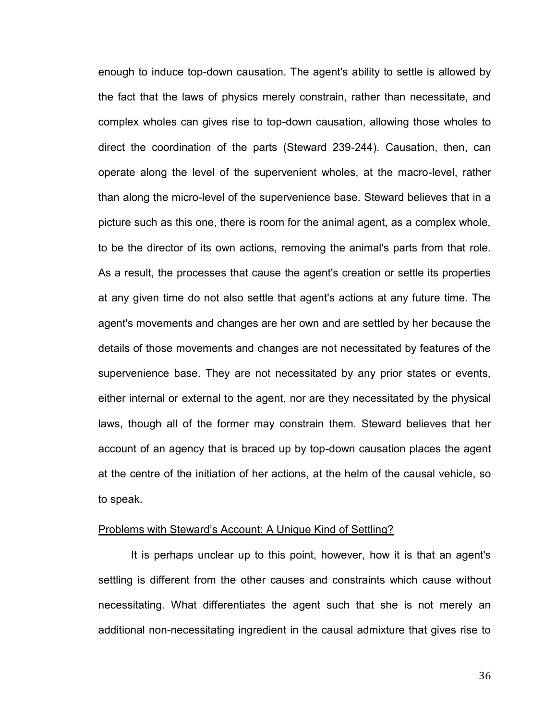enough to induce top-down causation. The agent's ability to settle is allowed by the fact that the laws of physics merely constrain, rather than necessitate, and complex wholes can gives rise to top-down causation, allowing those wholes to direct the coordination of the parts (Steward 239-244). Causation, then, can operate along the level of the supervenient wholes, at the macro-level, rather than along the micro-level of the supervenience base. Steward believes that in a picture such as this one, there is room for the animal agent, as a complex whole, to be the director of its own actions, removing the animal's parts from that role. As a result, the processes that cause the agent's creation or settle its properties at any given time do not also settle that agent's actions at any future time. The agent's movements and changes are her own and are settled by her because the details of those movements and changes are not necessitated by features of the supervenience base. They are not necessitated by any prior states or events, either internal or external to the agent, nor are they necessitated by the physical laws, though all of the former may constrain them. Steward believes that her account of an agency that is braced up by top-down causation places the agent at the centre of the initiation of her actions, at the helm of the causal vehicle, so to speak.

#### Problems with Steward's Account: A Unique Kind of Settling?

It is perhaps unclear up to this point, however, how it is that an agent's settling is different from the other causes and constraints which cause without necessitating. What differentiates the agent such that she is not merely an additional non-necessitating ingredient in the causal admixture that gives rise to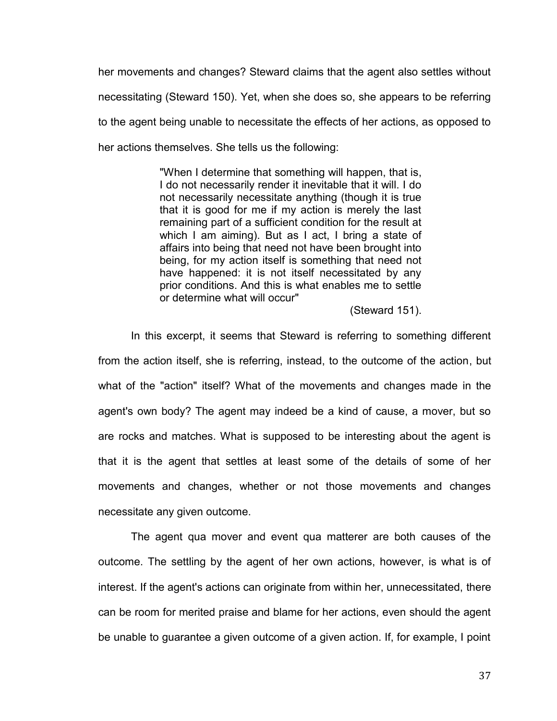her movements and changes? Steward claims that the agent also settles without necessitating (Steward 150). Yet, when she does so, she appears to be referring to the agent being unable to necessitate the effects of her actions, as opposed to her actions themselves. She tells us the following:

> "When I determine that something will happen, that is, I do not necessarily render it inevitable that it will. I do not necessarily necessitate anything (though it is true that it is good for me if my action is merely the last remaining part of a sufficient condition for the result at which I am aiming). But as I act, I bring a state of affairs into being that need not have been brought into being, for my action itself is something that need not have happened: it is not itself necessitated by any prior conditions. And this is what enables me to settle or determine what will occur"

(Steward 151).

In this excerpt, it seems that Steward is referring to something different from the action itself, she is referring, instead, to the outcome of the action, but what of the "action" itself? What of the movements and changes made in the agent's own body? The agent may indeed be a kind of cause, a mover, but so are rocks and matches. What is supposed to be interesting about the agent is that it is the agent that settles at least some of the details of some of her movements and changes, whether or not those movements and changes necessitate any given outcome.

The agent qua mover and event qua matterer are both causes of the outcome. The settling by the agent of her own actions, however, is what is of interest. If the agent's actions can originate from within her, unnecessitated, there can be room for merited praise and blame for her actions, even should the agent be unable to guarantee a given outcome of a given action. If, for example, I point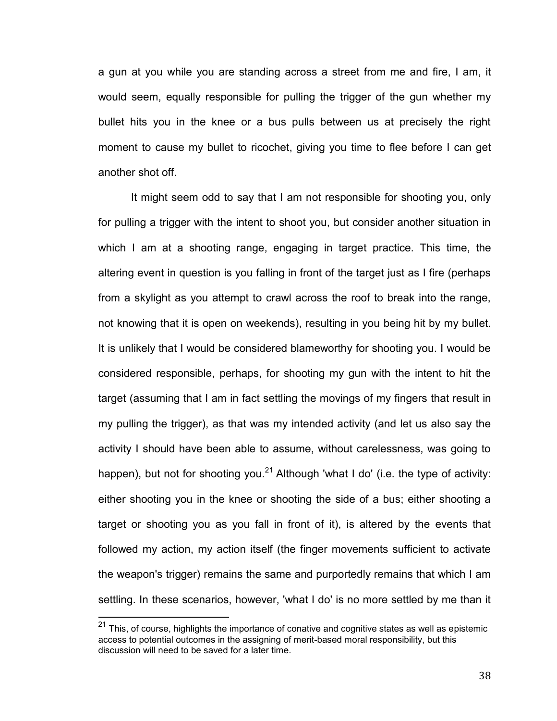a gun at you while you are standing across a street from me and fire, I am, it would seem, equally responsible for pulling the trigger of the gun whether my bullet hits you in the knee or a bus pulls between us at precisely the right moment to cause my bullet to ricochet, giving you time to flee before I can get another shot off.

It might seem odd to say that I am not responsible for shooting you, only for pulling a trigger with the intent to shoot you, but consider another situation in which I am at a shooting range, engaging in target practice. This time, the altering event in question is you falling in front of the target just as I fire (perhaps from a skylight as you attempt to crawl across the roof to break into the range, not knowing that it is open on weekends), resulting in you being hit by my bullet. It is unlikely that I would be considered blameworthy for shooting you. I would be considered responsible, perhaps, for shooting my gun with the intent to hit the target (assuming that I am in fact settling the movings of my fingers that result in my pulling the trigger), as that was my intended activity (and let us also say the activity I should have been able to assume, without carelessness, was going to happen), but not for shooting you.<sup>21</sup> Although 'what I do' (i.e. the type of activity: either shooting you in the knee or shooting the side of a bus; either shooting a target or shooting you as you fall in front of it), is altered by the events that followed my action, my action itself (the finger movements sufficient to activate the weapon's trigger) remains the same and purportedly remains that which I am settling. In these scenarios, however, 'what I do' is no more settled by me than it

 $\overline{a}$ 

 $^{21}$  This, of course, highlights the importance of conative and cognitive states as well as epistemic access to potential outcomes in the assigning of merit-based moral responsibility, but this discussion will need to be saved for a later time.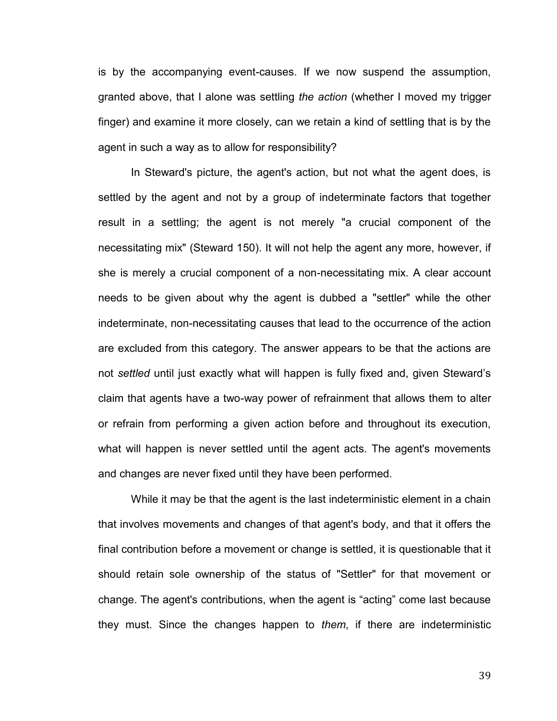is by the accompanying event-causes. If we now suspend the assumption, granted above, that I alone was settling *the action* (whether I moved my trigger finger) and examine it more closely, can we retain a kind of settling that is by the agent in such a way as to allow for responsibility?

In Steward's picture, the agent's action, but not what the agent does, is settled by the agent and not by a group of indeterminate factors that together result in a settling; the agent is not merely "a crucial component of the necessitating mix" (Steward 150). It will not help the agent any more, however, if she is merely a crucial component of a non-necessitating mix. A clear account needs to be given about why the agent is dubbed a "settler" while the other indeterminate, non-necessitating causes that lead to the occurrence of the action are excluded from this category. The answer appears to be that the actions are not *settled* until just exactly what will happen is fully fixed and, given Steward's claim that agents have a two-way power of refrainment that allows them to alter or refrain from performing a given action before and throughout its execution, what will happen is never settled until the agent acts. The agent's movements and changes are never fixed until they have been performed.

While it may be that the agent is the last indeterministic element in a chain that involves movements and changes of that agent's body, and that it offers the final contribution before a movement or change is settled, it is questionable that it should retain sole ownership of the status of "Settler" for that movement or change. The agent's contributions, when the agent is "acting" come last because they must. Since the changes happen to *them*, if there are indeterministic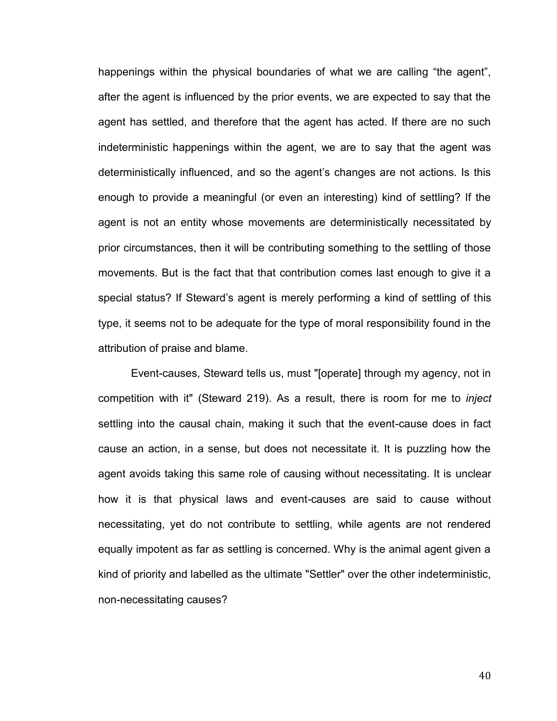happenings within the physical boundaries of what we are calling "the agent", after the agent is influenced by the prior events, we are expected to say that the agent has settled, and therefore that the agent has acted. If there are no such indeterministic happenings within the agent, we are to say that the agent was deterministically influenced, and so the agent's changes are not actions. Is this enough to provide a meaningful (or even an interesting) kind of settling? If the agent is not an entity whose movements are deterministically necessitated by prior circumstances, then it will be contributing something to the settling of those movements. But is the fact that that contribution comes last enough to give it a special status? If Steward's agent is merely performing a kind of settling of this type, it seems not to be adequate for the type of moral responsibility found in the attribution of praise and blame.

Event-causes, Steward tells us, must "[operate] through my agency, not in competition with it" (Steward 219). As a result, there is room for me to *inject* settling into the causal chain, making it such that the event-cause does in fact cause an action, in a sense, but does not necessitate it. It is puzzling how the agent avoids taking this same role of causing without necessitating. It is unclear how it is that physical laws and event-causes are said to cause without necessitating, yet do not contribute to settling, while agents are not rendered equally impotent as far as settling is concerned. Why is the animal agent given a kind of priority and labelled as the ultimate "Settler" over the other indeterministic, non-necessitating causes?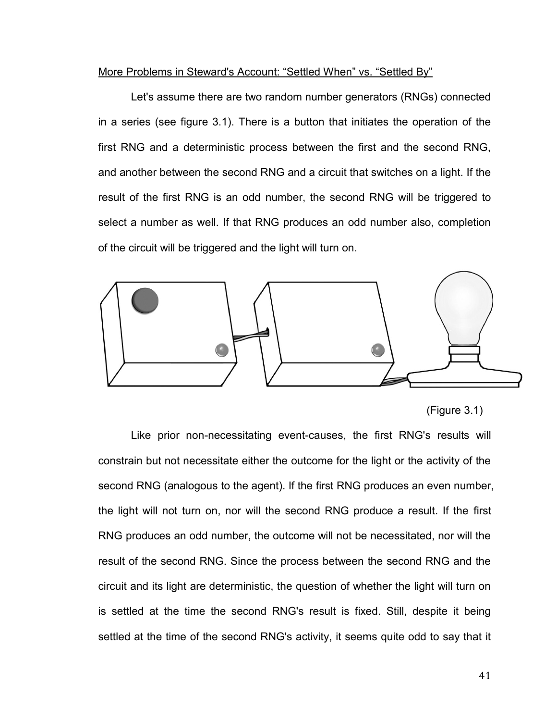# More Problems in Steward's Account: "Settled When" vs. "Settled By"

Let's assume there are two random number generators (RNGs) connected in a series (see figure 3.1). There is a button that initiates the operation of the first RNG and a deterministic process between the first and the second RNG, and another between the second RNG and a circuit that switches on a light. If the result of the first RNG is an odd number, the second RNG will be triggered to select a number as well. If that RNG produces an odd number also, completion of the circuit will be triggered and the light will turn on.



# (Figure 3.1)

Like prior non-necessitating event-causes, the first RNG's results will constrain but not necessitate either the outcome for the light or the activity of the second RNG (analogous to the agent). If the first RNG produces an even number, the light will not turn on, nor will the second RNG produce a result. If the first RNG produces an odd number, the outcome will not be necessitated, nor will the result of the second RNG. Since the process between the second RNG and the circuit and its light are deterministic, the question of whether the light will turn on is settled at the time the second RNG's result is fixed. Still, despite it being settled at the time of the second RNG's activity, it seems quite odd to say that it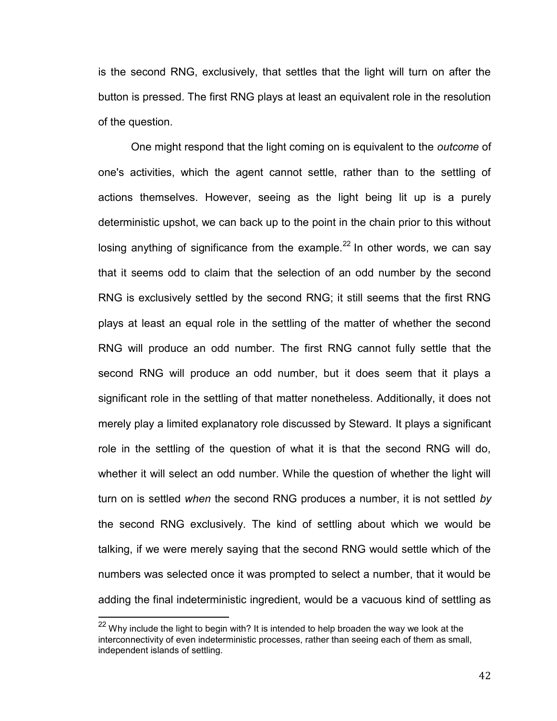is the second RNG, exclusively, that settles that the light will turn on after the button is pressed. The first RNG plays at least an equivalent role in the resolution of the question.

One might respond that the light coming on is equivalent to the *outcome* of one's activities, which the agent cannot settle, rather than to the settling of actions themselves. However, seeing as the light being lit up is a purely deterministic upshot, we can back up to the point in the chain prior to this without losing anything of significance from the example.<sup>22</sup> In other words, we can say that it seems odd to claim that the selection of an odd number by the second RNG is exclusively settled by the second RNG; it still seems that the first RNG plays at least an equal role in the settling of the matter of whether the second RNG will produce an odd number. The first RNG cannot fully settle that the second RNG will produce an odd number, but it does seem that it plays a significant role in the settling of that matter nonetheless. Additionally, it does not merely play a limited explanatory role discussed by Steward. It plays a significant role in the settling of the question of what it is that the second RNG will do, whether it will select an odd number. While the question of whether the light will turn on is settled *when* the second RNG produces a number, it is not settled *by* the second RNG exclusively. The kind of settling about which we would be talking, if we were merely saying that the second RNG would settle which of the numbers was selected once it was prompted to select a number, that it would be adding the final indeterministic ingredient, would be a vacuous kind of settling as

 $\overline{a}$ 

 $^{22}$  Why include the light to begin with? It is intended to help broaden the way we look at the interconnectivity of even indeterministic processes, rather than seeing each of them as small, independent islands of settling.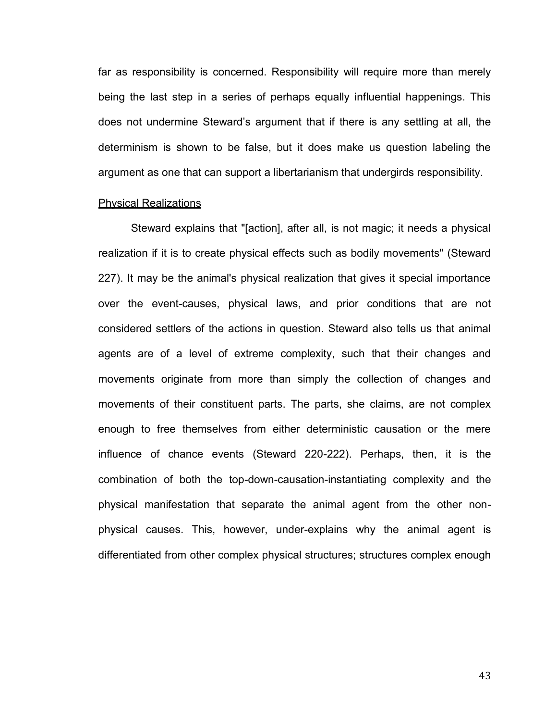far as responsibility is concerned. Responsibility will require more than merely being the last step in a series of perhaps equally influential happenings. This does not undermine Steward's argument that if there is any settling at all, the determinism is shown to be false, but it does make us question labeling the argument as one that can support a libertarianism that undergirds responsibility.

#### Physical Realizations

Steward explains that "[action], after all, is not magic; it needs a physical realization if it is to create physical effects such as bodily movements" (Steward 227). It may be the animal's physical realization that gives it special importance over the event-causes, physical laws, and prior conditions that are not considered settlers of the actions in question. Steward also tells us that animal agents are of a level of extreme complexity, such that their changes and movements originate from more than simply the collection of changes and movements of their constituent parts. The parts, she claims, are not complex enough to free themselves from either deterministic causation or the mere influence of chance events (Steward 220-222). Perhaps, then, it is the combination of both the top-down-causation-instantiating complexity and the physical manifestation that separate the animal agent from the other nonphysical causes. This, however, under-explains why the animal agent is differentiated from other complex physical structures; structures complex enough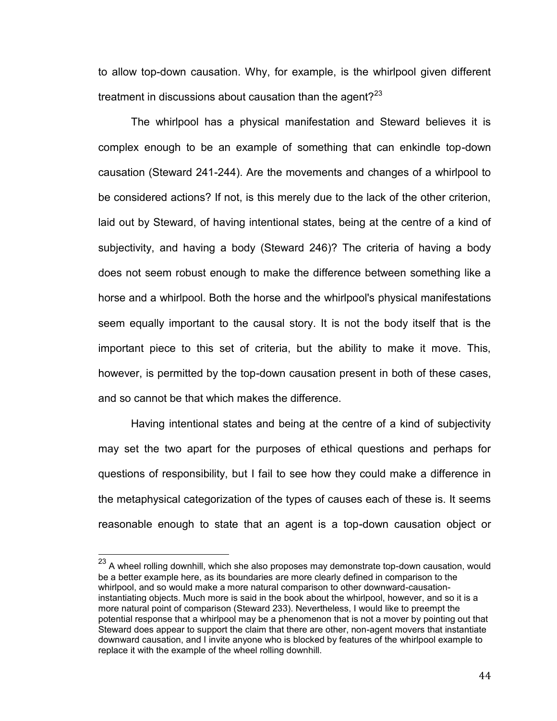to allow top-down causation. Why, for example, is the whirlpool given different treatment in discussions about causation than the agent? $23$ 

The whirlpool has a physical manifestation and Steward believes it is complex enough to be an example of something that can enkindle top-down causation (Steward 241-244). Are the movements and changes of a whirlpool to be considered actions? If not, is this merely due to the lack of the other criterion, laid out by Steward, of having intentional states, being at the centre of a kind of subjectivity, and having a body (Steward 246)? The criteria of having a body does not seem robust enough to make the difference between something like a horse and a whirlpool. Both the horse and the whirlpool's physical manifestations seem equally important to the causal story. It is not the body itself that is the important piece to this set of criteria, but the ability to make it move. This, however, is permitted by the top-down causation present in both of these cases, and so cannot be that which makes the difference.

Having intentional states and being at the centre of a kind of subjectivity may set the two apart for the purposes of ethical questions and perhaps for questions of responsibility, but I fail to see how they could make a difference in the metaphysical categorization of the types of causes each of these is. It seems reasonable enough to state that an agent is a top-down causation object or

 $\overline{a}$ 

 $^{23}$  A wheel rolling downhill, which she also proposes may demonstrate top-down causation, would be a better example here, as its boundaries are more clearly defined in comparison to the whirlpool, and so would make a more natural comparison to other downward-causationinstantiating objects. Much more is said in the book about the whirlpool, however, and so it is a more natural point of comparison (Steward 233). Nevertheless, I would like to preempt the potential response that a whirlpool may be a phenomenon that is not a mover by pointing out that Steward does appear to support the claim that there are other, non-agent movers that instantiate downward causation, and I invite anyone who is blocked by features of the whirlpool example to replace it with the example of the wheel rolling downhill.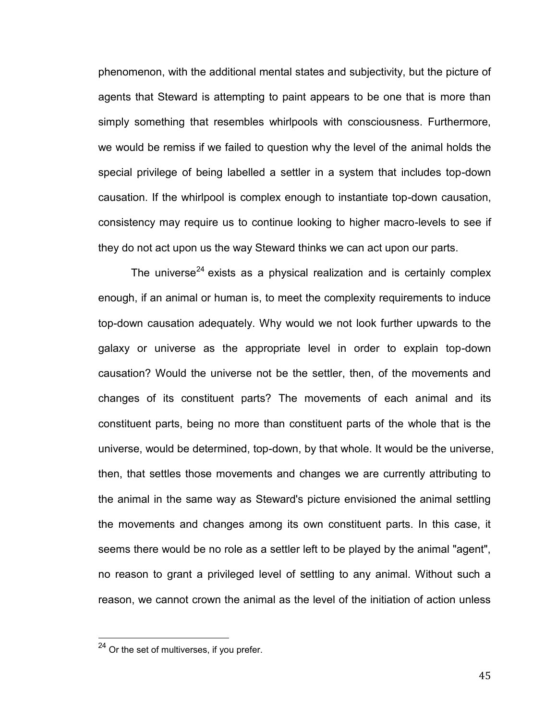phenomenon, with the additional mental states and subjectivity, but the picture of agents that Steward is attempting to paint appears to be one that is more than simply something that resembles whirlpools with consciousness. Furthermore, we would be remiss if we failed to question why the level of the animal holds the special privilege of being labelled a settler in a system that includes top-down causation. If the whirlpool is complex enough to instantiate top-down causation, consistency may require us to continue looking to higher macro-levels to see if they do not act upon us the way Steward thinks we can act upon our parts.

The universe<sup>24</sup> exists as a physical realization and is certainly complex enough, if an animal or human is, to meet the complexity requirements to induce top-down causation adequately. Why would we not look further upwards to the galaxy or universe as the appropriate level in order to explain top-down causation? Would the universe not be the settler, then, of the movements and changes of its constituent parts? The movements of each animal and its constituent parts, being no more than constituent parts of the whole that is the universe, would be determined, top-down, by that whole. It would be the universe, then, that settles those movements and changes we are currently attributing to the animal in the same way as Steward's picture envisioned the animal settling the movements and changes among its own constituent parts. In this case, it seems there would be no role as a settler left to be played by the animal "agent", no reason to grant a privileged level of settling to any animal. Without such a reason, we cannot crown the animal as the level of the initiation of action unless

 $\overline{a}$ 

 $24$  Or the set of multiverses, if you prefer.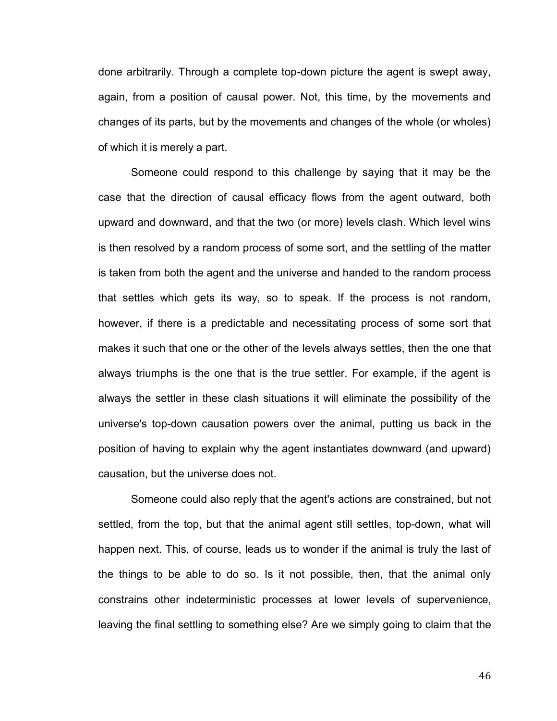done arbitrarily. Through a complete top-down picture the agent is swept away, again, from a position of causal power. Not, this time, by the movements and changes of its parts, but by the movements and changes of the whole (or wholes) of which it is merely a part.

Someone could respond to this challenge by saying that it may be the case that the direction of causal efficacy flows from the agent outward, both upward and downward, and that the two (or more) levels clash. Which level wins is then resolved by a random process of some sort, and the settling of the matter is taken from both the agent and the universe and handed to the random process that settles which gets its way, so to speak. If the process is not random, however, if there is a predictable and necessitating process of some sort that makes it such that one or the other of the levels always settles, then the one that always triumphs is the one that is the true settler. For example, if the agent is always the settler in these clash situations it will eliminate the possibility of the universe's top-down causation powers over the animal, putting us back in the position of having to explain why the agent instantiates downward (and upward) causation, but the universe does not.

Someone could also reply that the agent's actions are constrained, but not settled, from the top, but that the animal agent still settles, top-down, what will happen next. This, of course, leads us to wonder if the animal is truly the last of the things to be able to do so. Is it not possible, then, that the animal only constrains other indeterministic processes at lower levels of supervenience, leaving the final settling to something else? Are we simply going to claim that the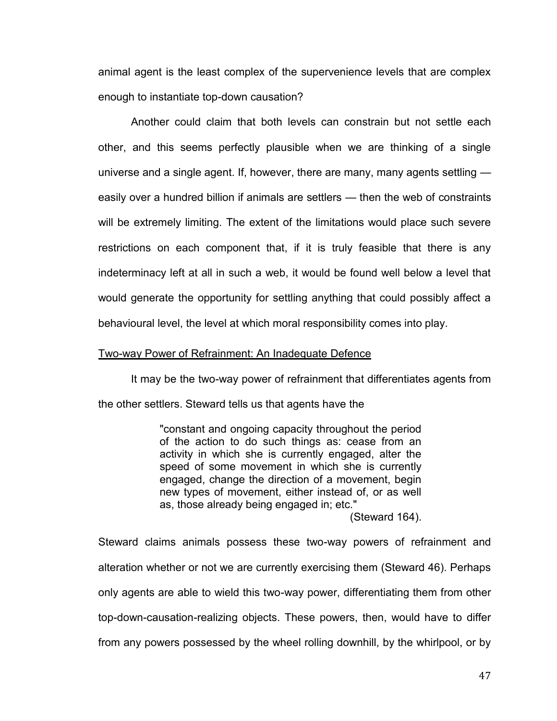animal agent is the least complex of the supervenience levels that are complex enough to instantiate top-down causation?

Another could claim that both levels can constrain but not settle each other, and this seems perfectly plausible when we are thinking of a single universe and a single agent. If, however, there are many, many agents settling easily over a hundred billion if animals are settlers — then the web of constraints will be extremely limiting. The extent of the limitations would place such severe restrictions on each component that, if it is truly feasible that there is any indeterminacy left at all in such a web, it would be found well below a level that would generate the opportunity for settling anything that could possibly affect a behavioural level, the level at which moral responsibility comes into play.

## Two-way Power of Refrainment: An Inadequate Defence

It may be the two-way power of refrainment that differentiates agents from the other settlers. Steward tells us that agents have the

> "constant and ongoing capacity throughout the period of the action to do such things as: cease from an activity in which she is currently engaged, alter the speed of some movement in which she is currently engaged, change the direction of a movement, begin new types of movement, either instead of, or as well as, those already being engaged in; etc."

> > (Steward 164).

Steward claims animals possess these two-way powers of refrainment and alteration whether or not we are currently exercising them (Steward 46). Perhaps only agents are able to wield this two-way power, differentiating them from other top-down-causation-realizing objects. These powers, then, would have to differ from any powers possessed by the wheel rolling downhill, by the whirlpool, or by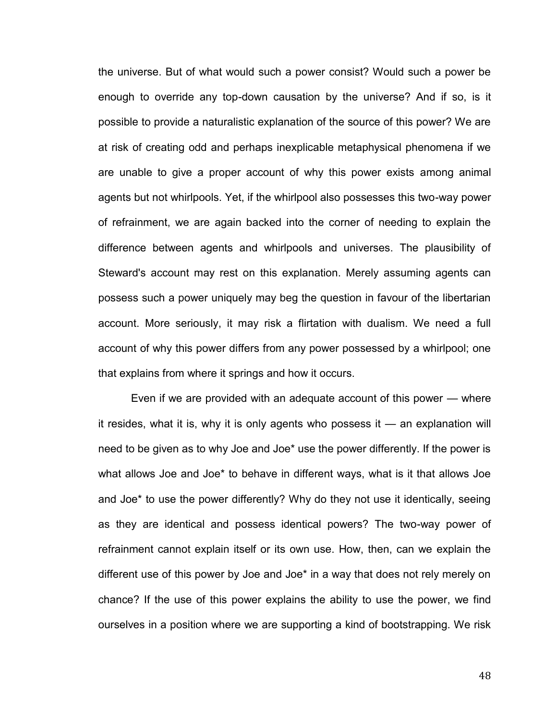the universe. But of what would such a power consist? Would such a power be enough to override any top-down causation by the universe? And if so, is it possible to provide a naturalistic explanation of the source of this power? We are at risk of creating odd and perhaps inexplicable metaphysical phenomena if we are unable to give a proper account of why this power exists among animal agents but not whirlpools. Yet, if the whirlpool also possesses this two-way power of refrainment, we are again backed into the corner of needing to explain the difference between agents and whirlpools and universes. The plausibility of Steward's account may rest on this explanation. Merely assuming agents can possess such a power uniquely may beg the question in favour of the libertarian account. More seriously, it may risk a flirtation with dualism. We need a full account of why this power differs from any power possessed by a whirlpool; one that explains from where it springs and how it occurs.

Even if we are provided with an adequate account of this power — where it resides, what it is, why it is only agents who possess it — an explanation will need to be given as to why Joe and Joe\* use the power differently. If the power is what allows Joe and Joe\* to behave in different ways, what is it that allows Joe and Joe\* to use the power differently? Why do they not use it identically, seeing as they are identical and possess identical powers? The two-way power of refrainment cannot explain itself or its own use. How, then, can we explain the different use of this power by Joe and Joe\* in a way that does not rely merely on chance? If the use of this power explains the ability to use the power, we find ourselves in a position where we are supporting a kind of bootstrapping. We risk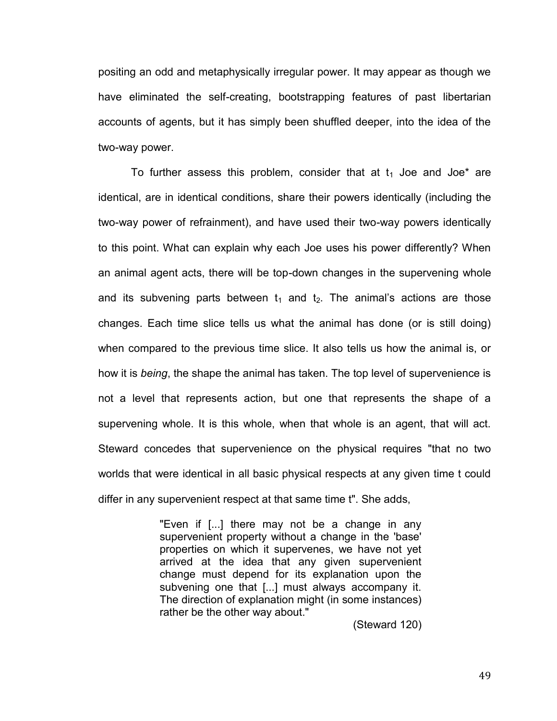positing an odd and metaphysically irregular power. It may appear as though we have eliminated the self-creating, bootstrapping features of past libertarian accounts of agents, but it has simply been shuffled deeper, into the idea of the two-way power.

To further assess this problem, consider that at  $t_1$  Joe and Joe\* are identical, are in identical conditions, share their powers identically (including the two-way power of refrainment), and have used their two-way powers identically to this point. What can explain why each Joe uses his power differently? When an animal agent acts, there will be top-down changes in the supervening whole and its subvening parts between  $t_1$  and  $t_2$ . The animal's actions are those changes. Each time slice tells us what the animal has done (or is still doing) when compared to the previous time slice. It also tells us how the animal is, or how it is *being*, the shape the animal has taken. The top level of supervenience is not a level that represents action, but one that represents the shape of a supervening whole. It is this whole, when that whole is an agent, that will act. Steward concedes that supervenience on the physical requires "that no two worlds that were identical in all basic physical respects at any given time t could differ in any supervenient respect at that same time t". She adds,

> "Even if [...] there may not be a change in any supervenient property without a change in the 'base' properties on which it supervenes, we have not yet arrived at the idea that any given supervenient change must depend for its explanation upon the subvening one that [...] must always accompany it. The direction of explanation might (in some instances) rather be the other way about."

> > (Steward 120)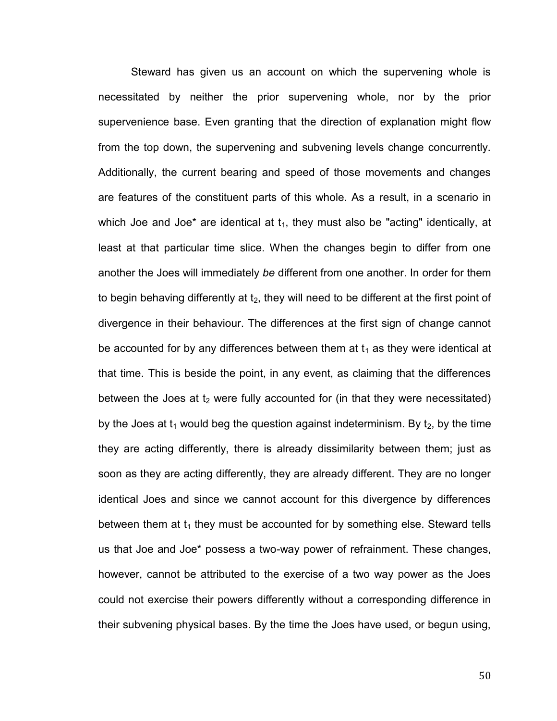Steward has given us an account on which the supervening whole is necessitated by neither the prior supervening whole, nor by the prior supervenience base. Even granting that the direction of explanation might flow from the top down, the supervening and subvening levels change concurrently. Additionally, the current bearing and speed of those movements and changes are features of the constituent parts of this whole. As a result, in a scenario in which Joe and Joe\* are identical at  $t_1$ , they must also be "acting" identically, at least at that particular time slice. When the changes begin to differ from one another the Joes will immediately *be* different from one another. In order for them to begin behaving differently at  $t_2$ , they will need to be different at the first point of divergence in their behaviour. The differences at the first sign of change cannot be accounted for by any differences between them at  $t_1$  as they were identical at that time. This is beside the point, in any event, as claiming that the differences between the Joes at  $t_2$  were fully accounted for (in that they were necessitated) by the Joes at  $t_1$  would beg the question against indeterminism. By  $t_2$ , by the time they are acting differently, there is already dissimilarity between them; just as soon as they are acting differently, they are already different. They are no longer identical Joes and since we cannot account for this divergence by differences between them at  $t_1$  they must be accounted for by something else. Steward tells us that Joe and Joe\* possess a two-way power of refrainment. These changes, however, cannot be attributed to the exercise of a two way power as the Joes could not exercise their powers differently without a corresponding difference in their subvening physical bases. By the time the Joes have used, or begun using,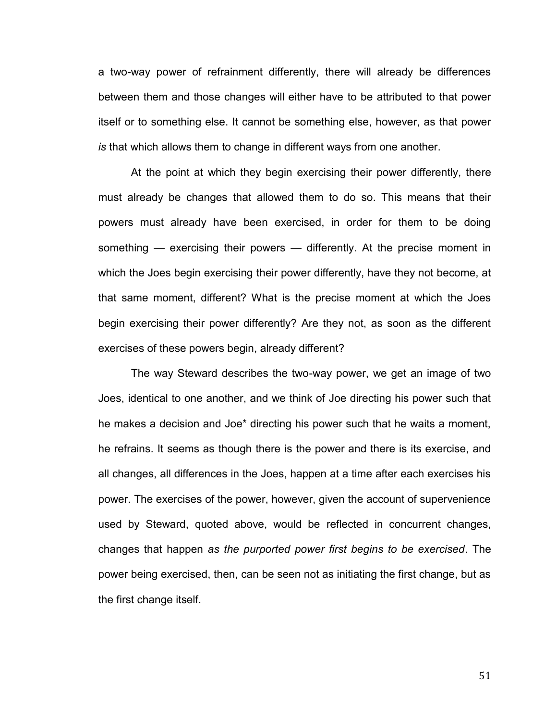a two-way power of refrainment differently, there will already be differences between them and those changes will either have to be attributed to that power itself or to something else. It cannot be something else, however, as that power *is* that which allows them to change in different ways from one another.

At the point at which they begin exercising their power differently, there must already be changes that allowed them to do so. This means that their powers must already have been exercised, in order for them to be doing something — exercising their powers — differently. At the precise moment in which the Joes begin exercising their power differently, have they not become, at that same moment, different? What is the precise moment at which the Joes begin exercising their power differently? Are they not, as soon as the different exercises of these powers begin, already different?

The way Steward describes the two-way power, we get an image of two Joes, identical to one another, and we think of Joe directing his power such that he makes a decision and Joe\* directing his power such that he waits a moment, he refrains. It seems as though there is the power and there is its exercise, and all changes, all differences in the Joes, happen at a time after each exercises his power. The exercises of the power, however, given the account of supervenience used by Steward, quoted above, would be reflected in concurrent changes, changes that happen *as the purported power first begins to be exercised*. The power being exercised, then, can be seen not as initiating the first change, but as the first change itself.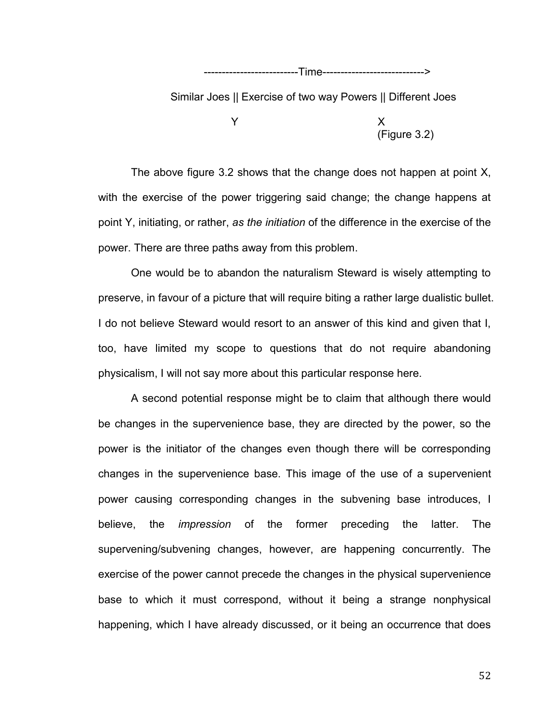--------------------------Time---------------------------->

Similar Joes || Exercise of two way Powers || Different Joes

The above figure 3.2 shows that the change does not happen at point X, with the exercise of the power triggering said change; the change happens at point Y, initiating, or rather, *as the initiation* of the difference in the exercise of the power. There are three paths away from this problem.

One would be to abandon the naturalism Steward is wisely attempting to preserve, in favour of a picture that will require biting a rather large dualistic bullet. I do not believe Steward would resort to an answer of this kind and given that I, too, have limited my scope to questions that do not require abandoning physicalism, I will not say more about this particular response here.

A second potential response might be to claim that although there would be changes in the supervenience base, they are directed by the power, so the power is the initiator of the changes even though there will be corresponding changes in the supervenience base. This image of the use of a supervenient power causing corresponding changes in the subvening base introduces, I believe, the *impression* of the former preceding the latter. The supervening/subvening changes, however, are happening concurrently. The exercise of the power cannot precede the changes in the physical supervenience base to which it must correspond, without it being a strange nonphysical happening, which I have already discussed, or it being an occurrence that does

Y X

<sup>(</sup>Figure 3.2)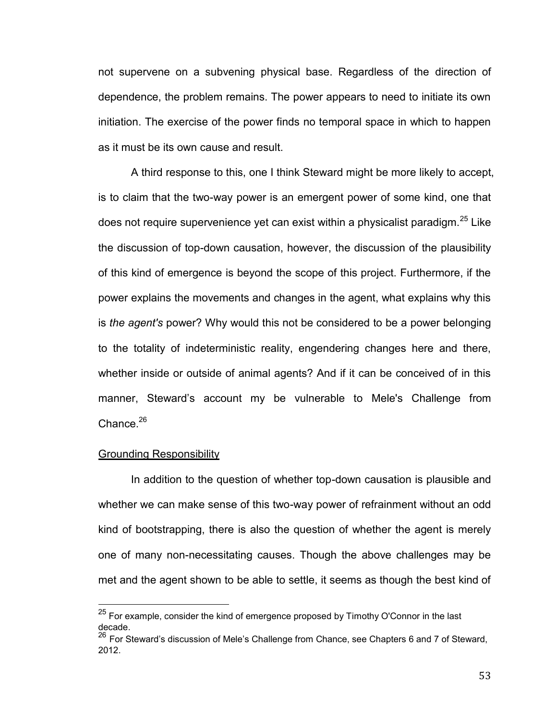not supervene on a subvening physical base. Regardless of the direction of dependence, the problem remains. The power appears to need to initiate its own initiation. The exercise of the power finds no temporal space in which to happen as it must be its own cause and result.

A third response to this, one I think Steward might be more likely to accept, is to claim that the two-way power is an emergent power of some kind, one that does not require supervenience yet can exist within a physicalist paradigm.<sup>25</sup> Like the discussion of top-down causation, however, the discussion of the plausibility of this kind of emergence is beyond the scope of this project. Furthermore, if the power explains the movements and changes in the agent, what explains why this is *the agent's* power? Why would this not be considered to be a power belonging to the totality of indeterministic reality, engendering changes here and there, whether inside or outside of animal agents? And if it can be conceived of in this manner, Steward's account my be vulnerable to Mele's Challenge from Chance. $26$ 

#### Grounding Responsibility

 $\overline{a}$ 

In addition to the question of whether top-down causation is plausible and whether we can make sense of this two-way power of refrainment without an odd kind of bootstrapping, there is also the question of whether the agent is merely one of many non-necessitating causes. Though the above challenges may be met and the agent shown to be able to settle, it seems as though the best kind of

 $25$  For example, consider the kind of emergence proposed by Timothy O'Connor in the last decade.

 $26$  For Steward's discussion of Mele's Challenge from Chance, see Chapters 6 and 7 of Steward, 2012.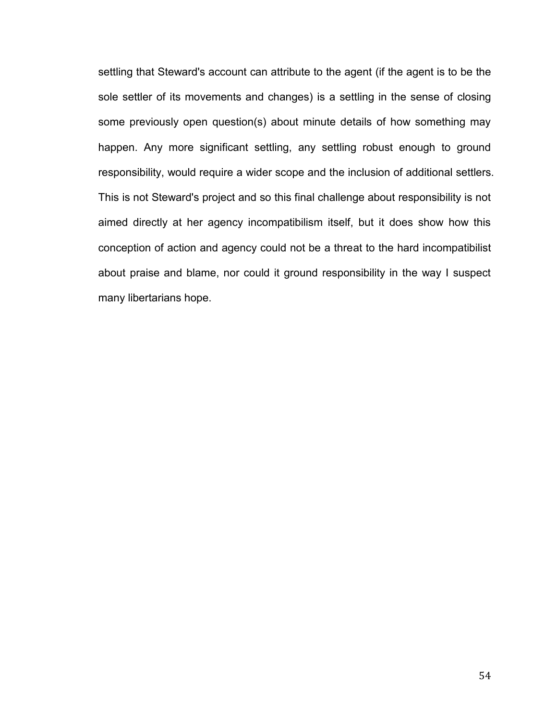settling that Steward's account can attribute to the agent (if the agent is to be the sole settler of its movements and changes) is a settling in the sense of closing some previously open question(s) about minute details of how something may happen. Any more significant settling, any settling robust enough to ground responsibility, would require a wider scope and the inclusion of additional settlers. This is not Steward's project and so this final challenge about responsibility is not aimed directly at her agency incompatibilism itself, but it does show how this conception of action and agency could not be a threat to the hard incompatibilist about praise and blame, nor could it ground responsibility in the way I suspect many libertarians hope.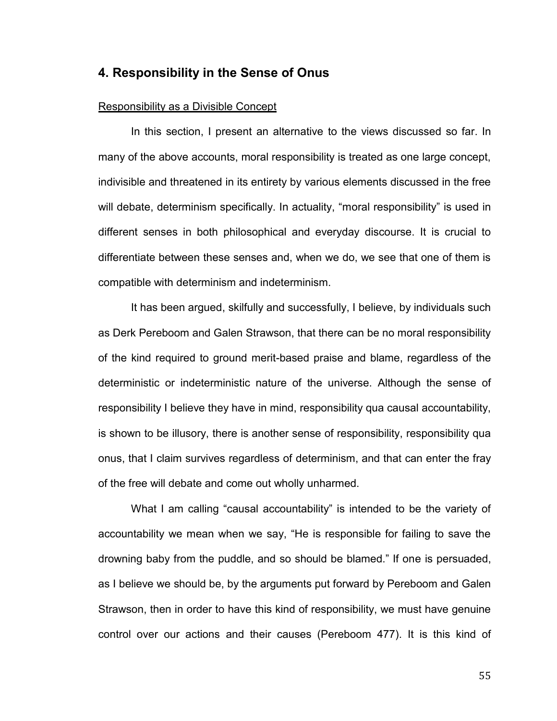# **4. Responsibility in the Sense of Onus**

## Responsibility as a Divisible Concept

In this section, I present an alternative to the views discussed so far. In many of the above accounts, moral responsibility is treated as one large concept, indivisible and threatened in its entirety by various elements discussed in the free will debate, determinism specifically. In actuality, "moral responsibility" is used in different senses in both philosophical and everyday discourse. It is crucial to differentiate between these senses and, when we do, we see that one of them is compatible with determinism and indeterminism.

It has been argued, skilfully and successfully, I believe, by individuals such as Derk Pereboom and Galen Strawson, that there can be no moral responsibility of the kind required to ground merit-based praise and blame, regardless of the deterministic or indeterministic nature of the universe. Although the sense of responsibility I believe they have in mind, responsibility qua causal accountability, is shown to be illusory, there is another sense of responsibility, responsibility qua onus, that I claim survives regardless of determinism, and that can enter the fray of the free will debate and come out wholly unharmed.

What I am calling "causal accountability" is intended to be the variety of accountability we mean when we say, "He is responsible for failing to save the drowning baby from the puddle, and so should be blamed." If one is persuaded, as I believe we should be, by the arguments put forward by Pereboom and Galen Strawson, then in order to have this kind of responsibility, we must have genuine control over our actions and their causes (Pereboom 477). It is this kind of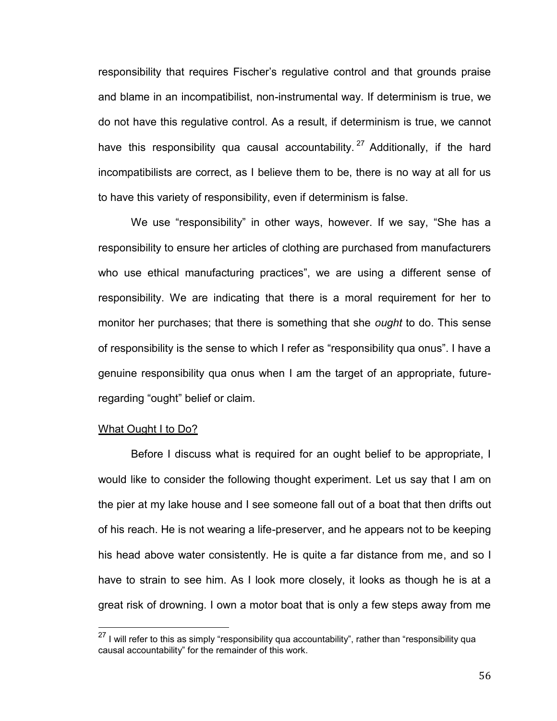responsibility that requires Fischer's regulative control and that grounds praise and blame in an incompatibilist, non-instrumental way. If determinism is true, we do not have this regulative control. As a result, if determinism is true, we cannot have this responsibility qua causal accountability.<sup>27</sup> Additionally, if the hard incompatibilists are correct, as I believe them to be, there is no way at all for us to have this variety of responsibility, even if determinism is false.

We use "responsibility" in other ways, however. If we say, "She has a responsibility to ensure her articles of clothing are purchased from manufacturers who use ethical manufacturing practices", we are using a different sense of responsibility. We are indicating that there is a moral requirement for her to monitor her purchases; that there is something that she *ought* to do. This sense of responsibility is the sense to which I refer as "responsibility qua onus". I have a genuine responsibility qua onus when I am the target of an appropriate, futureregarding "ought" belief or claim.

### What Ought I to Do?

l

Before I discuss what is required for an ought belief to be appropriate, I would like to consider the following thought experiment. Let us say that I am on the pier at my lake house and I see someone fall out of a boat that then drifts out of his reach. He is not wearing a life-preserver, and he appears not to be keeping his head above water consistently. He is quite a far distance from me, and so I have to strain to see him. As I look more closely, it looks as though he is at a great risk of drowning. I own a motor boat that is only a few steps away from me

 $^{27}$  I will refer to this as simply "responsibility qua accountability", rather than "responsibility qua causal accountability" for the remainder of this work.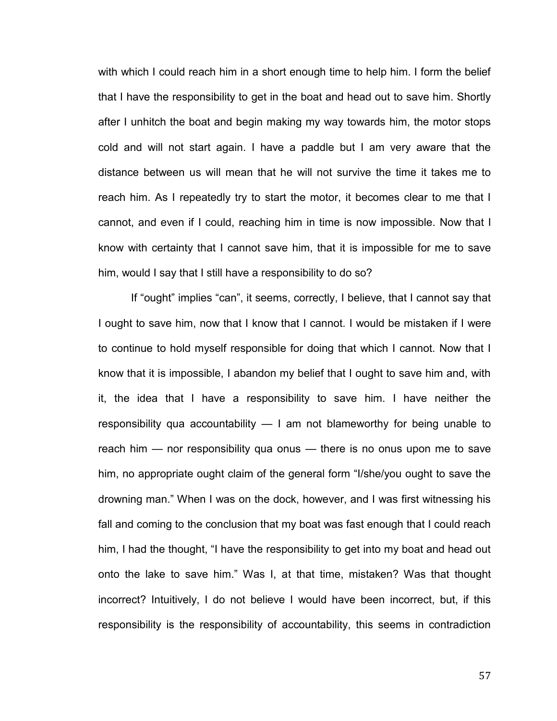with which I could reach him in a short enough time to help him. I form the belief that I have the responsibility to get in the boat and head out to save him. Shortly after I unhitch the boat and begin making my way towards him, the motor stops cold and will not start again. I have a paddle but I am very aware that the distance between us will mean that he will not survive the time it takes me to reach him. As I repeatedly try to start the motor, it becomes clear to me that I cannot, and even if I could, reaching him in time is now impossible. Now that I know with certainty that I cannot save him, that it is impossible for me to save him, would I say that I still have a responsibility to do so?

If "ought" implies "can", it seems, correctly, I believe, that I cannot say that I ought to save him, now that I know that I cannot. I would be mistaken if I were to continue to hold myself responsible for doing that which I cannot. Now that I know that it is impossible, I abandon my belief that I ought to save him and, with it, the idea that I have a responsibility to save him. I have neither the responsibility qua accountability — I am not blameworthy for being unable to reach him — nor responsibility qua onus — there is no onus upon me to save him, no appropriate ought claim of the general form "I/she/you ought to save the drowning man." When I was on the dock, however, and I was first witnessing his fall and coming to the conclusion that my boat was fast enough that I could reach him, I had the thought, "I have the responsibility to get into my boat and head out onto the lake to save him." Was I, at that time, mistaken? Was that thought incorrect? Intuitively, I do not believe I would have been incorrect, but, if this responsibility is the responsibility of accountability, this seems in contradiction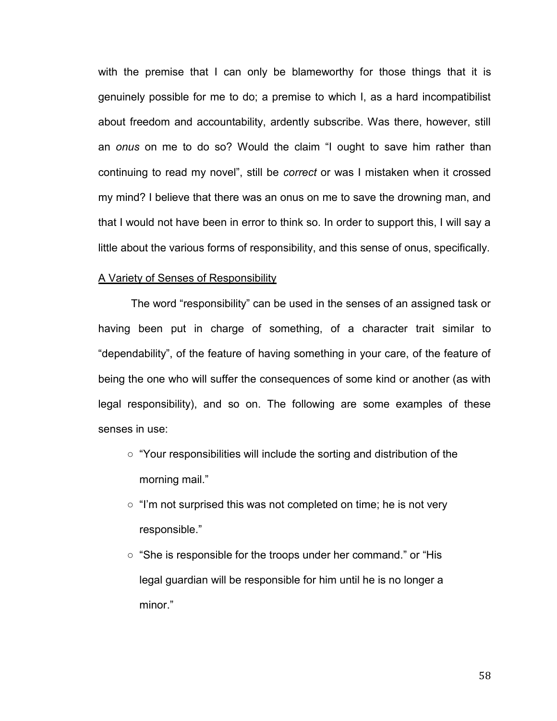with the premise that I can only be blameworthy for those things that it is genuinely possible for me to do; a premise to which I, as a hard incompatibilist about freedom and accountability, ardently subscribe. Was there, however, still an *onus* on me to do so? Would the claim "I ought to save him rather than continuing to read my novel", still be *correct* or was I mistaken when it crossed my mind? I believe that there was an onus on me to save the drowning man, and that I would not have been in error to think so. In order to support this, I will say a little about the various forms of responsibility, and this sense of onus, specifically.

#### A Variety of Senses of Responsibility

The word "responsibility" can be used in the senses of an assigned task or having been put in charge of something, of a character trait similar to "dependability", of the feature of having something in your care, of the feature of being the one who will suffer the consequences of some kind or another (as with legal responsibility), and so on. The following are some examples of these senses in use:

- **○** "Your responsibilities will include the sorting and distribution of the morning mail."
- **○** "I'm not surprised this was not completed on time; he is not very responsible."
- **○** "She is responsible for the troops under her command." or "His legal guardian will be responsible for him until he is no longer a minor."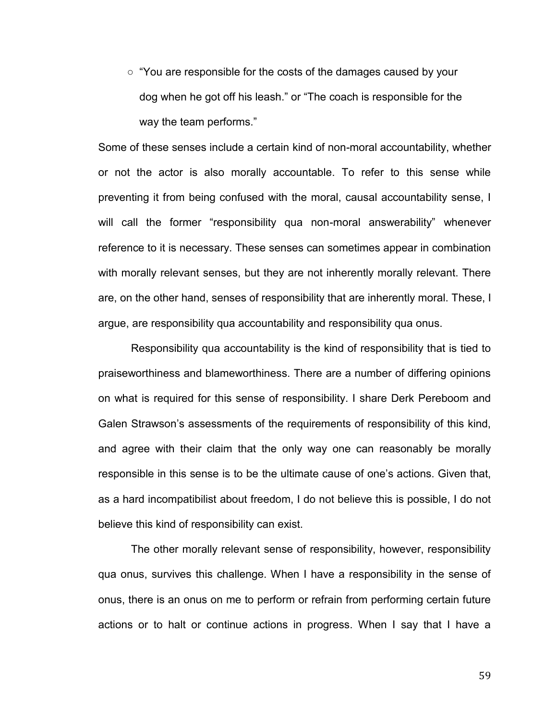**○** "You are responsible for the costs of the damages caused by your dog when he got off his leash." or "The coach is responsible for the way the team performs."

Some of these senses include a certain kind of non-moral accountability, whether or not the actor is also morally accountable. To refer to this sense while preventing it from being confused with the moral, causal accountability sense, I will call the former "responsibility qua non-moral answerability" whenever reference to it is necessary. These senses can sometimes appear in combination with morally relevant senses, but they are not inherently morally relevant. There are, on the other hand, senses of responsibility that are inherently moral. These, I argue, are responsibility qua accountability and responsibility qua onus.

Responsibility qua accountability is the kind of responsibility that is tied to praiseworthiness and blameworthiness. There are a number of differing opinions on what is required for this sense of responsibility. I share Derk Pereboom and Galen Strawson's assessments of the requirements of responsibility of this kind, and agree with their claim that the only way one can reasonably be morally responsible in this sense is to be the ultimate cause of one's actions. Given that, as a hard incompatibilist about freedom, I do not believe this is possible, I do not believe this kind of responsibility can exist.

The other morally relevant sense of responsibility, however, responsibility qua onus, survives this challenge. When I have a responsibility in the sense of onus, there is an onus on me to perform or refrain from performing certain future actions or to halt or continue actions in progress. When I say that I have a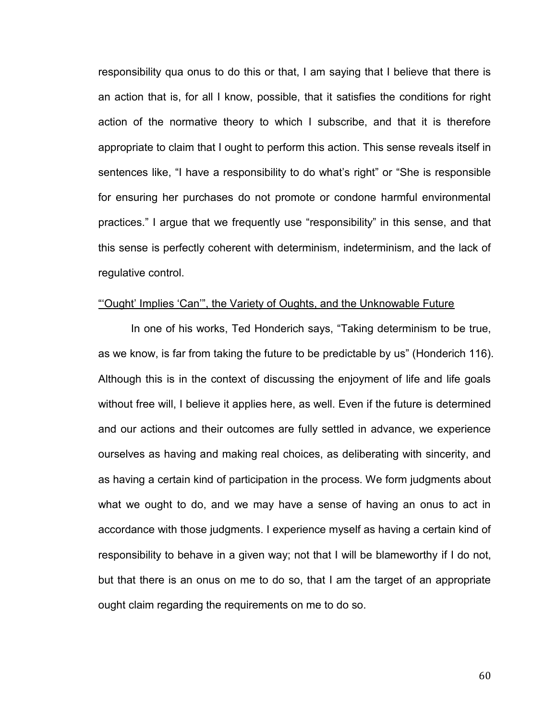responsibility qua onus to do this or that, I am saying that I believe that there is an action that is, for all I know, possible, that it satisfies the conditions for right action of the normative theory to which I subscribe, and that it is therefore appropriate to claim that I ought to perform this action. This sense reveals itself in sentences like, "I have a responsibility to do what's right" or "She is responsible for ensuring her purchases do not promote or condone harmful environmental practices." I argue that we frequently use "responsibility" in this sense, and that this sense is perfectly coherent with determinism, indeterminism, and the lack of regulative control.

#### "'Ought' Implies 'Can'", the Variety of Oughts, and the Unknowable Future

In one of his works, Ted Honderich says, "Taking determinism to be true, as we know, is far from taking the future to be predictable by us" (Honderich 116). Although this is in the context of discussing the enjoyment of life and life goals without free will, I believe it applies here, as well. Even if the future is determined and our actions and their outcomes are fully settled in advance, we experience ourselves as having and making real choices, as deliberating with sincerity, and as having a certain kind of participation in the process. We form judgments about what we ought to do, and we may have a sense of having an onus to act in accordance with those judgments. I experience myself as having a certain kind of responsibility to behave in a given way; not that I will be blameworthy if I do not, but that there is an onus on me to do so, that I am the target of an appropriate ought claim regarding the requirements on me to do so.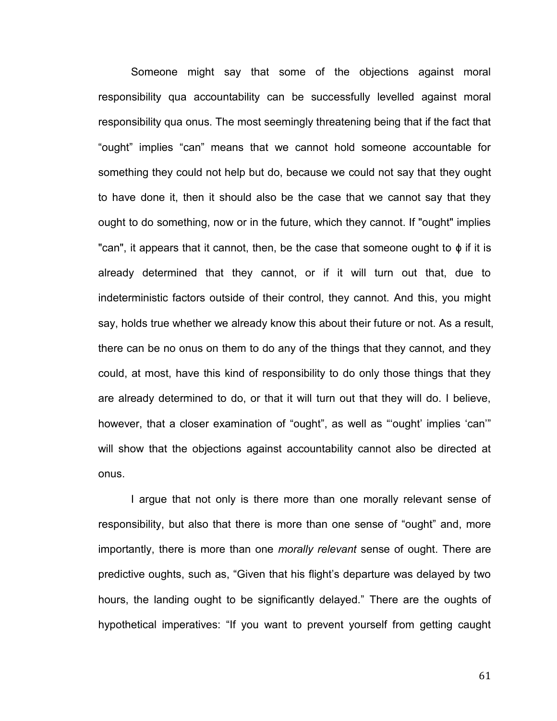Someone might say that some of the objections against moral responsibility qua accountability can be successfully levelled against moral responsibility qua onus. The most seemingly threatening being that if the fact that "ought" implies "can" means that we cannot hold someone accountable for something they could not help but do, because we could not say that they ought to have done it, then it should also be the case that we cannot say that they ought to do something, now or in the future, which they cannot. If "ought" implies "can", it appears that it cannot, then, be the case that someone ought to  $\phi$  if it is already determined that they cannot, or if it will turn out that, due to indeterministic factors outside of their control, they cannot. And this, you might say, holds true whether we already know this about their future or not. As a result, there can be no onus on them to do any of the things that they cannot, and they could, at most, have this kind of responsibility to do only those things that they are already determined to do, or that it will turn out that they will do. I believe, however, that a closer examination of "ought", as well as "'ought' implies 'can'" will show that the objections against accountability cannot also be directed at onus.

I argue that not only is there more than one morally relevant sense of responsibility, but also that there is more than one sense of "ought" and, more importantly, there is more than one *morally relevant* sense of ought. There are predictive oughts, such as, "Given that his flight's departure was delayed by two hours, the landing ought to be significantly delayed." There are the oughts of hypothetical imperatives: "If you want to prevent yourself from getting caught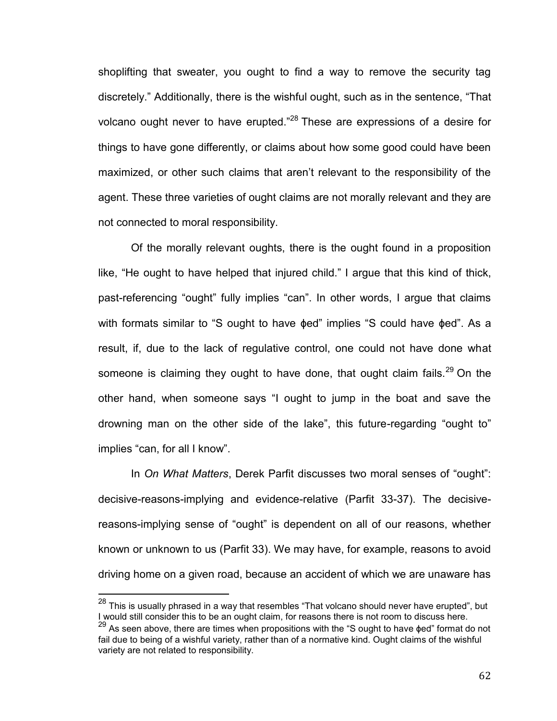shoplifting that sweater, you ought to find a way to remove the security tag discretely." Additionally, there is the wishful ought, such as in the sentence, "That volcano ought never to have erupted."<sup>28</sup> These are expressions of a desire for things to have gone differently, or claims about how some good could have been maximized, or other such claims that aren't relevant to the responsibility of the agent. These three varieties of ought claims are not morally relevant and they are not connected to moral responsibility.

Of the morally relevant oughts, there is the ought found in a proposition like, "He ought to have helped that injured child." I argue that this kind of thick, past-referencing "ought" fully implies "can". In other words, I argue that claims with formats similar to "S ought to have ϕed" implies "S could have ϕed". As a result, if, due to the lack of regulative control, one could not have done what someone is claiming they ought to have done, that ought claim fails.<sup>29</sup> On the other hand, when someone says "I ought to jump in the boat and save the drowning man on the other side of the lake", this future-regarding "ought to" implies "can, for all I know".

In *On What Matters*, Derek Parfit discusses two moral senses of "ought": decisive-reasons-implying and evidence-relative (Parfit 33-37). The decisivereasons-implying sense of "ought" is dependent on all of our reasons, whether known or unknown to us (Parfit 33). We may have, for example, reasons to avoid driving home on a given road, because an accident of which we are unaware has

 $\overline{a}$ 

 $28$  This is usually phrased in a way that resembles "That volcano should never have erupted", but I would still consider this to be an ought claim, for reasons there is not room to discuss here.

<sup>29</sup> As seen above, there are times when propositions with the "S ought to have ϕed" format do not fail due to being of a wishful variety, rather than of a normative kind. Ought claims of the wishful variety are not related to responsibility.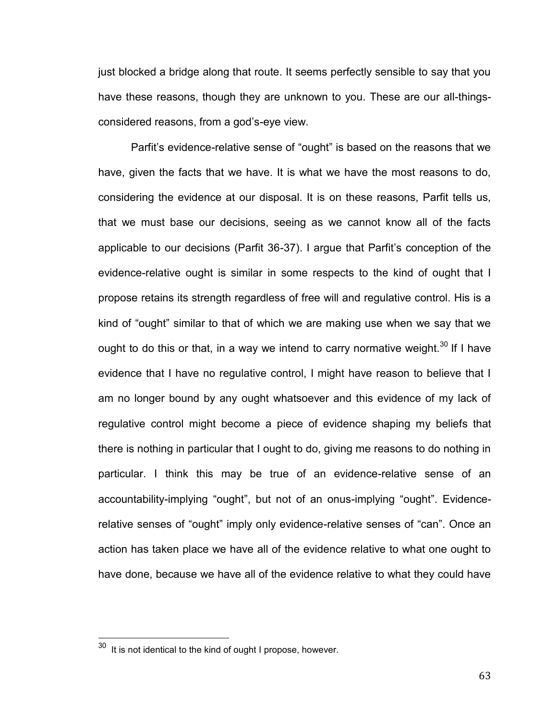just blocked a bridge along that route. It seems perfectly sensible to say that you have these reasons, though they are unknown to you. These are our all-thingsconsidered reasons, from a god's-eye view.

Parfit's evidence-relative sense of "ought" is based on the reasons that we have, given the facts that we have. It is what we have the most reasons to do, considering the evidence at our disposal. It is on these reasons, Parfit tells us, that we must base our decisions, seeing as we cannot know all of the facts applicable to our decisions (Parfit 36-37). I argue that Parfit's conception of the evidence-relative ought is similar in some respects to the kind of ought that I propose retains its strength regardless of free will and regulative control. His is a kind of "ought" similar to that of which we are making use when we say that we ought to do this or that, in a way we intend to carry normative weight.<sup>30</sup> If I have evidence that I have no regulative control, I might have reason to believe that I am no longer bound by any ought whatsoever and this evidence of my lack of regulative control might become a piece of evidence shaping my beliefs that there is nothing in particular that I ought to do, giving me reasons to do nothing in particular. I think this may be true of an evidence-relative sense of an accountability-implying "ought", but not of an onus-implying "ought". Evidencerelative senses of "ought" imply only evidence-relative senses of "can". Once an action has taken place we have all of the evidence relative to what one ought to have done, because we have all of the evidence relative to what they could have

 $\overline{\phantom{a}^{30}}$  It is not identical to the kind of ought I propose, however.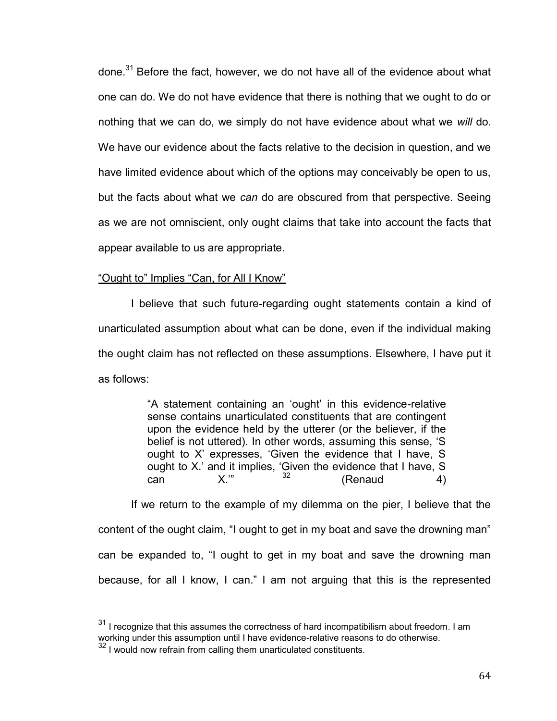done.<sup>31</sup> Before the fact, however, we do not have all of the evidence about what one can do. We do not have evidence that there is nothing that we ought to do or nothing that we can do, we simply do not have evidence about what we *will* do. We have our evidence about the facts relative to the decision in question, and we have limited evidence about which of the options may conceivably be open to us, but the facts about what we *can* do are obscured from that perspective. Seeing as we are not omniscient, only ought claims that take into account the facts that appear available to us are appropriate.

# "Ought to" Implies "Can, for All I Know"

I believe that such future-regarding ought statements contain a kind of unarticulated assumption about what can be done, even if the individual making the ought claim has not reflected on these assumptions. Elsewhere, I have put it as follows:

> "A statement containing an 'ought' in this evidence-relative sense contains unarticulated constituents that are contingent upon the evidence held by the utterer (or the believer, if the belief is not uttered). In other words, assuming this sense, 'S ought to X' expresses, 'Given the evidence that I have, S ought to X.' and it implies, 'Given the evidence that I have, S can  $X$ ."  $32$  (Renaud 4)

If we return to the example of my dilemma on the pier, I believe that the content of the ought claim, "I ought to get in my boat and save the drowning man" can be expanded to, "I ought to get in my boat and save the drowning man because, for all I know, I can." I am not arguing that this is the represented

l

 $31$  I recognize that this assumes the correctness of hard incompatibilism about freedom. I am working under this assumption until I have evidence-relative reasons to do otherwise.

<sup>&</sup>lt;sup>32</sup> I would now refrain from calling them unarticulated constituents.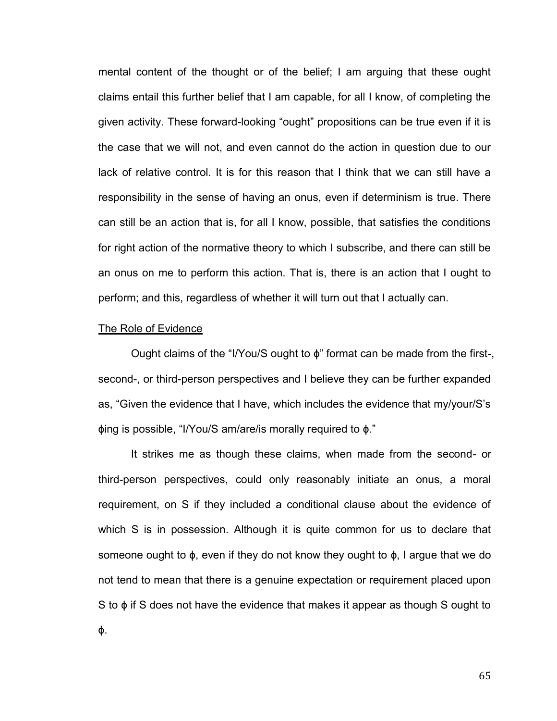mental content of the thought or of the belief; I am arguing that these ought claims entail this further belief that I am capable, for all I know, of completing the given activity. These forward-looking "ought" propositions can be true even if it is the case that we will not, and even cannot do the action in question due to our lack of relative control. It is for this reason that I think that we can still have a responsibility in the sense of having an onus, even if determinism is true. There can still be an action that is, for all I know, possible, that satisfies the conditions for right action of the normative theory to which I subscribe, and there can still be an onus on me to perform this action. That is, there is an action that I ought to perform; and this, regardless of whether it will turn out that I actually can.

#### The Role of Evidence

Ought claims of the "I/You/S ought to ϕ" format can be made from the first-, second-, or third-person perspectives and I believe they can be further expanded as, "Given the evidence that I have, which includes the evidence that my/your/S's ϕing is possible, "I/You/S am/are/is morally required to ϕ."

It strikes me as though these claims, when made from the second- or third-person perspectives, could only reasonably initiate an onus, a moral requirement, on S if they included a conditional clause about the evidence of which S is in possession. Although it is quite common for us to declare that someone ought to  $\phi$ , even if they do not know they ought to  $\phi$ , I argue that we do not tend to mean that there is a genuine expectation or requirement placed upon S to  $\phi$  if S does not have the evidence that makes it appear as though S ought to ϕ.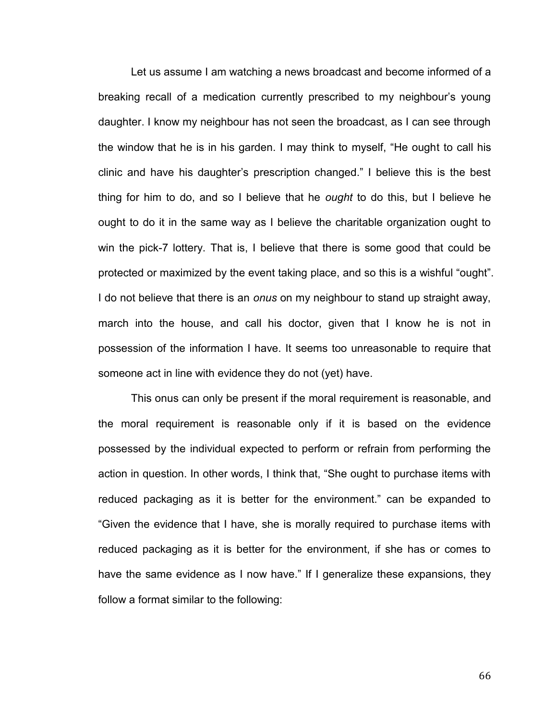Let us assume I am watching a news broadcast and become informed of a breaking recall of a medication currently prescribed to my neighbour's young daughter. I know my neighbour has not seen the broadcast, as I can see through the window that he is in his garden. I may think to myself, "He ought to call his clinic and have his daughter's prescription changed." I believe this is the best thing for him to do, and so I believe that he *ought* to do this, but I believe he ought to do it in the same way as I believe the charitable organization ought to win the pick-7 lottery. That is, I believe that there is some good that could be protected or maximized by the event taking place, and so this is a wishful "ought". I do not believe that there is an *onus* on my neighbour to stand up straight away, march into the house, and call his doctor, given that I know he is not in possession of the information I have. It seems too unreasonable to require that someone act in line with evidence they do not (yet) have.

This onus can only be present if the moral requirement is reasonable, and the moral requirement is reasonable only if it is based on the evidence possessed by the individual expected to perform or refrain from performing the action in question. In other words, I think that, "She ought to purchase items with reduced packaging as it is better for the environment." can be expanded to "Given the evidence that I have, she is morally required to purchase items with reduced packaging as it is better for the environment, if she has or comes to have the same evidence as I now have." If I generalize these expansions, they follow a format similar to the following: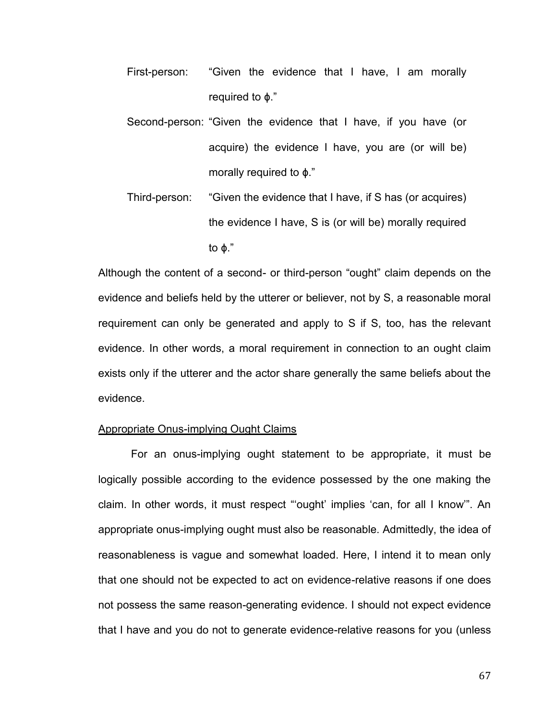- First-person: "Given the evidence that I have, I am morally required to ϕ."
- Second-person: "Given the evidence that I have, if you have (or acquire) the evidence I have, you are (or will be) morally required to ϕ."
- Third-person: "Given the evidence that I have, if S has (or acquires) the evidence I have, S is (or will be) morally required to ϕ."

Although the content of a second- or third-person "ought" claim depends on the evidence and beliefs held by the utterer or believer, not by S, a reasonable moral requirement can only be generated and apply to S if S, too, has the relevant evidence. In other words, a moral requirement in connection to an ought claim exists only if the utterer and the actor share generally the same beliefs about the evidence.

## Appropriate Onus-implying Ought Claims

For an onus-implying ought statement to be appropriate, it must be logically possible according to the evidence possessed by the one making the claim. In other words, it must respect "'ought' implies 'can, for all I know'". An appropriate onus-implying ought must also be reasonable. Admittedly, the idea of reasonableness is vague and somewhat loaded. Here, I intend it to mean only that one should not be expected to act on evidence-relative reasons if one does not possess the same reason-generating evidence. I should not expect evidence that I have and you do not to generate evidence-relative reasons for you (unless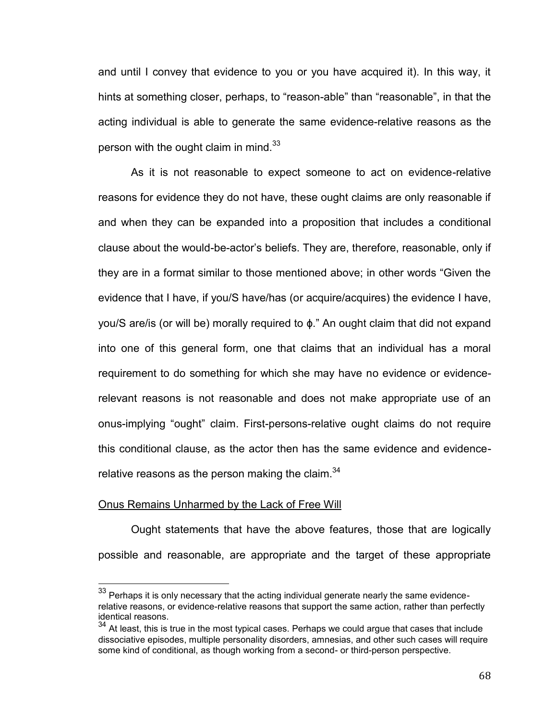and until I convey that evidence to you or you have acquired it). In this way, it hints at something closer, perhaps, to "reason-able" than "reasonable", in that the acting individual is able to generate the same evidence-relative reasons as the person with the ought claim in mind.<sup>33</sup>

As it is not reasonable to expect someone to act on evidence-relative reasons for evidence they do not have, these ought claims are only reasonable if and when they can be expanded into a proposition that includes a conditional clause about the would-be-actor's beliefs. They are, therefore, reasonable, only if they are in a format similar to those mentioned above; in other words "Given the evidence that I have, if you/S have/has (or acquire/acquires) the evidence I have, you/S are/is (or will be) morally required to ϕ." An ought claim that did not expand into one of this general form, one that claims that an individual has a moral requirement to do something for which she may have no evidence or evidencerelevant reasons is not reasonable and does not make appropriate use of an onus-implying "ought" claim. First-persons-relative ought claims do not require this conditional clause, as the actor then has the same evidence and evidencerelative reasons as the person making the claim. $34$ 

#### Onus Remains Unharmed by the Lack of Free Will

l

Ought statements that have the above features, those that are logically possible and reasonable, are appropriate and the target of these appropriate

 $33$  Perhaps it is only necessary that the acting individual generate nearly the same evidencerelative reasons, or evidence-relative reasons that support the same action, rather than perfectly identical reasons.

<sup>&</sup>lt;sup>34</sup> At least, this is true in the most typical cases. Perhaps we could argue that cases that include dissociative episodes, multiple personality disorders, amnesias, and other such cases will require some kind of conditional, as though working from a second- or third-person perspective.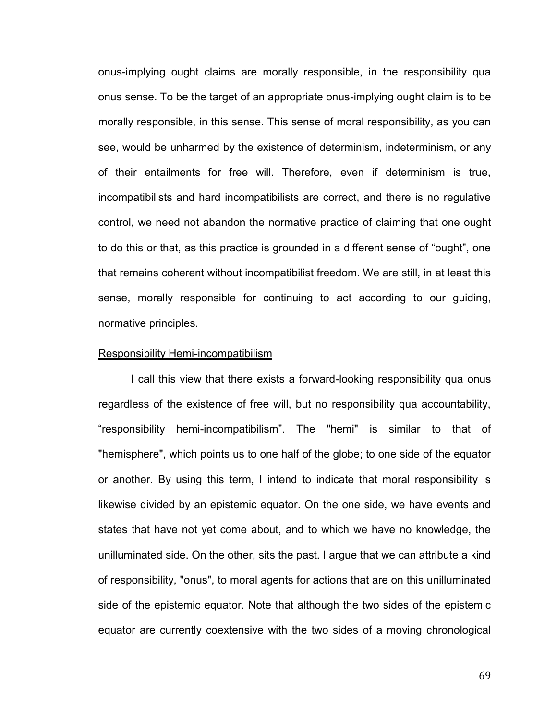onus-implying ought claims are morally responsible, in the responsibility qua onus sense. To be the target of an appropriate onus-implying ought claim is to be morally responsible, in this sense. This sense of moral responsibility, as you can see, would be unharmed by the existence of determinism, indeterminism, or any of their entailments for free will. Therefore, even if determinism is true, incompatibilists and hard incompatibilists are correct, and there is no regulative control, we need not abandon the normative practice of claiming that one ought to do this or that, as this practice is grounded in a different sense of "ought", one that remains coherent without incompatibilist freedom. We are still, in at least this sense, morally responsible for continuing to act according to our guiding, normative principles.

#### Responsibility Hemi-incompatibilism

I call this view that there exists a forward-looking responsibility qua onus regardless of the existence of free will, but no responsibility qua accountability, "responsibility hemi-incompatibilism". The "hemi" is similar to that of "hemisphere", which points us to one half of the globe; to one side of the equator or another. By using this term, I intend to indicate that moral responsibility is likewise divided by an epistemic equator. On the one side, we have events and states that have not yet come about, and to which we have no knowledge, the unilluminated side. On the other, sits the past. I argue that we can attribute a kind of responsibility, "onus", to moral agents for actions that are on this unilluminated side of the epistemic equator. Note that although the two sides of the epistemic equator are currently coextensive with the two sides of a moving chronological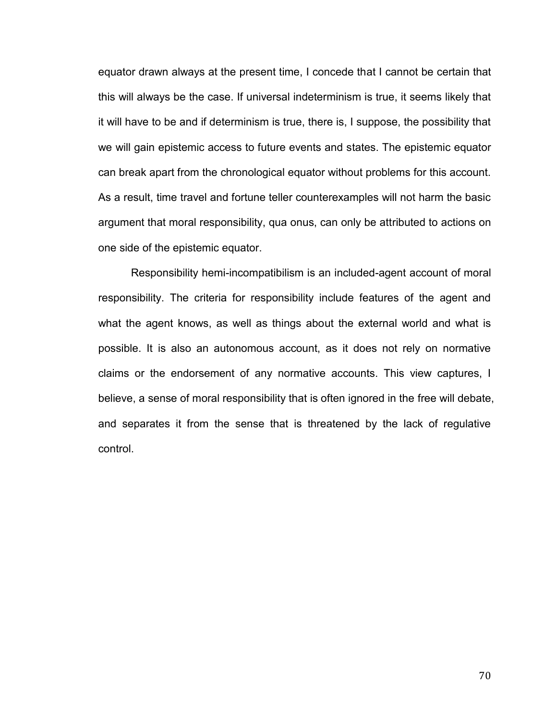equator drawn always at the present time, I concede that I cannot be certain that this will always be the case. If universal indeterminism is true, it seems likely that it will have to be and if determinism is true, there is, I suppose, the possibility that we will gain epistemic access to future events and states. The epistemic equator can break apart from the chronological equator without problems for this account. As a result, time travel and fortune teller counterexamples will not harm the basic argument that moral responsibility, qua onus, can only be attributed to actions on one side of the epistemic equator.

Responsibility hemi-incompatibilism is an included-agent account of moral responsibility. The criteria for responsibility include features of the agent and what the agent knows, as well as things about the external world and what is possible. It is also an autonomous account, as it does not rely on normative claims or the endorsement of any normative accounts. This view captures, I believe, a sense of moral responsibility that is often ignored in the free will debate, and separates it from the sense that is threatened by the lack of regulative control.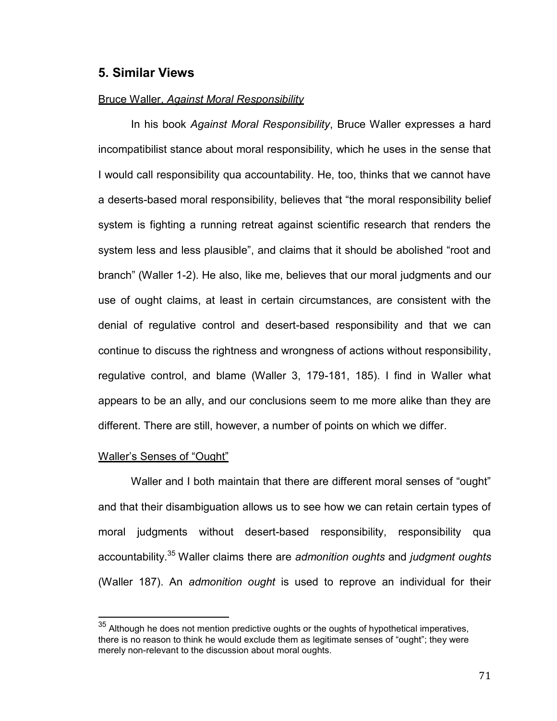# **5. Similar Views**

#### Bruce Waller, *Against Moral Responsibility*

In his book *Against Moral Responsibility*, Bruce Waller expresses a hard incompatibilist stance about moral responsibility, which he uses in the sense that I would call responsibility qua accountability. He, too, thinks that we cannot have a deserts-based moral responsibility, believes that "the moral responsibility belief system is fighting a running retreat against scientific research that renders the system less and less plausible", and claims that it should be abolished "root and branch" (Waller 1-2). He also, like me, believes that our moral judgments and our use of ought claims, at least in certain circumstances, are consistent with the denial of regulative control and desert-based responsibility and that we can continue to discuss the rightness and wrongness of actions without responsibility, regulative control, and blame (Waller 3, 179-181, 185). I find in Waller what appears to be an ally, and our conclusions seem to me more alike than they are different. There are still, however, a number of points on which we differ.

## Waller's Senses of "Ought"

 $\overline{a}$ 

Waller and I both maintain that there are different moral senses of "ought" and that their disambiguation allows us to see how we can retain certain types of moral judgments without desert-based responsibility, responsibility qua accountability.<sup>35</sup> Waller claims there are *admonition oughts* and *judgment oughts* (Waller 187). An *admonition ought* is used to reprove an individual for their

 $35$  Although he does not mention predictive oughts or the oughts of hypothetical imperatives, there is no reason to think he would exclude them as legitimate senses of "ought"; they were merely non-relevant to the discussion about moral oughts.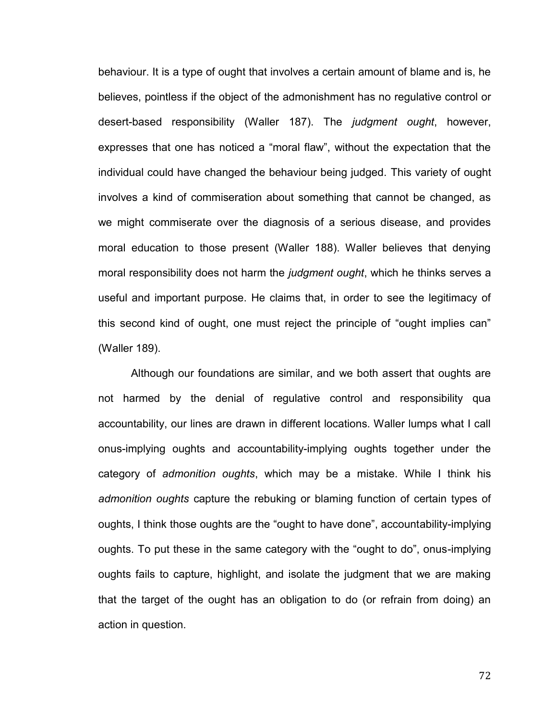behaviour. It is a type of ought that involves a certain amount of blame and is, he believes, pointless if the object of the admonishment has no regulative control or desert-based responsibility (Waller 187). The *judgment ought*, however, expresses that one has noticed a "moral flaw", without the expectation that the individual could have changed the behaviour being judged. This variety of ought involves a kind of commiseration about something that cannot be changed, as we might commiserate over the diagnosis of a serious disease, and provides moral education to those present (Waller 188). Waller believes that denying moral responsibility does not harm the *judgment ought*, which he thinks serves a useful and important purpose. He claims that, in order to see the legitimacy of this second kind of ought, one must reject the principle of "ought implies can" (Waller 189).

Although our foundations are similar, and we both assert that oughts are not harmed by the denial of regulative control and responsibility qua accountability, our lines are drawn in different locations. Waller lumps what I call onus-implying oughts and accountability-implying oughts together under the category of *admonition oughts*, which may be a mistake. While I think his *admonition oughts* capture the rebuking or blaming function of certain types of oughts, I think those oughts are the "ought to have done", accountability-implying oughts. To put these in the same category with the "ought to do", onus-implying oughts fails to capture, highlight, and isolate the judgment that we are making that the target of the ought has an obligation to do (or refrain from doing) an action in question.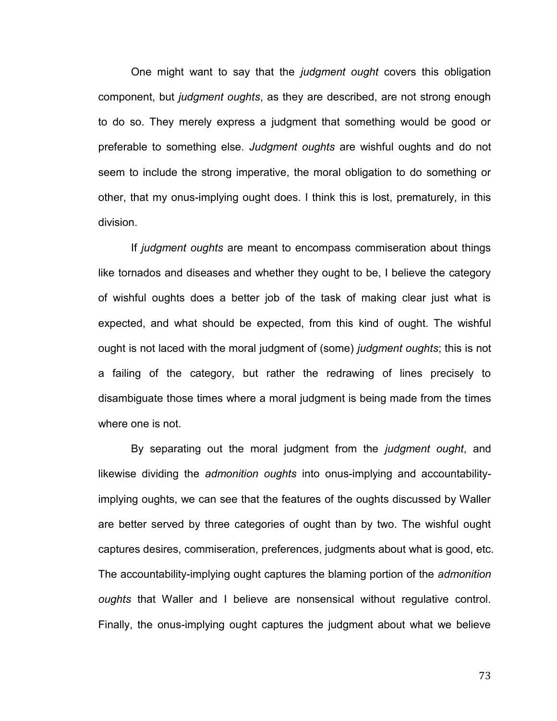One might want to say that the *judgment ought* covers this obligation component, but *judgment oughts*, as they are described, are not strong enough to do so. They merely express a judgment that something would be good or preferable to something else. *Judgment oughts* are wishful oughts and do not seem to include the strong imperative, the moral obligation to do something or other, that my onus-implying ought does. I think this is lost, prematurely, in this division.

If *judgment oughts* are meant to encompass commiseration about things like tornados and diseases and whether they ought to be, I believe the category of wishful oughts does a better job of the task of making clear just what is expected, and what should be expected, from this kind of ought. The wishful ought is not laced with the moral judgment of (some) *judgment oughts*; this is not a failing of the category, but rather the redrawing of lines precisely to disambiguate those times where a moral judgment is being made from the times where one is not.

By separating out the moral judgment from the *judgment ought*, and likewise dividing the *admonition oughts* into onus-implying and accountabilityimplying oughts, we can see that the features of the oughts discussed by Waller are better served by three categories of ought than by two. The wishful ought captures desires, commiseration, preferences, judgments about what is good, etc. The accountability-implying ought captures the blaming portion of the *admonition oughts* that Waller and I believe are nonsensical without regulative control. Finally, the onus-implying ought captures the judgment about what we believe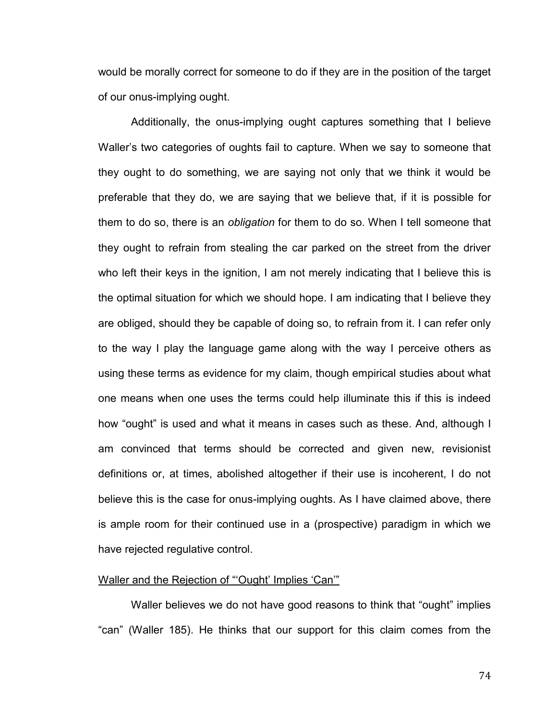would be morally correct for someone to do if they are in the position of the target of our onus-implying ought.

Additionally, the onus-implying ought captures something that I believe Waller's two categories of oughts fail to capture. When we say to someone that they ought to do something, we are saying not only that we think it would be preferable that they do, we are saying that we believe that, if it is possible for them to do so, there is an *obligation* for them to do so. When I tell someone that they ought to refrain from stealing the car parked on the street from the driver who left their keys in the ignition, I am not merely indicating that I believe this is the optimal situation for which we should hope. I am indicating that I believe they are obliged, should they be capable of doing so, to refrain from it. I can refer only to the way I play the language game along with the way I perceive others as using these terms as evidence for my claim, though empirical studies about what one means when one uses the terms could help illuminate this if this is indeed how "ought" is used and what it means in cases such as these. And, although I am convinced that terms should be corrected and given new, revisionist definitions or, at times, abolished altogether if their use is incoherent, I do not believe this is the case for onus-implying oughts. As I have claimed above, there is ample room for their continued use in a (prospective) paradigm in which we have rejected regulative control.

#### Waller and the Rejection of "'Ought' Implies 'Can'"

Waller believes we do not have good reasons to think that "ought" implies "can" (Waller 185). He thinks that our support for this claim comes from the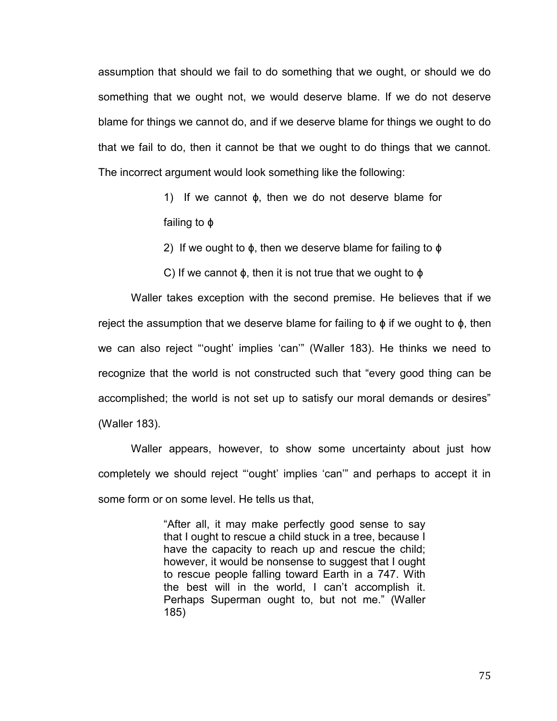assumption that should we fail to do something that we ought, or should we do something that we ought not, we would deserve blame. If we do not deserve blame for things we cannot do, and if we deserve blame for things we ought to do that we fail to do, then it cannot be that we ought to do things that we cannot. The incorrect argument would look something like the following:

> 1) If we cannot ϕ, then we do not deserve blame for failing to ϕ

> 2) If we ought to ϕ, then we deserve blame for failing to ϕ

C) If we cannot ϕ, then it is not true that we ought to ϕ

Waller takes exception with the second premise. He believes that if we reject the assumption that we deserve blame for failing to  $\phi$  if we ought to  $\phi$ , then we can also reject "'ought' implies 'can'" (Waller 183). He thinks we need to recognize that the world is not constructed such that "every good thing can be accomplished; the world is not set up to satisfy our moral demands or desires" (Waller 183).

Waller appears, however, to show some uncertainty about just how completely we should reject "'ought' implies 'can'" and perhaps to accept it in some form or on some level. He tells us that,

> "After all, it may make perfectly good sense to say that I ought to rescue a child stuck in a tree, because I have the capacity to reach up and rescue the child; however, it would be nonsense to suggest that I ought to rescue people falling toward Earth in a 747. With the best will in the world, I can't accomplish it. Perhaps Superman ought to, but not me." (Waller 185)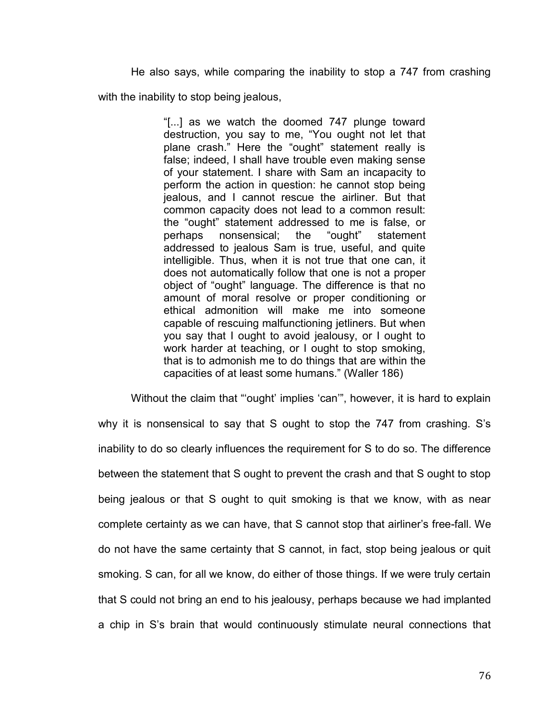He also says, while comparing the inability to stop a 747 from crashing with the inability to stop being jealous,

> "[...] as we watch the doomed 747 plunge toward destruction, you say to me, "You ought not let that plane crash." Here the "ought" statement really is false; indeed, I shall have trouble even making sense of your statement. I share with Sam an incapacity to perform the action in question: he cannot stop being jealous, and I cannot rescue the airliner. But that common capacity does not lead to a common result: the "ought" statement addressed to me is false, or perhaps nonsensical; the "ought" statement addressed to jealous Sam is true, useful, and quite intelligible. Thus, when it is not true that one can, it does not automatically follow that one is not a proper object of "ought" language. The difference is that no amount of moral resolve or proper conditioning or ethical admonition will make me into someone capable of rescuing malfunctioning jetliners. But when you say that I ought to avoid jealousy, or I ought to work harder at teaching, or I ought to stop smoking, that is to admonish me to do things that are within the capacities of at least some humans." (Waller 186)

Without the claim that "'ought' implies 'can'", however, it is hard to explain why it is nonsensical to say that S ought to stop the 747 from crashing. S's inability to do so clearly influences the requirement for S to do so. The difference between the statement that S ought to prevent the crash and that S ought to stop being jealous or that S ought to quit smoking is that we know, with as near complete certainty as we can have, that S cannot stop that airliner's free-fall. We do not have the same certainty that S cannot, in fact, stop being jealous or quit smoking. S can, for all we know, do either of those things. If we were truly certain that S could not bring an end to his jealousy, perhaps because we had implanted a chip in S's brain that would continuously stimulate neural connections that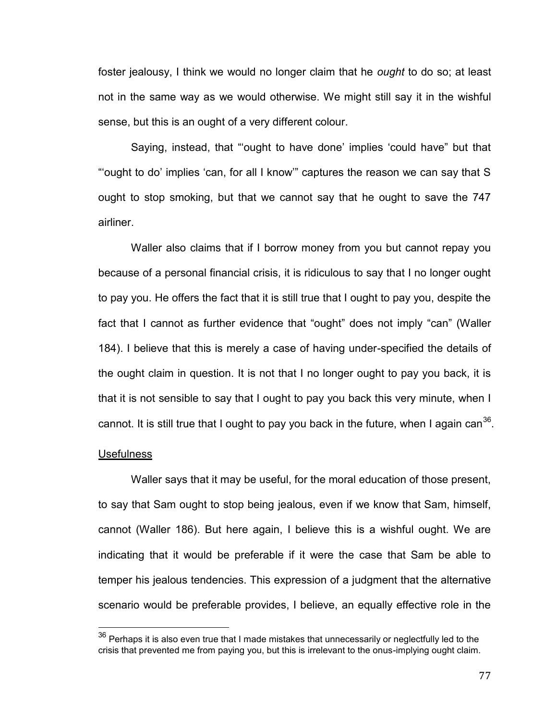foster jealousy, I think we would no longer claim that he *ought* to do so; at least not in the same way as we would otherwise. We might still say it in the wishful sense, but this is an ought of a very different colour.

Saying, instead, that "'ought to have done' implies 'could have" but that "'ought to do' implies 'can, for all I know'" captures the reason we can say that S ought to stop smoking, but that we cannot say that he ought to save the 747 airliner.

Waller also claims that if I borrow money from you but cannot repay you because of a personal financial crisis, it is ridiculous to say that I no longer ought to pay you. He offers the fact that it is still true that I ought to pay you, despite the fact that I cannot as further evidence that "ought" does not imply "can" (Waller 184). I believe that this is merely a case of having under-specified the details of the ought claim in question. It is not that I no longer ought to pay you back, it is that it is not sensible to say that I ought to pay you back this very minute, when I cannot. It is still true that I ought to pay you back in the future, when I again can<sup>36</sup>.

#### **Usefulness**

l

Waller says that it may be useful, for the moral education of those present, to say that Sam ought to stop being jealous, even if we know that Sam, himself, cannot (Waller 186). But here again, I believe this is a wishful ought. We are indicating that it would be preferable if it were the case that Sam be able to temper his jealous tendencies. This expression of a judgment that the alternative scenario would be preferable provides, I believe, an equally effective role in the

 $^{36}$  Perhaps it is also even true that I made mistakes that unnecessarily or neglectfully led to the crisis that prevented me from paying you, but this is irrelevant to the onus-implying ought claim.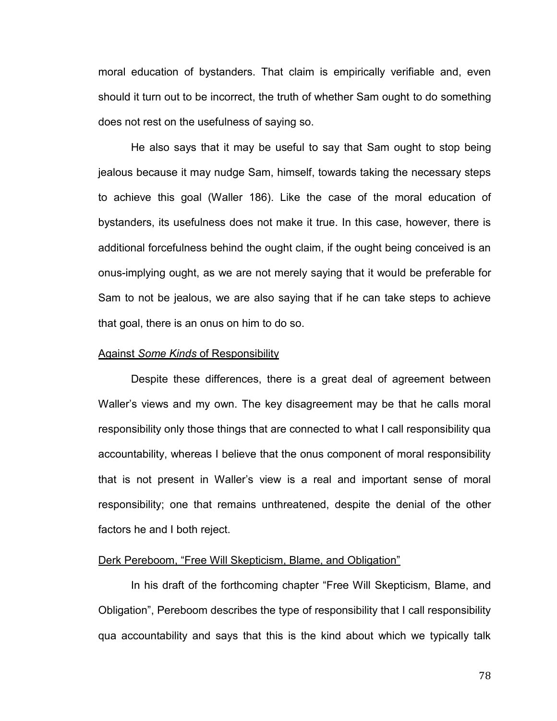moral education of bystanders. That claim is empirically verifiable and, even should it turn out to be incorrect, the truth of whether Sam ought to do something does not rest on the usefulness of saying so.

He also says that it may be useful to say that Sam ought to stop being jealous because it may nudge Sam, himself, towards taking the necessary steps to achieve this goal (Waller 186). Like the case of the moral education of bystanders, its usefulness does not make it true. In this case, however, there is additional forcefulness behind the ought claim, if the ought being conceived is an onus-implying ought, as we are not merely saying that it would be preferable for Sam to not be jealous, we are also saying that if he can take steps to achieve that goal, there is an onus on him to do so.

#### Against *Some Kinds* of Responsibility

Despite these differences, there is a great deal of agreement between Waller's views and my own. The key disagreement may be that he calls moral responsibility only those things that are connected to what I call responsibility qua accountability, whereas I believe that the onus component of moral responsibility that is not present in Waller's view is a real and important sense of moral responsibility; one that remains unthreatened, despite the denial of the other factors he and I both reject.

## Derk Pereboom, "Free Will Skepticism, Blame, and Obligation"

In his draft of the forthcoming chapter "Free Will Skepticism, Blame, and Obligation", Pereboom describes the type of responsibility that I call responsibility qua accountability and says that this is the kind about which we typically talk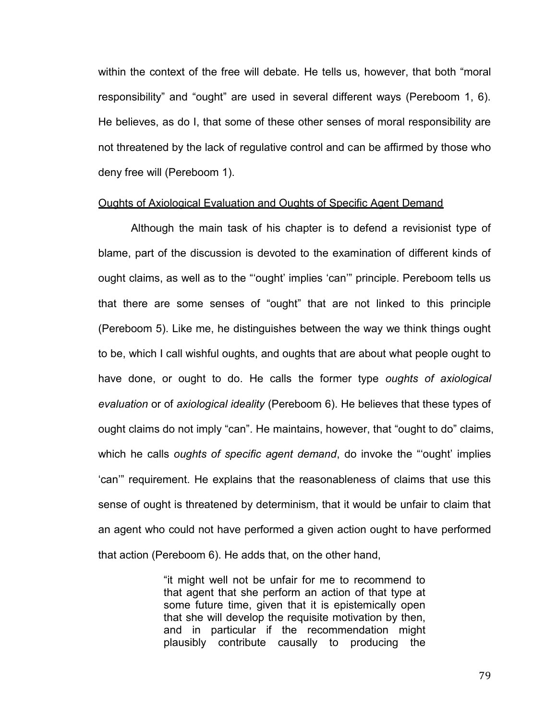within the context of the free will debate. He tells us, however, that both "moral responsibility" and "ought" are used in several different ways (Pereboom 1, 6). He believes, as do I, that some of these other senses of moral responsibility are not threatened by the lack of regulative control and can be affirmed by those who deny free will (Pereboom 1).

## Oughts of Axiological Evaluation and Oughts of Specific Agent Demand

Although the main task of his chapter is to defend a revisionist type of blame, part of the discussion is devoted to the examination of different kinds of ought claims, as well as to the "'ought' implies 'can'" principle. Pereboom tells us that there are some senses of "ought" that are not linked to this principle (Pereboom 5). Like me, he distinguishes between the way we think things ought to be, which I call wishful oughts, and oughts that are about what people ought to have done, or ought to do. He calls the former type *oughts of axiological evaluation* or of *axiological ideality* (Pereboom 6). He believes that these types of ought claims do not imply "can". He maintains, however, that "ought to do" claims, which he calls *oughts of specific agent demand*, do invoke the "'ought' implies 'can'" requirement. He explains that the reasonableness of claims that use this sense of ought is threatened by determinism, that it would be unfair to claim that an agent who could not have performed a given action ought to have performed that action (Pereboom 6). He adds that, on the other hand,

> "it might well not be unfair for me to recommend to that agent that she perform an action of that type at some future time, given that it is epistemically open that she will develop the requisite motivation by then, and in particular if the recommendation might plausibly contribute causally to producing the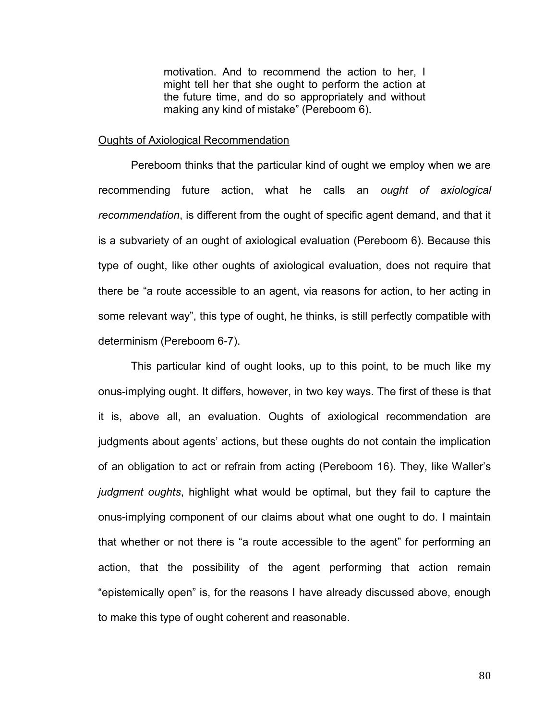motivation. And to recommend the action to her, I might tell her that she ought to perform the action at the future time, and do so appropriately and without making any kind of mistake" (Pereboom 6).

#### Oughts of Axiological Recommendation

Pereboom thinks that the particular kind of ought we employ when we are recommending future action, what he calls an *ought of axiological recommendation*, is different from the ought of specific agent demand, and that it is a subvariety of an ought of axiological evaluation (Pereboom 6). Because this type of ought, like other oughts of axiological evaluation, does not require that there be "a route accessible to an agent, via reasons for action, to her acting in some relevant way", this type of ought, he thinks, is still perfectly compatible with determinism (Pereboom 6-7).

This particular kind of ought looks, up to this point, to be much like my onus-implying ought. It differs, however, in two key ways. The first of these is that it is, above all, an evaluation. Oughts of axiological recommendation are judgments about agents' actions, but these oughts do not contain the implication of an obligation to act or refrain from acting (Pereboom 16). They, like Waller's *judgment oughts*, highlight what would be optimal, but they fail to capture the onus-implying component of our claims about what one ought to do. I maintain that whether or not there is "a route accessible to the agent" for performing an action, that the possibility of the agent performing that action remain "epistemically open" is, for the reasons I have already discussed above, enough to make this type of ought coherent and reasonable.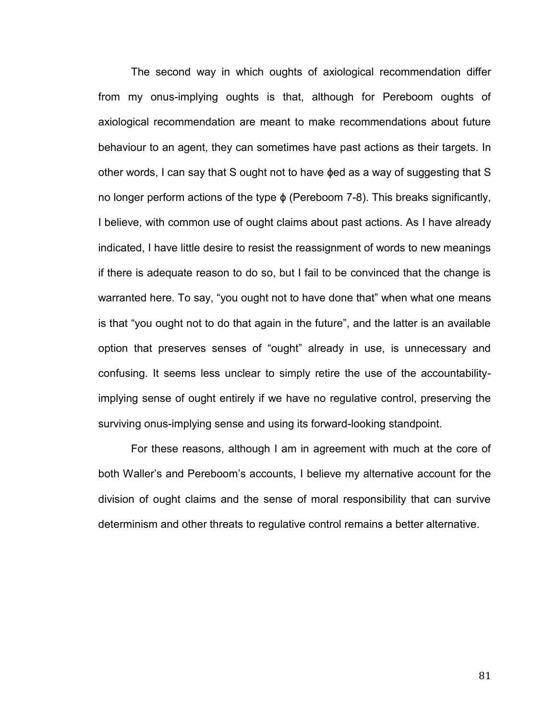The second way in which oughts of axiological recommendation differ from my onus-implying oughts is that, although for Pereboom oughts of axiological recommendation are meant to make recommendations about future behaviour to an agent, they can sometimes have past actions as their targets. In other words, I can say that S ought not to have ϕed as a way of suggesting that S no longer perform actions of the type ϕ (Pereboom 7-8). This breaks significantly, I believe, with common use of ought claims about past actions. As I have already indicated, I have little desire to resist the reassignment of words to new meanings if there is adequate reason to do so, but I fail to be convinced that the change is warranted here. To say, "you ought not to have done that" when what one means is that "you ought not to do that again in the future", and the latter is an available option that preserves senses of "ought" already in use, is unnecessary and confusing. It seems less unclear to simply retire the use of the accountabilityimplying sense of ought entirely if we have no regulative control, preserving the surviving onus-implying sense and using its forward-looking standpoint.

For these reasons, although I am in agreement with much at the core of both Waller's and Pereboom's accounts, I believe my alternative account for the division of ought claims and the sense of moral responsibility that can survive determinism and other threats to regulative control remains a better alternative.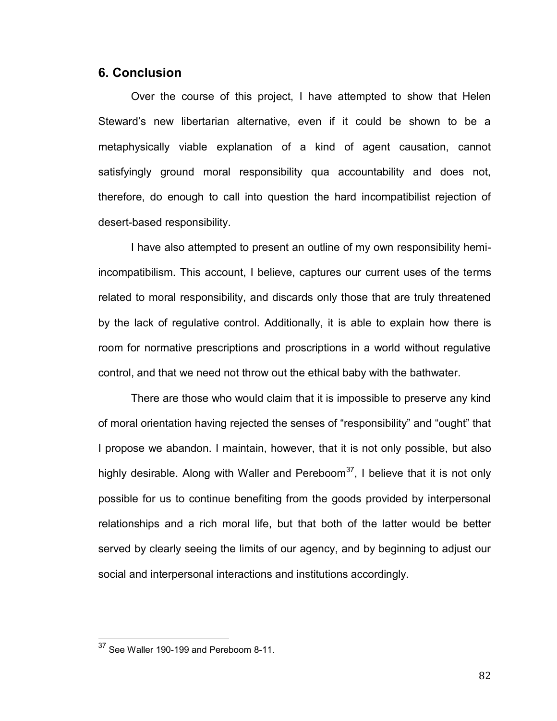# **6. Conclusion**

Over the course of this project, I have attempted to show that Helen Steward's new libertarian alternative, even if it could be shown to be a metaphysically viable explanation of a kind of agent causation, cannot satisfyingly ground moral responsibility qua accountability and does not, therefore, do enough to call into question the hard incompatibilist rejection of desert-based responsibility.

I have also attempted to present an outline of my own responsibility hemiincompatibilism. This account, I believe, captures our current uses of the terms related to moral responsibility, and discards only those that are truly threatened by the lack of regulative control. Additionally, it is able to explain how there is room for normative prescriptions and proscriptions in a world without regulative control, and that we need not throw out the ethical baby with the bathwater.

There are those who would claim that it is impossible to preserve any kind of moral orientation having rejected the senses of "responsibility" and "ought" that I propose we abandon. I maintain, however, that it is not only possible, but also highly desirable. Along with Waller and Pereboom<sup>37</sup>, I believe that it is not only possible for us to continue benefiting from the goods provided by interpersonal relationships and a rich moral life, but that both of the latter would be better served by clearly seeing the limits of our agency, and by beginning to adjust our social and interpersonal interactions and institutions accordingly.

 $\overline{a}$ 

 $37$  See Waller 190-199 and Pereboom 8-11.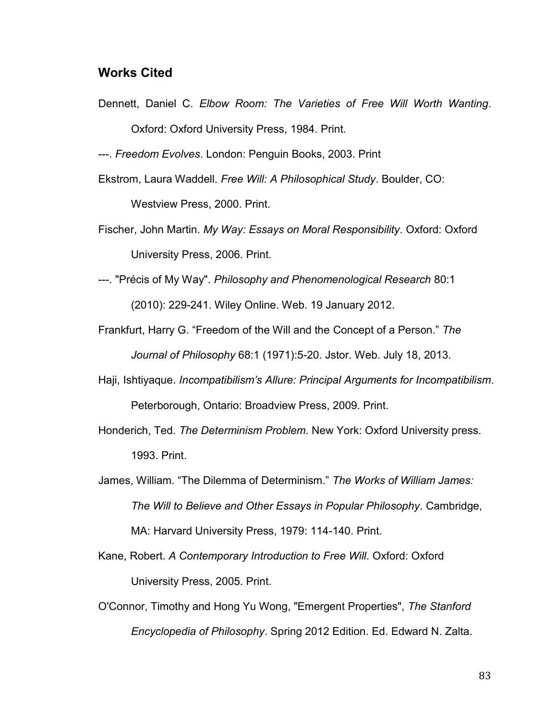# **Works Cited**

Dennett, Daniel C. *Elbow Room: The Varieties of Free Will Worth Wanting*. Oxford: Oxford University Press, 1984. Print.

---. *Freedom Evolves*. London: Penguin Books, 2003. Print

Ekstrom, Laura Waddell. *Free Will: A Philosophical Study*. Boulder, CO:

Westview Press, 2000. Print.

- Fischer, John Martin. *My Way: Essays on Moral Responsibility*. Oxford: Oxford University Press, 2006. Print.
- ---. "Précis of My Way". *Philosophy and Phenomenological Research* 80:1 (2010): 229-241. Wiley Online. Web. 19 January 2012.
- Frankfurt, Harry G. "Freedom of the Will and the Concept of a Person." *The Journal of Philosophy* 68:1 (1971):5-20. Jstor. Web. July 18, 2013.
- Haji, Ishtiyaque. *Incompatibilism's Allure: Principal Arguments for Incompatibilism*. Peterborough, Ontario: Broadview Press, 2009. Print.
- Honderich, Ted. *The Determinism Problem*. New York: Oxford University press. 1993. Print.
- James, William. "The Dilemma of Determinism." *The Works of William James: The Will to Believe and Other Essays in Popular Philosophy*. Cambridge, MA: Harvard University Press, 1979: 114-140. Print.
- Kane, Robert. *A Contemporary Introduction to Free Will*. Oxford: Oxford University Press, 2005. Print.
- O'Connor, Timothy and Hong Yu Wong, "Emergent Properties", *The Stanford Encyclopedia of Philosophy*. Spring 2012 Edition. Ed. Edward N. Zalta.